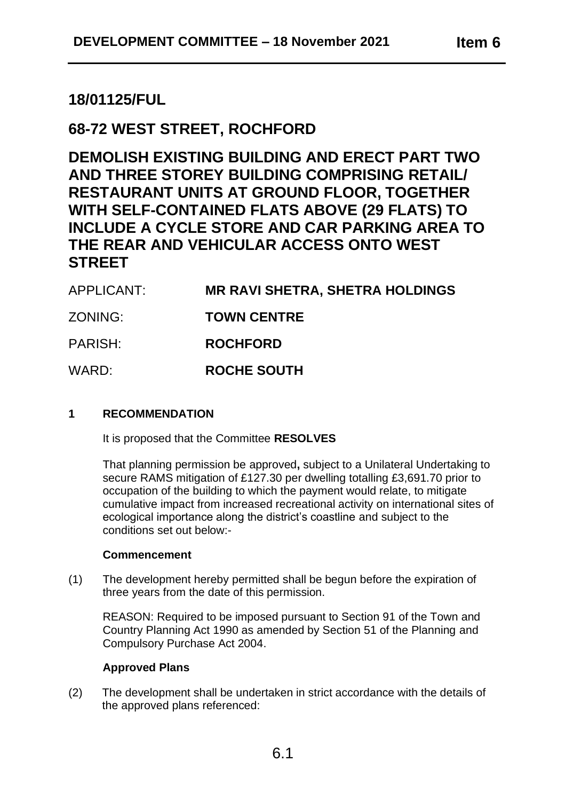# **18/01125/FUL**

# **68-72 WEST STREET, ROCHFORD**

**DEMOLISH EXISTING BUILDING AND ERECT PART TWO AND THREE STOREY BUILDING COMPRISING RETAIL/ RESTAURANT UNITS AT GROUND FLOOR, TOGETHER WITH SELF-CONTAINED FLATS ABOVE (29 FLATS) TO INCLUDE A CYCLE STORE AND CAR PARKING AREA TO THE REAR AND VEHICULAR ACCESS ONTO WEST STREET**

| APPLICANT: | <b>MR RAVI SHETRA, SHETRA HOLDINGS</b> |
|------------|----------------------------------------|
| ZONING:    | <b>TOWN CENTRE</b>                     |
| PARISH:    | <b>ROCHFORD</b>                        |
| WARD:      | <b>ROCHE SOUTH</b>                     |

## **1 RECOMMENDATION**

It is proposed that the Committee **RESOLVES**

That planning permission be approved**,** subject to a Unilateral Undertaking to secure RAMS mitigation of £127.30 per dwelling totalling £3,691.70 prior to occupation of the building to which the payment would relate, to mitigate cumulative impact from increased recreational activity on international sites of ecological importance along the district's coastline and subject to the conditions set out below:-

### **Commencement**

(1) The development hereby permitted shall be begun before the expiration of three years from the date of this permission.

REASON: Required to be imposed pursuant to Section 91 of the Town and Country Planning Act 1990 as amended by Section 51 of the Planning and Compulsory Purchase Act 2004.

### **Approved Plans**

(2) The development shall be undertaken in strict accordance with the details of the approved plans referenced: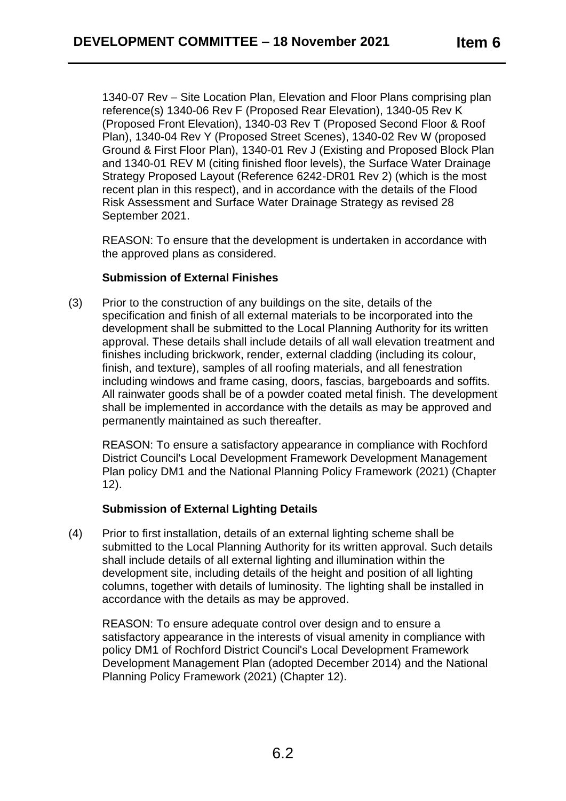1340-07 Rev – Site Location Plan, Elevation and Floor Plans comprising plan reference(s) 1340-06 Rev F (Proposed Rear Elevation), 1340-05 Rev K (Proposed Front Elevation), 1340-03 Rev T (Proposed Second Floor & Roof Plan), 1340-04 Rev Y (Proposed Street Scenes), 1340-02 Rev W (proposed Ground & First Floor Plan), 1340-01 Rev J (Existing and Proposed Block Plan and 1340-01 REV M (citing finished floor levels), the Surface Water Drainage Strategy Proposed Layout (Reference 6242-DR01 Rev 2) (which is the most recent plan in this respect), and in accordance with the details of the Flood Risk Assessment and Surface Water Drainage Strategy as revised 28 September 2021.

REASON: To ensure that the development is undertaken in accordance with the approved plans as considered.

## **Submission of External Finishes**

(3) Prior to the construction of any buildings on the site, details of the specification and finish of all external materials to be incorporated into the development shall be submitted to the Local Planning Authority for its written approval. These details shall include details of all wall elevation treatment and finishes including brickwork, render, external cladding (including its colour, finish, and texture), samples of all roofing materials, and all fenestration including windows and frame casing, doors, fascias, bargeboards and soffits. All rainwater goods shall be of a powder coated metal finish. The development shall be implemented in accordance with the details as may be approved and permanently maintained as such thereafter.

REASON: To ensure a satisfactory appearance in compliance with Rochford District Council's Local Development Framework Development Management Plan policy DM1 and the National Planning Policy Framework (2021) (Chapter 12).

# **Submission of External Lighting Details**

(4) Prior to first installation, details of an external lighting scheme shall be submitted to the Local Planning Authority for its written approval. Such details shall include details of all external lighting and illumination within the development site, including details of the height and position of all lighting columns, together with details of luminosity. The lighting shall be installed in accordance with the details as may be approved.

REASON: To ensure adequate control over design and to ensure a satisfactory appearance in the interests of visual amenity in compliance with policy DM1 of Rochford District Council's Local Development Framework Development Management Plan (adopted December 2014) and the National Planning Policy Framework (2021) (Chapter 12).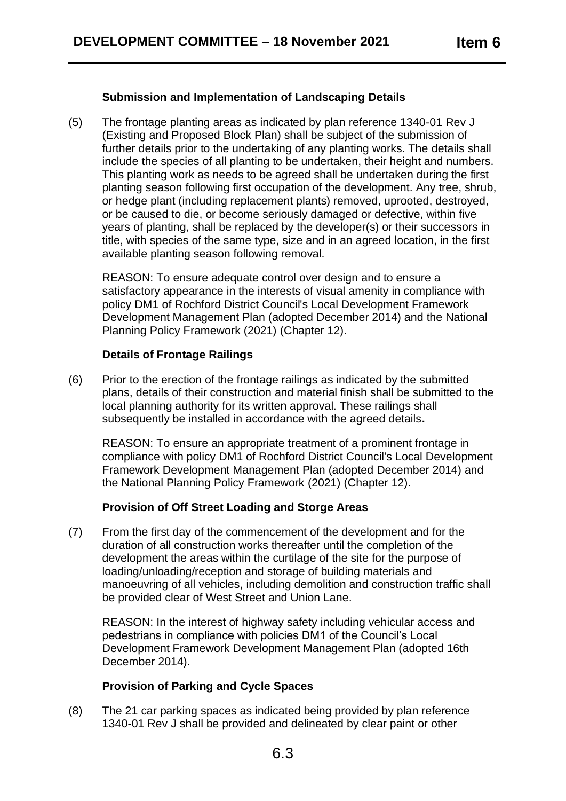## **Submission and Implementation of Landscaping Details**

(5) The frontage planting areas as indicated by plan reference 1340-01 Rev J (Existing and Proposed Block Plan) shall be subject of the submission of further details prior to the undertaking of any planting works. The details shall include the species of all planting to be undertaken, their height and numbers. This planting work as needs to be agreed shall be undertaken during the first planting season following first occupation of the development. Any tree, shrub, or hedge plant (including replacement plants) removed, uprooted, destroyed, or be caused to die, or become seriously damaged or defective, within five years of planting, shall be replaced by the developer(s) or their successors in title, with species of the same type, size and in an agreed location, in the first available planting season following removal.

REASON: To ensure adequate control over design and to ensure a satisfactory appearance in the interests of visual amenity in compliance with policy DM1 of Rochford District Council's Local Development Framework Development Management Plan (adopted December 2014) and the National Planning Policy Framework (2021) (Chapter 12).

### **Details of Frontage Railings**

(6) Prior to the erection of the frontage railings as indicated by the submitted plans, details of their construction and material finish shall be submitted to the local planning authority for its written approval. These railings shall subsequently be installed in accordance with the agreed details**.**

REASON: To ensure an appropriate treatment of a prominent frontage in compliance with policy DM1 of Rochford District Council's Local Development Framework Development Management Plan (adopted December 2014) and the National Planning Policy Framework (2021) (Chapter 12).

# **Provision of Off Street Loading and Storge Areas**

(7) From the first day of the commencement of the development and for the duration of all construction works thereafter until the completion of the development the areas within the curtilage of the site for the purpose of loading/unloading/reception and storage of building materials and manoeuvring of all vehicles, including demolition and construction traffic shall be provided clear of West Street and Union Lane.

REASON: In the interest of highway safety including vehicular access and pedestrians in compliance with policies DM1 of the Council's Local Development Framework Development Management Plan (adopted 16th December 2014).

# **Provision of Parking and Cycle Spaces**

(8) The 21 car parking spaces as indicated being provided by plan reference 1340-01 Rev J shall be provided and delineated by clear paint or other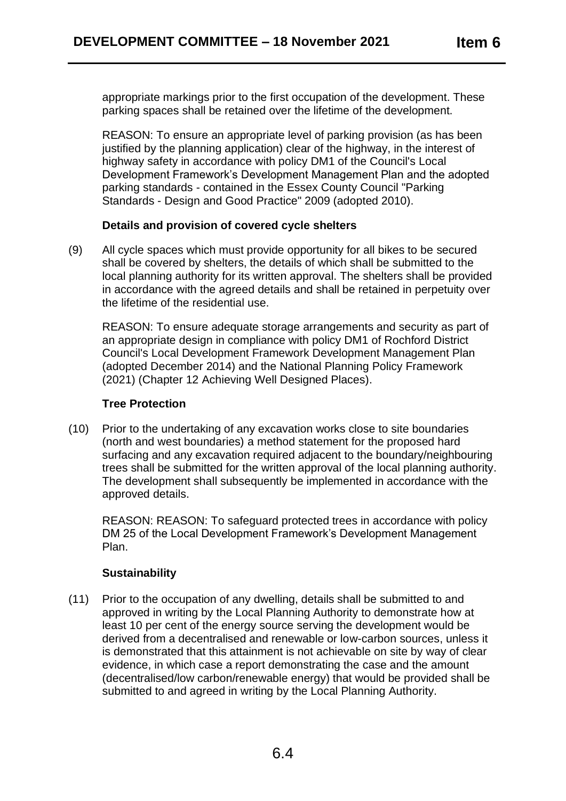appropriate markings prior to the first occupation of the development. These parking spaces shall be retained over the lifetime of the development.

REASON: To ensure an appropriate level of parking provision (as has been justified by the planning application) clear of the highway, in the interest of highway safety in accordance with policy DM1 of the Council's Local Development Framework's Development Management Plan and the adopted parking standards - contained in the Essex County Council "Parking Standards - Design and Good Practice" 2009 (adopted 2010).

### **Details and provision of covered cycle shelters**

(9) All cycle spaces which must provide opportunity for all bikes to be secured shall be covered by shelters, the details of which shall be submitted to the local planning authority for its written approval. The shelters shall be provided in accordance with the agreed details and shall be retained in perpetuity over the lifetime of the residential use.

REASON: To ensure adequate storage arrangements and security as part of an appropriate design in compliance with policy DM1 of Rochford District Council's Local Development Framework Development Management Plan (adopted December 2014) and the National Planning Policy Framework (2021) (Chapter 12 Achieving Well Designed Places).

### **Tree Protection**

(10) Prior to the undertaking of any excavation works close to site boundaries (north and west boundaries) a method statement for the proposed hard surfacing and any excavation required adiacent to the boundary/neighbouring trees shall be submitted for the written approval of the local planning authority. The development shall subsequently be implemented in accordance with the approved details.

REASON: REASON: To safeguard protected trees in accordance with policy DM 25 of the Local Development Framework's Development Management Plan.

# **Sustainability**

(11) Prior to the occupation of any dwelling, details shall be submitted to and approved in writing by the Local Planning Authority to demonstrate how at least 10 per cent of the energy source serving the development would be derived from a decentralised and renewable or low-carbon sources, unless it is demonstrated that this attainment is not achievable on site by way of clear evidence, in which case a report demonstrating the case and the amount (decentralised/low carbon/renewable energy) that would be provided shall be submitted to and agreed in writing by the Local Planning Authority.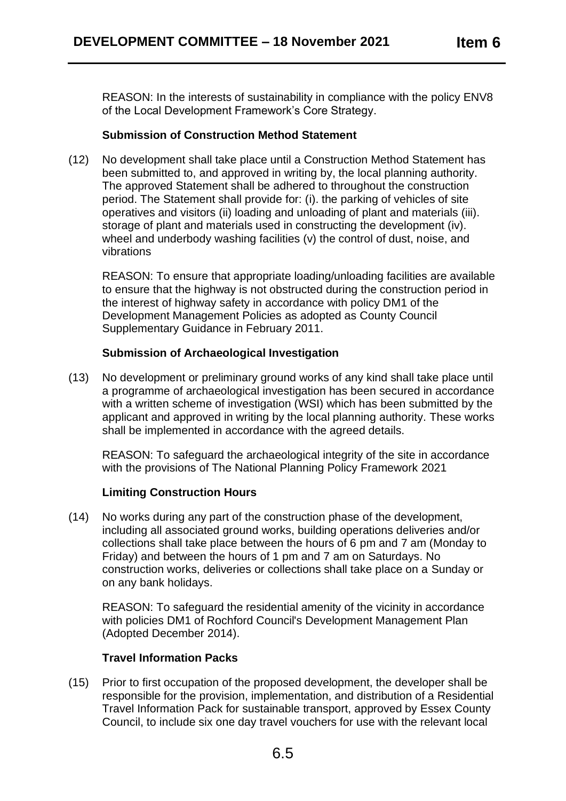REASON: In the interests of sustainability in compliance with the policy ENV8 of the Local Development Framework's Core Strategy.

## **Submission of Construction Method Statement**

(12) No development shall take place until a Construction Method Statement has been submitted to, and approved in writing by, the local planning authority. The approved Statement shall be adhered to throughout the construction period. The Statement shall provide for: (i). the parking of vehicles of site operatives and visitors (ii) loading and unloading of plant and materials (iii). storage of plant and materials used in constructing the development (iv). wheel and underbody washing facilities (v) the control of dust, noise, and vibrations

REASON: To ensure that appropriate loading/unloading facilities are available to ensure that the highway is not obstructed during the construction period in the interest of highway safety in accordance with policy DM1 of the Development Management Policies as adopted as County Council Supplementary Guidance in February 2011.

# **Submission of Archaeological Investigation**

(13) No development or preliminary ground works of any kind shall take place until a programme of archaeological investigation has been secured in accordance with a written scheme of investigation (WSI) which has been submitted by the applicant and approved in writing by the local planning authority. These works shall be implemented in accordance with the agreed details.

REASON: To safeguard the archaeological integrity of the site in accordance with the provisions of The National Planning Policy Framework 2021

# **Limiting Construction Hours**

(14) No works during any part of the construction phase of the development, including all associated ground works, building operations deliveries and/or collections shall take place between the hours of 6 pm and 7 am (Monday to Friday) and between the hours of 1 pm and 7 am on Saturdays. No construction works, deliveries or collections shall take place on a Sunday or on any bank holidays.

REASON: To safeguard the residential amenity of the vicinity in accordance with policies DM1 of Rochford Council's Development Management Plan (Adopted December 2014).

# **Travel Information Packs**

(15) Prior to first occupation of the proposed development, the developer shall be responsible for the provision, implementation, and distribution of a Residential Travel Information Pack for sustainable transport, approved by Essex County Council, to include six one day travel vouchers for use with the relevant local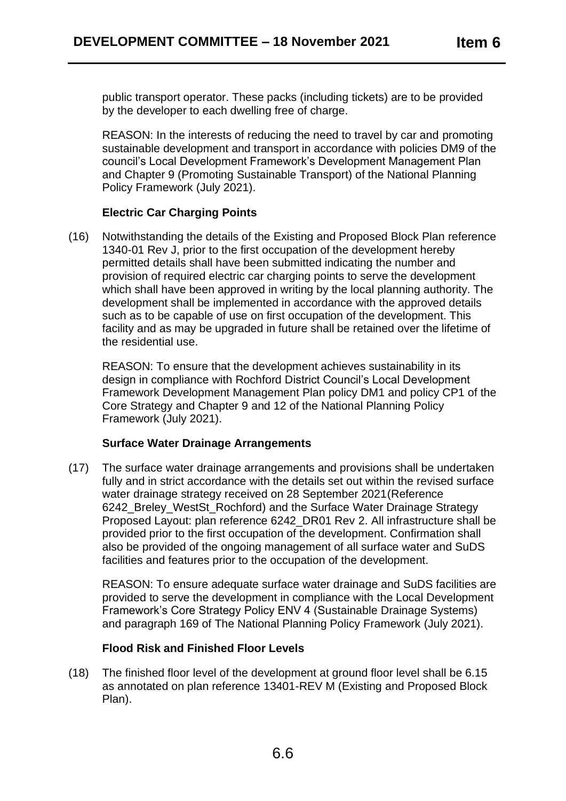public transport operator. These packs (including tickets) are to be provided by the developer to each dwelling free of charge.

REASON: In the interests of reducing the need to travel by car and promoting sustainable development and transport in accordance with policies DM9 of the council's Local Development Framework's Development Management Plan and Chapter 9 (Promoting Sustainable Transport) of the National Planning Policy Framework (July 2021).

# **Electric Car Charging Points**

(16) Notwithstanding the details of the Existing and Proposed Block Plan reference 1340-01 Rev J, prior to the first occupation of the development hereby permitted details shall have been submitted indicating the number and provision of required electric car charging points to serve the development which shall have been approved in writing by the local planning authority. The development shall be implemented in accordance with the approved details such as to be capable of use on first occupation of the development. This facility and as may be upgraded in future shall be retained over the lifetime of the residential use.

REASON: To ensure that the development achieves sustainability in its design in compliance with Rochford District Council's Local Development Framework Development Management Plan policy DM1 and policy CP1 of the Core Strategy and Chapter 9 and 12 of the National Planning Policy Framework (July 2021).

# **Surface Water Drainage Arrangements**

(17) The surface water drainage arrangements and provisions shall be undertaken fully and in strict accordance with the details set out within the revised surface water drainage strategy received on 28 September 2021(Reference 6242\_Breley\_WestSt\_Rochford) and the Surface Water Drainage Strategy Proposed Layout: plan reference 6242\_DR01 Rev 2. All infrastructure shall be provided prior to the first occupation of the development. Confirmation shall also be provided of the ongoing management of all surface water and SuDS facilities and features prior to the occupation of the development.

REASON: To ensure adequate surface water drainage and SuDS facilities are provided to serve the development in compliance with the Local Development Framework's Core Strategy Policy ENV 4 (Sustainable Drainage Systems) and paragraph 169 of The National Planning Policy Framework (July 2021).

# **Flood Risk and Finished Floor Levels**

(18) The finished floor level of the development at ground floor level shall be 6.15 as annotated on plan reference 13401-REV M (Existing and Proposed Block Plan).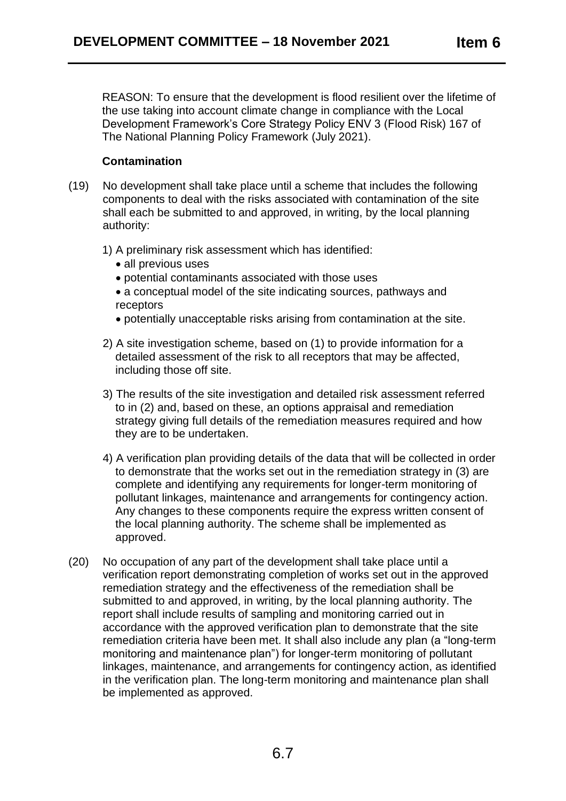REASON: To ensure that the development is flood resilient over the lifetime of the use taking into account climate change in compliance with the Local Development Framework's Core Strategy Policy ENV 3 (Flood Risk) 167 of The National Planning Policy Framework (July 2021).

## **Contamination**

- (19) No development shall take place until a scheme that includes the following components to deal with the risks associated with contamination of the site shall each be submitted to and approved, in writing, by the local planning authority:
	- 1) A preliminary risk assessment which has identified:
		- all previous uses
		- potential contaminants associated with those uses
		- a conceptual model of the site indicating sources, pathways and receptors
		- potentially unacceptable risks arising from contamination at the site.
	- 2) A site investigation scheme, based on (1) to provide information for a detailed assessment of the risk to all receptors that may be affected, including those off site.
	- 3) The results of the site investigation and detailed risk assessment referred to in (2) and, based on these, an options appraisal and remediation strategy giving full details of the remediation measures required and how they are to be undertaken.
	- 4) A verification plan providing details of the data that will be collected in order to demonstrate that the works set out in the remediation strategy in (3) are complete and identifying any requirements for longer-term monitoring of pollutant linkages, maintenance and arrangements for contingency action. Any changes to these components require the express written consent of the local planning authority. The scheme shall be implemented as approved.
- (20) No occupation of any part of the development shall take place until a verification report demonstrating completion of works set out in the approved remediation strategy and the effectiveness of the remediation shall be submitted to and approved, in writing, by the local planning authority. The report shall include results of sampling and monitoring carried out in accordance with the approved verification plan to demonstrate that the site remediation criteria have been met. It shall also include any plan (a "long-term monitoring and maintenance plan") for longer-term monitoring of pollutant linkages, maintenance, and arrangements for contingency action, as identified in the verification plan. The long-term monitoring and maintenance plan shall be implemented as approved.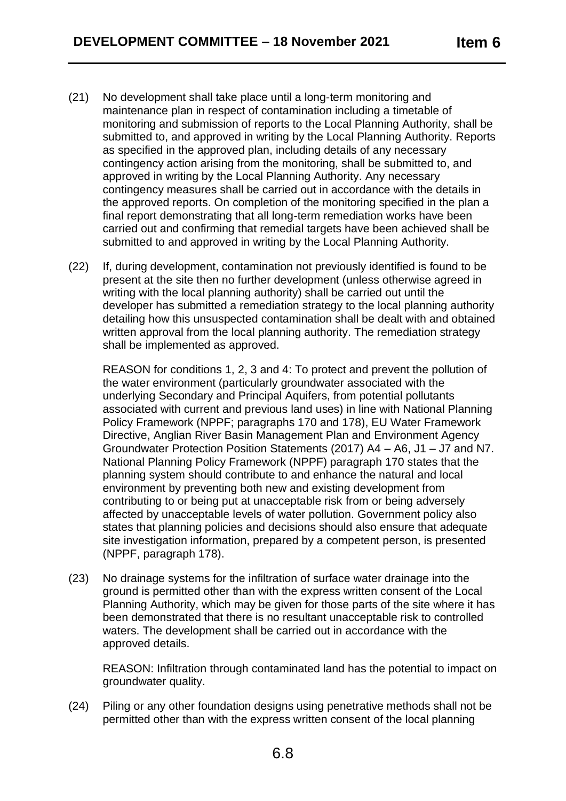- (21) No development shall take place until a long-term monitoring and maintenance plan in respect of contamination including a timetable of monitoring and submission of reports to the Local Planning Authority, shall be submitted to, and approved in writing by the Local Planning Authority. Reports as specified in the approved plan, including details of any necessary contingency action arising from the monitoring, shall be submitted to, and approved in writing by the Local Planning Authority. Any necessary contingency measures shall be carried out in accordance with the details in the approved reports. On completion of the monitoring specified in the plan a final report demonstrating that all long-term remediation works have been carried out and confirming that remedial targets have been achieved shall be submitted to and approved in writing by the Local Planning Authority.
- (22) If, during development, contamination not previously identified is found to be present at the site then no further development (unless otherwise agreed in writing with the local planning authority) shall be carried out until the developer has submitted a remediation strategy to the local planning authority detailing how this unsuspected contamination shall be dealt with and obtained written approval from the local planning authority. The remediation strategy shall be implemented as approved.

REASON for conditions 1, 2, 3 and 4: To protect and prevent the pollution of the water environment (particularly groundwater associated with the underlying Secondary and Principal Aquifers, from potential pollutants associated with current and previous land uses) in line with National Planning Policy Framework (NPPF; paragraphs 170 and 178), EU Water Framework Directive, Anglian River Basin Management Plan and Environment Agency Groundwater Protection Position Statements (2017) A4 – A6, J1 – J7 and N7. National Planning Policy Framework (NPPF) paragraph 170 states that the planning system should contribute to and enhance the natural and local environment by preventing both new and existing development from contributing to or being put at unacceptable risk from or being adversely affected by unacceptable levels of water pollution. Government policy also states that planning policies and decisions should also ensure that adequate site investigation information, prepared by a competent person, is presented (NPPF, paragraph 178).

(23) No drainage systems for the infiltration of surface water drainage into the ground is permitted other than with the express written consent of the Local Planning Authority, which may be given for those parts of the site where it has been demonstrated that there is no resultant unacceptable risk to controlled waters. The development shall be carried out in accordance with the approved details.

REASON: Infiltration through contaminated land has the potential to impact on groundwater quality.

(24) Piling or any other foundation designs using penetrative methods shall not be permitted other than with the express written consent of the local planning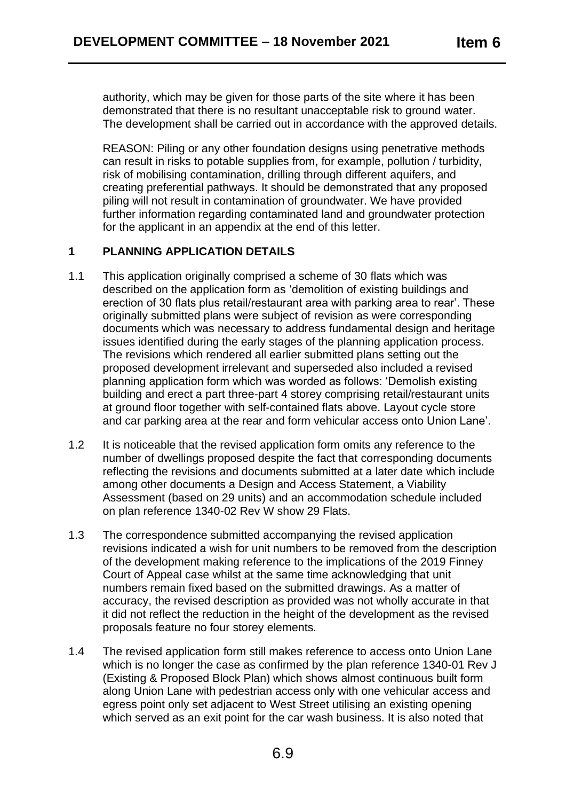authority, which may be given for those parts of the site where it has been demonstrated that there is no resultant unacceptable risk to ground water. The development shall be carried out in accordance with the approved details.

REASON: Piling or any other foundation designs using penetrative methods can result in risks to potable supplies from, for example, pollution / turbidity, risk of mobilising contamination, drilling through different aquifers, and creating preferential pathways. It should be demonstrated that any proposed piling will not result in contamination of groundwater. We have provided further information regarding contaminated land and groundwater protection for the applicant in an appendix at the end of this letter.

# **1 PLANNING APPLICATION DETAILS**

- 1.1 This application originally comprised a scheme of 30 flats which was described on the application form as 'demolition of existing buildings and erection of 30 flats plus retail/restaurant area with parking area to rear'. These originally submitted plans were subject of revision as were corresponding documents which was necessary to address fundamental design and heritage issues identified during the early stages of the planning application process. The revisions which rendered all earlier submitted plans setting out the proposed development irrelevant and superseded also included a revised planning application form which was worded as follows: 'Demolish existing building and erect a part three-part 4 storey comprising retail/restaurant units at ground floor together with self-contained flats above. Layout cycle store and car parking area at the rear and form vehicular access onto Union Lane'.
- 1.2 It is noticeable that the revised application form omits any reference to the number of dwellings proposed despite the fact that corresponding documents reflecting the revisions and documents submitted at a later date which include among other documents a Design and Access Statement, a Viability Assessment (based on 29 units) and an accommodation schedule included on plan reference 1340-02 Rev W show 29 Flats.
- 1.3 The correspondence submitted accompanying the revised application revisions indicated a wish for unit numbers to be removed from the description of the development making reference to the implications of the 2019 Finney Court of Appeal case whilst at the same time acknowledging that unit numbers remain fixed based on the submitted drawings. As a matter of accuracy, the revised description as provided was not wholly accurate in that it did not reflect the reduction in the height of the development as the revised proposals feature no four storey elements.
- 1.4 The revised application form still makes reference to access onto Union Lane which is no longer the case as confirmed by the plan reference 1340-01 Rev J (Existing & Proposed Block Plan) which shows almost continuous built form along Union Lane with pedestrian access only with one vehicular access and egress point only set adjacent to West Street utilising an existing opening which served as an exit point for the car wash business. It is also noted that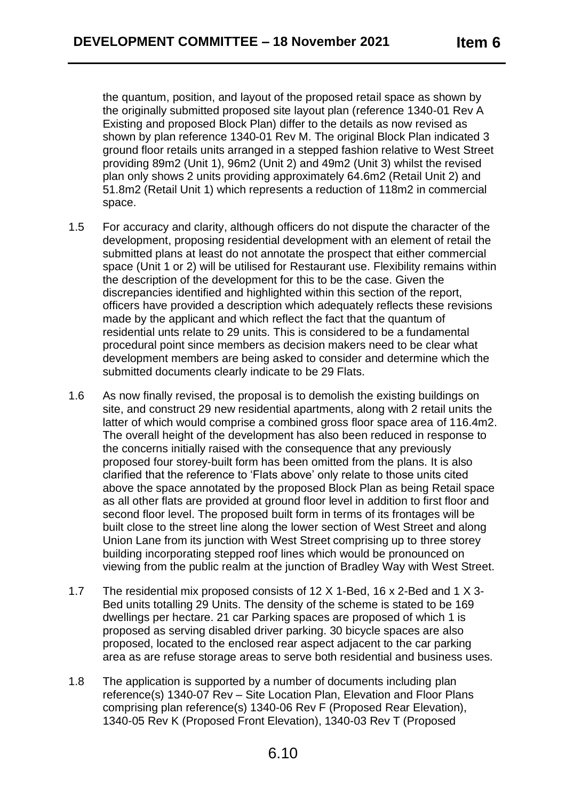the quantum, position, and layout of the proposed retail space as shown by the originally submitted proposed site layout plan (reference 1340-01 Rev A Existing and proposed Block Plan) differ to the details as now revised as shown by plan reference 1340-01 Rev M. The original Block Plan indicated 3 ground floor retails units arranged in a stepped fashion relative to West Street providing 89m2 (Unit 1), 96m2 (Unit 2) and 49m2 (Unit 3) whilst the revised plan only shows 2 units providing approximately 64.6m2 (Retail Unit 2) and 51.8m2 (Retail Unit 1) which represents a reduction of 118m2 in commercial space.

- 1.5 For accuracy and clarity, although officers do not dispute the character of the development, proposing residential development with an element of retail the submitted plans at least do not annotate the prospect that either commercial space (Unit 1 or 2) will be utilised for Restaurant use. Flexibility remains within the description of the development for this to be the case. Given the discrepancies identified and highlighted within this section of the report, officers have provided a description which adequately reflects these revisions made by the applicant and which reflect the fact that the quantum of residential unts relate to 29 units. This is considered to be a fundamental procedural point since members as decision makers need to be clear what development members are being asked to consider and determine which the submitted documents clearly indicate to be 29 Flats.
- 1.6 As now finally revised, the proposal is to demolish the existing buildings on site, and construct 29 new residential apartments, along with 2 retail units the latter of which would comprise a combined gross floor space area of 116.4m2. The overall height of the development has also been reduced in response to the concerns initially raised with the consequence that any previously proposed four storey-built form has been omitted from the plans. It is also clarified that the reference to 'Flats above' only relate to those units cited above the space annotated by the proposed Block Plan as being Retail space as all other flats are provided at ground floor level in addition to first floor and second floor level. The proposed built form in terms of its frontages will be built close to the street line along the lower section of West Street and along Union Lane from its junction with West Street comprising up to three storey building incorporating stepped roof lines which would be pronounced on viewing from the public realm at the junction of Bradley Way with West Street.
- 1.7 The residential mix proposed consists of 12 X 1-Bed, 16 x 2-Bed and 1 X 3- Bed units totalling 29 Units. The density of the scheme is stated to be 169 dwellings per hectare. 21 car Parking spaces are proposed of which 1 is proposed as serving disabled driver parking. 30 bicycle spaces are also proposed, located to the enclosed rear aspect adjacent to the car parking area as are refuse storage areas to serve both residential and business uses.
- 1.8 The application is supported by a number of documents including plan reference(s) 1340-07 Rev – Site Location Plan, Elevation and Floor Plans comprising plan reference(s) 1340-06 Rev F (Proposed Rear Elevation), 1340-05 Rev K (Proposed Front Elevation), 1340-03 Rev T (Proposed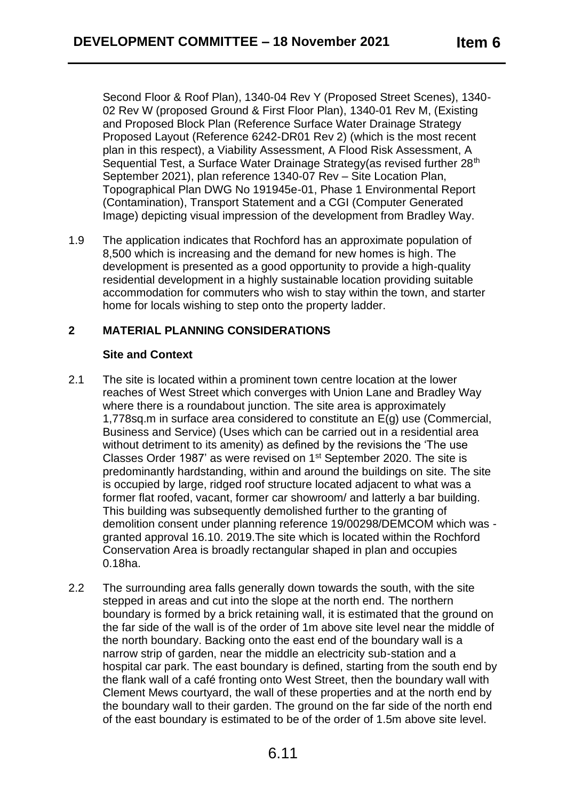Second Floor & Roof Plan), 1340-04 Rev Y (Proposed Street Scenes), 1340- 02 Rev W (proposed Ground & First Floor Plan), 1340-01 Rev M, (Existing and Proposed Block Plan (Reference Surface Water Drainage Strategy Proposed Layout (Reference 6242-DR01 Rev 2) (which is the most recent plan in this respect), a Viability Assessment, A Flood Risk Assessment, A Sequential Test, a Surface Water Drainage Strategy (as revised further 28<sup>th</sup>) September 2021), plan reference 1340-07 Rev – Site Location Plan, Topographical Plan DWG No 191945e-01, Phase 1 Environmental Report (Contamination), Transport Statement and a CGI (Computer Generated Image) depicting visual impression of the development from Bradley Way.

1.9 The application indicates that Rochford has an approximate population of 8,500 which is increasing and the demand for new homes is high. The development is presented as a good opportunity to provide a high-quality residential development in a highly sustainable location providing suitable accommodation for commuters who wish to stay within the town, and starter home for locals wishing to step onto the property ladder.

## **2 MATERIAL PLANNING CONSIDERATIONS**

### **Site and Context**

- 2.1 The site is located within a prominent town centre location at the lower reaches of West Street which converges with Union Lane and Bradley Way where there is a roundabout junction. The site area is approximately 1,778sq.m in surface area considered to constitute an E(g) use (Commercial, Business and Service) (Uses which can be carried out in a residential area without detriment to its amenity) as defined by the revisions the 'The use Classes Order 1987' as were revised on 1st September 2020. The site is predominantly hardstanding, within and around the buildings on site. The site is occupied by large, ridged roof structure located adjacent to what was a former flat roofed, vacant, former car showroom/ and latterly a bar building. This building was subsequently demolished further to the granting of demolition consent under planning reference 19/00298/DEMCOM which was granted approval 16.10. 2019.The site which is located within the Rochford Conservation Area is broadly rectangular shaped in plan and occupies 0.18ha.
- 2.2 The surrounding area falls generally down towards the south, with the site stepped in areas and cut into the slope at the north end. The northern boundary is formed by a brick retaining wall, it is estimated that the ground on the far side of the wall is of the order of 1m above site level near the middle of the north boundary. Backing onto the east end of the boundary wall is a narrow strip of garden, near the middle an electricity sub-station and a hospital car park. The east boundary is defined, starting from the south end by the flank wall of a café fronting onto West Street, then the boundary wall with Clement Mews courtyard, the wall of these properties and at the north end by the boundary wall to their garden. The ground on the far side of the north end of the east boundary is estimated to be of the order of 1.5m above site level.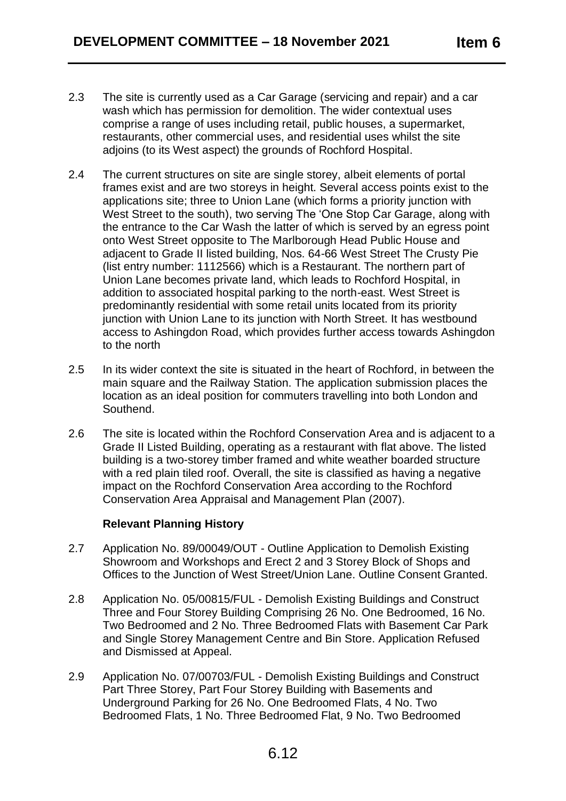- 2.3 The site is currently used as a Car Garage (servicing and repair) and a car wash which has permission for demolition. The wider contextual uses comprise a range of uses including retail, public houses, a supermarket, restaurants, other commercial uses, and residential uses whilst the site adjoins (to its West aspect) the grounds of Rochford Hospital.
- 2.4 The current structures on site are single storey, albeit elements of portal frames exist and are two storeys in height. Several access points exist to the applications site; three to Union Lane (which forms a priority junction with West Street to the south), two serving The 'One Stop Car Garage, along with the entrance to the Car Wash the latter of which is served by an egress point onto West Street opposite to The Marlborough Head Public House and adjacent to Grade II listed building, Nos. 64-66 West Street The Crusty Pie (list entry number: 1112566) which is a Restaurant. The northern part of Union Lane becomes private land, which leads to Rochford Hospital, in addition to associated hospital parking to the north-east. West Street is predominantly residential with some retail units located from its priority junction with Union Lane to its junction with North Street. It has westbound access to Ashingdon Road, which provides further access towards Ashingdon to the north
- 2.5 In its wider context the site is situated in the heart of Rochford, in between the main square and the Railway Station. The application submission places the location as an ideal position for commuters travelling into both London and Southend.
- 2.6 The site is located within the Rochford Conservation Area and is adjacent to a Grade II Listed Building, operating as a restaurant with flat above. The listed building is a two-storey timber framed and white weather boarded structure with a red plain tiled roof. Overall, the site is classified as having a negative impact on the Rochford Conservation Area according to the Rochford Conservation Area Appraisal and Management Plan (2007).

### **Relevant Planning History**

- 2.7 Application No. 89/00049/OUT Outline Application to Demolish Existing Showroom and Workshops and Erect 2 and 3 Storey Block of Shops and Offices to the Junction of West Street/Union Lane. Outline Consent Granted.
- 2.8 Application No. 05/00815/FUL Demolish Existing Buildings and Construct Three and Four Storey Building Comprising 26 No. One Bedroomed, 16 No. Two Bedroomed and 2 No. Three Bedroomed Flats with Basement Car Park and Single Storey Management Centre and Bin Store. Application Refused and Dismissed at Appeal.
- 2.9 Application No. 07/00703/FUL Demolish Existing Buildings and Construct Part Three Storey, Part Four Storey Building with Basements and Underground Parking for 26 No. One Bedroomed Flats, 4 No. Two Bedroomed Flats, 1 No. Three Bedroomed Flat, 9 No. Two Bedroomed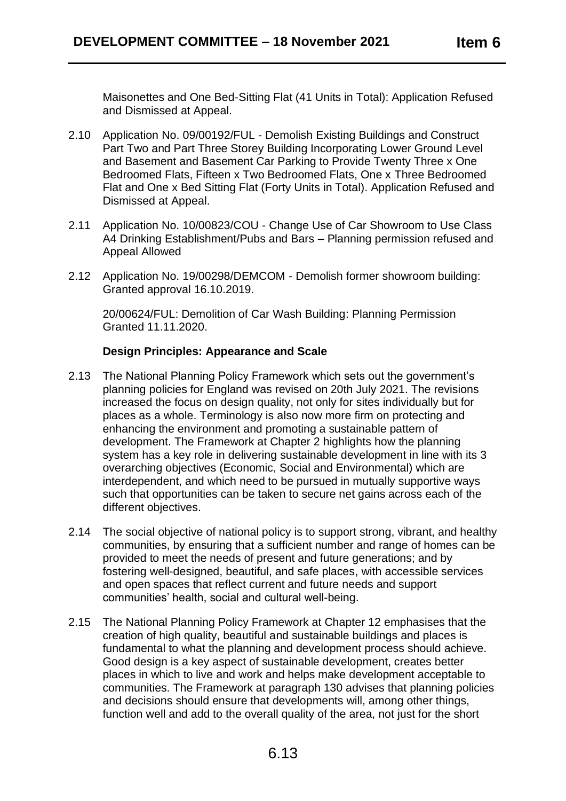Maisonettes and One Bed-Sitting Flat (41 Units in Total): Application Refused and Dismissed at Appeal.

- 2.10 Application No. 09/00192/FUL Demolish Existing Buildings and Construct Part Two and Part Three Storey Building Incorporating Lower Ground Level and Basement and Basement Car Parking to Provide Twenty Three x One Bedroomed Flats, Fifteen x Two Bedroomed Flats, One x Three Bedroomed Flat and One x Bed Sitting Flat (Forty Units in Total). Application Refused and Dismissed at Appeal.
- 2.11 Application No. 10/00823/COU Change Use of Car Showroom to Use Class A4 Drinking Establishment/Pubs and Bars – Planning permission refused and Appeal Allowed
- 2.12 Application No. 19/00298/DEMCOM Demolish former showroom building: Granted approval 16.10.2019.

20/00624/FUL: Demolition of Car Wash Building: Planning Permission Granted 11.11.2020.

## **Design Principles: Appearance and Scale**

- 2.13 The National Planning Policy Framework which sets out the government's planning policies for England was revised on 20th July 2021. The revisions increased the focus on design quality, not only for sites individually but for places as a whole. Terminology is also now more firm on protecting and enhancing the environment and promoting a sustainable pattern of development. The Framework at Chapter 2 highlights how the planning system has a key role in delivering sustainable development in line with its 3 overarching objectives (Economic, Social and Environmental) which are interdependent, and which need to be pursued in mutually supportive ways such that opportunities can be taken to secure net gains across each of the different objectives.
- 2.14 The social objective of national policy is to support strong, vibrant, and healthy communities, by ensuring that a sufficient number and range of homes can be provided to meet the needs of present and future generations; and by fostering well-designed, beautiful, and safe places, with accessible services and open spaces that reflect current and future needs and support communities' health, social and cultural well-being.
- 2.15 The National Planning Policy Framework at Chapter 12 emphasises that the creation of high quality, beautiful and sustainable buildings and places is fundamental to what the planning and development process should achieve. Good design is a key aspect of sustainable development, creates better places in which to live and work and helps make development acceptable to communities. The Framework at paragraph 130 advises that planning policies and decisions should ensure that developments will, among other things, function well and add to the overall quality of the area, not just for the short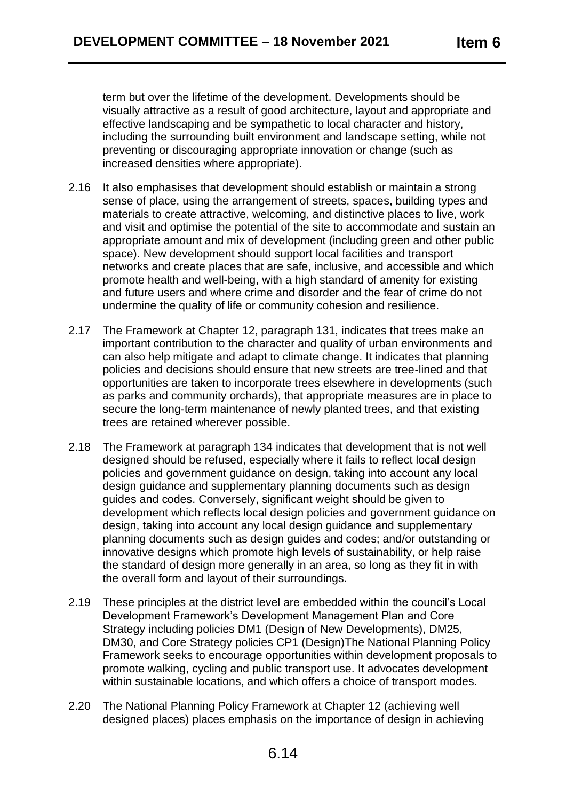term but over the lifetime of the development. Developments should be visually attractive as a result of good architecture, layout and appropriate and effective landscaping and be sympathetic to local character and history, including the surrounding built environment and landscape setting, while not preventing or discouraging appropriate innovation or change (such as increased densities where appropriate).

- 2.16 It also emphasises that development should establish or maintain a strong sense of place, using the arrangement of streets, spaces, building types and materials to create attractive, welcoming, and distinctive places to live, work and visit and optimise the potential of the site to accommodate and sustain an appropriate amount and mix of development (including green and other public space). New development should support local facilities and transport networks and create places that are safe, inclusive, and accessible and which promote health and well-being, with a high standard of amenity for existing and future users and where crime and disorder and the fear of crime do not undermine the quality of life or community cohesion and resilience.
- 2.17 The Framework at Chapter 12, paragraph 131, indicates that trees make an important contribution to the character and quality of urban environments and can also help mitigate and adapt to climate change. It indicates that planning policies and decisions should ensure that new streets are tree-lined and that opportunities are taken to incorporate trees elsewhere in developments (such as parks and community orchards), that appropriate measures are in place to secure the long-term maintenance of newly planted trees, and that existing trees are retained wherever possible.
- 2.18 The Framework at paragraph 134 indicates that development that is not well designed should be refused, especially where it fails to reflect local design policies and government guidance on design, taking into account any local design guidance and supplementary planning documents such as design guides and codes. Conversely, significant weight should be given to development which reflects local design policies and government guidance on design, taking into account any local design guidance and supplementary planning documents such as design guides and codes; and/or outstanding or innovative designs which promote high levels of sustainability, or help raise the standard of design more generally in an area, so long as they fit in with the overall form and layout of their surroundings.
- 2.19 These principles at the district level are embedded within the council's Local Development Framework's Development Management Plan and Core Strategy including policies DM1 (Design of New Developments), DM25, DM30, and Core Strategy policies CP1 (Design)The National Planning Policy Framework seeks to encourage opportunities within development proposals to promote walking, cycling and public transport use. It advocates development within sustainable locations, and which offers a choice of transport modes.
- 2.20 The National Planning Policy Framework at Chapter 12 (achieving well designed places) places emphasis on the importance of design in achieving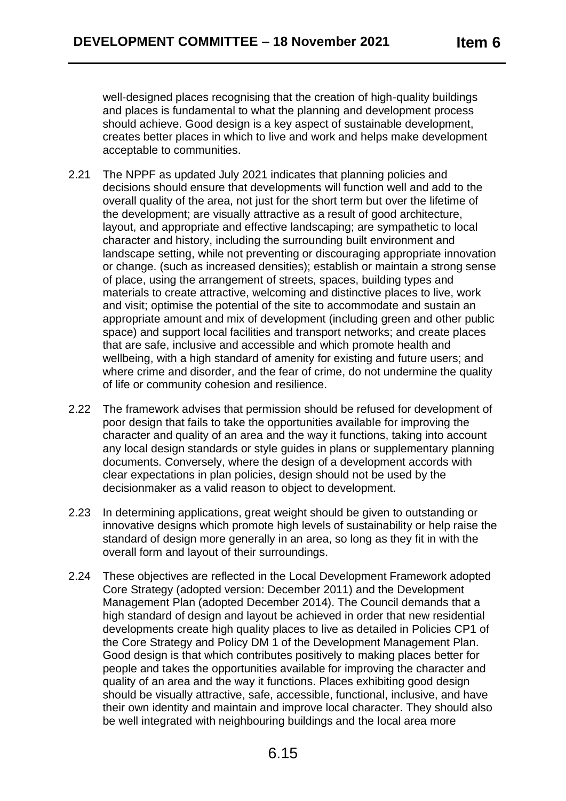well-designed places recognising that the creation of high-quality buildings and places is fundamental to what the planning and development process should achieve. Good design is a key aspect of sustainable development, creates better places in which to live and work and helps make development acceptable to communities.

- 2.21 The NPPF as updated July 2021 indicates that planning policies and decisions should ensure that developments will function well and add to the overall quality of the area, not just for the short term but over the lifetime of the development; are visually attractive as a result of good architecture, layout, and appropriate and effective landscaping; are sympathetic to local character and history, including the surrounding built environment and landscape setting, while not preventing or discouraging appropriate innovation or change. (such as increased densities); establish or maintain a strong sense of place, using the arrangement of streets, spaces, building types and materials to create attractive, welcoming and distinctive places to live, work and visit; optimise the potential of the site to accommodate and sustain an appropriate amount and mix of development (including green and other public space) and support local facilities and transport networks; and create places that are safe, inclusive and accessible and which promote health and wellbeing, with a high standard of amenity for existing and future users; and where crime and disorder, and the fear of crime, do not undermine the quality of life or community cohesion and resilience.
- 2.22 The framework advises that permission should be refused for development of poor design that fails to take the opportunities available for improving the character and quality of an area and the way it functions, taking into account any local design standards or style guides in plans or supplementary planning documents. Conversely, where the design of a development accords with clear expectations in plan policies, design should not be used by the decisionmaker as a valid reason to object to development.
- 2.23 In determining applications, great weight should be given to outstanding or innovative designs which promote high levels of sustainability or help raise the standard of design more generally in an area, so long as they fit in with the overall form and layout of their surroundings.
- 2.24 These objectives are reflected in the Local Development Framework adopted Core Strategy (adopted version: December 2011) and the Development Management Plan (adopted December 2014). The Council demands that a high standard of design and layout be achieved in order that new residential developments create high quality places to live as detailed in Policies CP1 of the Core Strategy and Policy DM 1 of the Development Management Plan. Good design is that which contributes positively to making places better for people and takes the opportunities available for improving the character and quality of an area and the way it functions. Places exhibiting good design should be visually attractive, safe, accessible, functional, inclusive, and have their own identity and maintain and improve local character. They should also be well integrated with neighbouring buildings and the local area more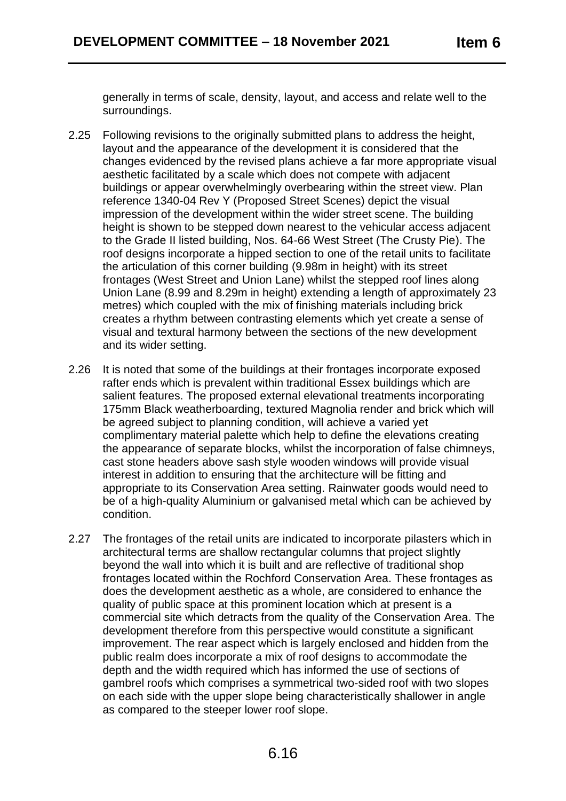generally in terms of scale, density, layout, and access and relate well to the surroundings.

- 2.25 Following revisions to the originally submitted plans to address the height, layout and the appearance of the development it is considered that the changes evidenced by the revised plans achieve a far more appropriate visual aesthetic facilitated by a scale which does not compete with adjacent buildings or appear overwhelmingly overbearing within the street view. Plan reference 1340-04 Rev Y (Proposed Street Scenes) depict the visual impression of the development within the wider street scene. The building height is shown to be stepped down nearest to the vehicular access adjacent to the Grade II listed building, Nos. 64-66 West Street (The Crusty Pie). The roof designs incorporate a hipped section to one of the retail units to facilitate the articulation of this corner building (9.98m in height) with its street frontages (West Street and Union Lane) whilst the stepped roof lines along Union Lane (8.99 and 8.29m in height) extending a length of approximately 23 metres) which coupled with the mix of finishing materials including brick creates a rhythm between contrasting elements which yet create a sense of visual and textural harmony between the sections of the new development and its wider setting.
- 2.26 It is noted that some of the buildings at their frontages incorporate exposed rafter ends which is prevalent within traditional Essex buildings which are salient features. The proposed external elevational treatments incorporating 175mm Black weatherboarding, textured Magnolia render and brick which will be agreed subject to planning condition, will achieve a varied yet complimentary material palette which help to define the elevations creating the appearance of separate blocks, whilst the incorporation of false chimneys, cast stone headers above sash style wooden windows will provide visual interest in addition to ensuring that the architecture will be fitting and appropriate to its Conservation Area setting. Rainwater goods would need to be of a high-quality Aluminium or galvanised metal which can be achieved by condition.
- 2.27 The frontages of the retail units are indicated to incorporate pilasters which in architectural terms are shallow rectangular columns that project slightly beyond the wall into which it is built and are reflective of traditional shop frontages located within the Rochford Conservation Area. These frontages as does the development aesthetic as a whole, are considered to enhance the quality of public space at this prominent location which at present is a commercial site which detracts from the quality of the Conservation Area. The development therefore from this perspective would constitute a significant improvement. The rear aspect which is largely enclosed and hidden from the public realm does incorporate a mix of roof designs to accommodate the depth and the width required which has informed the use of sections of gambrel roofs which comprises a symmetrical two-sided roof with two slopes on each side with the upper slope being characteristically shallower in angle as compared to the steeper lower roof slope.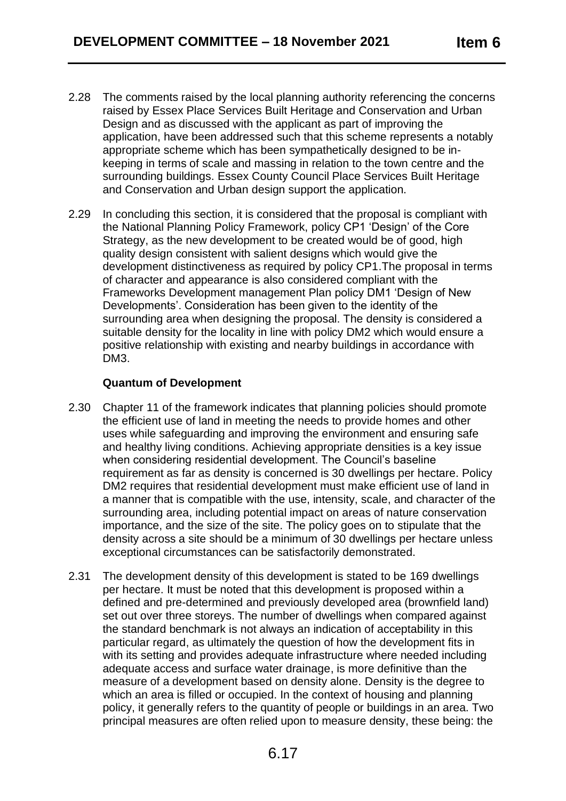- 2.28 The comments raised by the local planning authority referencing the concerns raised by Essex Place Services Built Heritage and Conservation and Urban Design and as discussed with the applicant as part of improving the application, have been addressed such that this scheme represents a notably appropriate scheme which has been sympathetically designed to be inkeeping in terms of scale and massing in relation to the town centre and the surrounding buildings. Essex County Council Place Services Built Heritage and Conservation and Urban design support the application.
- 2.29 In concluding this section, it is considered that the proposal is compliant with the National Planning Policy Framework, policy CP1 'Design' of the Core Strategy, as the new development to be created would be of good, high quality design consistent with salient designs which would give the development distinctiveness as required by policy CP1.The proposal in terms of character and appearance is also considered compliant with the Frameworks Development management Plan policy DM1 'Design of New Developments'. Consideration has been given to the identity of the surrounding area when designing the proposal. The density is considered a suitable density for the locality in line with policy DM2 which would ensure a positive relationship with existing and nearby buildings in accordance with DM3.

## **Quantum of Development**

- 2.30 Chapter 11 of the framework indicates that planning policies should promote the efficient use of land in meeting the needs to provide homes and other uses while safeguarding and improving the environment and ensuring safe and healthy living conditions. Achieving appropriate densities is a key issue when considering residential development. The Council's baseline requirement as far as density is concerned is 30 dwellings per hectare. Policy DM2 requires that residential development must make efficient use of land in a manner that is compatible with the use, intensity, scale, and character of the surrounding area, including potential impact on areas of nature conservation importance, and the size of the site. The policy goes on to stipulate that the density across a site should be a minimum of 30 dwellings per hectare unless exceptional circumstances can be satisfactorily demonstrated.
- 2.31 The development density of this development is stated to be 169 dwellings per hectare. It must be noted that this development is proposed within a defined and pre-determined and previously developed area (brownfield land) set out over three storeys. The number of dwellings when compared against the standard benchmark is not always an indication of acceptability in this particular regard, as ultimately the question of how the development fits in with its setting and provides adequate infrastructure where needed including adequate access and surface water drainage, is more definitive than the measure of a development based on density alone. Density is the degree to which an area is filled or occupied. In the context of housing and planning policy, it generally refers to the quantity of people or buildings in an area. Two principal measures are often relied upon to measure density, these being: the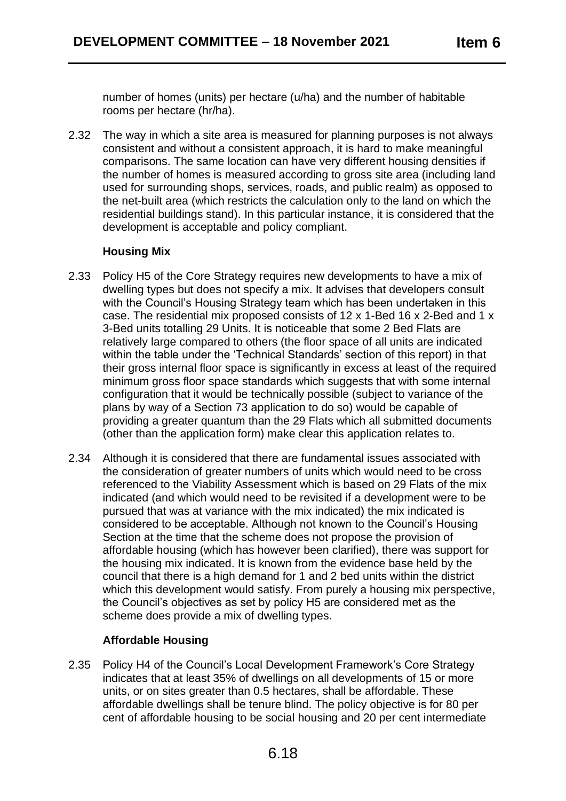number of homes (units) per hectare (u/ha) and the number of habitable rooms per hectare (hr/ha).

2.32 The way in which a site area is measured for planning purposes is not always consistent and without a consistent approach, it is hard to make meaningful comparisons. The same location can have very different housing densities if the number of homes is measured according to gross site area (including land used for surrounding shops, services, roads, and public realm) as opposed to the net-built area (which restricts the calculation only to the land on which the residential buildings stand). In this particular instance, it is considered that the development is acceptable and policy compliant.

## **Housing Mix**

- 2.33 Policy H5 of the Core Strategy requires new developments to have a mix of dwelling types but does not specify a mix. It advises that developers consult with the Council's Housing Strategy team which has been undertaken in this case. The residential mix proposed consists of 12 x 1-Bed 16 x 2-Bed and 1 x 3-Bed units totalling 29 Units. It is noticeable that some 2 Bed Flats are relatively large compared to others (the floor space of all units are indicated within the table under the 'Technical Standards' section of this report) in that their gross internal floor space is significantly in excess at least of the required minimum gross floor space standards which suggests that with some internal configuration that it would be technically possible (subject to variance of the plans by way of a Section 73 application to do so) would be capable of providing a greater quantum than the 29 Flats which all submitted documents (other than the application form) make clear this application relates to.
- 2.34 Although it is considered that there are fundamental issues associated with the consideration of greater numbers of units which would need to be cross referenced to the Viability Assessment which is based on 29 Flats of the mix indicated (and which would need to be revisited if a development were to be pursued that was at variance with the mix indicated) the mix indicated is considered to be acceptable. Although not known to the Council's Housing Section at the time that the scheme does not propose the provision of affordable housing (which has however been clarified), there was support for the housing mix indicated. It is known from the evidence base held by the council that there is a high demand for 1 and 2 bed units within the district which this development would satisfy. From purely a housing mix perspective, the Council's objectives as set by policy H5 are considered met as the scheme does provide a mix of dwelling types.

# **Affordable Housing**

2.35 Policy H4 of the Council's Local Development Framework's Core Strategy indicates that at least 35% of dwellings on all developments of 15 or more units, or on sites greater than 0.5 hectares, shall be affordable. These affordable dwellings shall be tenure blind. The policy objective is for 80 per cent of affordable housing to be social housing and 20 per cent intermediate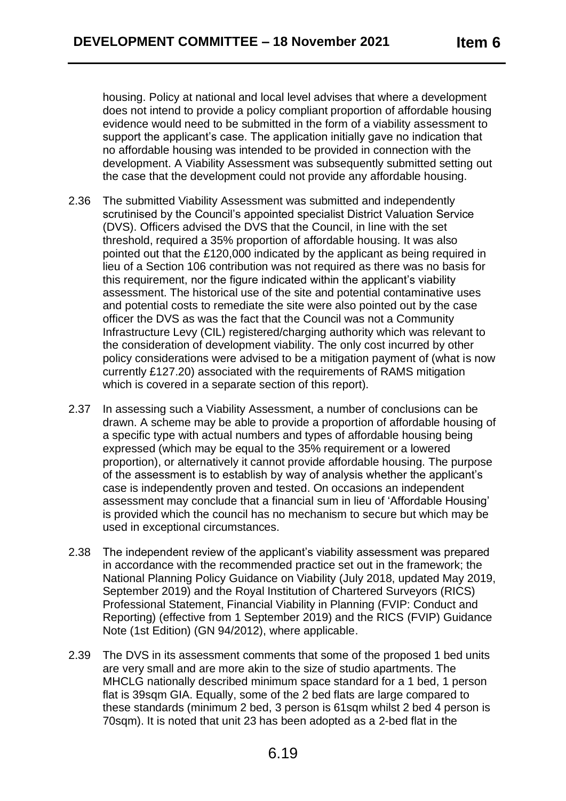housing. Policy at national and local level advises that where a development does not intend to provide a policy compliant proportion of affordable housing evidence would need to be submitted in the form of a viability assessment to support the applicant's case. The application initially gave no indication that no affordable housing was intended to be provided in connection with the development. A Viability Assessment was subsequently submitted setting out the case that the development could not provide any affordable housing.

- 2.36 The submitted Viability Assessment was submitted and independently scrutinised by the Council's appointed specialist District Valuation Service (DVS). Officers advised the DVS that the Council, in line with the set threshold, required a 35% proportion of affordable housing. It was also pointed out that the £120,000 indicated by the applicant as being required in lieu of a Section 106 contribution was not required as there was no basis for this requirement, nor the figure indicated within the applicant's viability assessment. The historical use of the site and potential contaminative uses and potential costs to remediate the site were also pointed out by the case officer the DVS as was the fact that the Council was not a Community Infrastructure Levy (CIL) registered/charging authority which was relevant to the consideration of development viability. The only cost incurred by other policy considerations were advised to be a mitigation payment of (what is now currently £127.20) associated with the requirements of RAMS mitigation which is covered in a separate section of this report).
- 2.37 In assessing such a Viability Assessment, a number of conclusions can be drawn. A scheme may be able to provide a proportion of affordable housing of a specific type with actual numbers and types of affordable housing being expressed (which may be equal to the 35% requirement or a lowered proportion), or alternatively it cannot provide affordable housing. The purpose of the assessment is to establish by way of analysis whether the applicant's case is independently proven and tested. On occasions an independent assessment may conclude that a financial sum in lieu of 'Affordable Housing' is provided which the council has no mechanism to secure but which may be used in exceptional circumstances.
- 2.38 The independent review of the applicant's viability assessment was prepared in accordance with the recommended practice set out in the framework; the National Planning Policy Guidance on Viability (July 2018, updated May 2019, September 2019) and the Royal Institution of Chartered Surveyors (RICS) Professional Statement, Financial Viability in Planning (FVIP: Conduct and Reporting) (effective from 1 September 2019) and the RICS (FVIP) Guidance Note (1st Edition) (GN 94/2012), where applicable.
- 2.39 The DVS in its assessment comments that some of the proposed 1 bed units are very small and are more akin to the size of studio apartments. The MHCLG nationally described minimum space standard for a 1 bed, 1 person flat is 39sqm GIA. Equally, some of the 2 bed flats are large compared to these standards (minimum 2 bed, 3 person is 61sqm whilst 2 bed 4 person is 70sqm). It is noted that unit 23 has been adopted as a 2-bed flat in the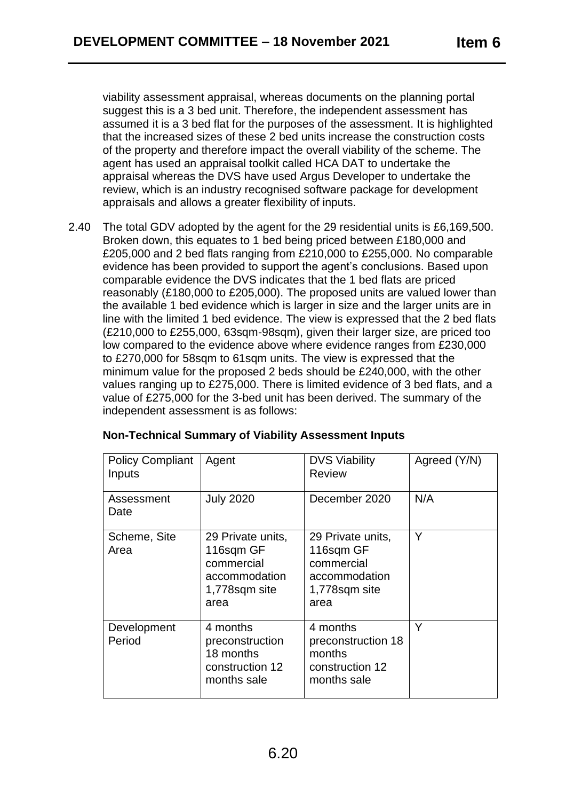viability assessment appraisal, whereas documents on the planning portal suggest this is a 3 bed unit. Therefore, the independent assessment has assumed it is a 3 bed flat for the purposes of the assessment. It is highlighted that the increased sizes of these 2 bed units increase the construction costs of the property and therefore impact the overall viability of the scheme. The agent has used an appraisal toolkit called HCA DAT to undertake the appraisal whereas the DVS have used Argus Developer to undertake the review, which is an industry recognised software package for development appraisals and allows a greater flexibility of inputs.

2.40 The total GDV adopted by the agent for the 29 residential units is £6,169,500. Broken down, this equates to 1 bed being priced between £180,000 and £205,000 and 2 bed flats ranging from £210,000 to £255,000. No comparable evidence has been provided to support the agent's conclusions. Based upon comparable evidence the DVS indicates that the 1 bed flats are priced reasonably (£180,000 to £205,000). The proposed units are valued lower than the available 1 bed evidence which is larger in size and the larger units are in line with the limited 1 bed evidence. The view is expressed that the 2 bed flats (£210,000 to £255,000, 63sqm-98sqm), given their larger size, are priced too low compared to the evidence above where evidence ranges from £230,000 to £270,000 for 58sqm to 61sqm units. The view is expressed that the minimum value for the proposed 2 beds should be £240,000, with the other values ranging up to £275,000. There is limited evidence of 3 bed flats, and a value of £275,000 for the 3-bed unit has been derived. The summary of the independent assessment is as follows:

| <b>Policy Compliant</b><br>Inputs | Agent                                                                                  | <b>DVS Viability</b><br><b>Review</b>                                                  | Agreed (Y/N) |
|-----------------------------------|----------------------------------------------------------------------------------------|----------------------------------------------------------------------------------------|--------------|
| Assessment<br>Date                | <b>July 2020</b>                                                                       | December 2020                                                                          | N/A          |
| Scheme, Site<br>Area              | 29 Private units,<br>116sqm GF<br>commercial<br>accommodation<br>1,778sqm site<br>area | 29 Private units,<br>116sqm GF<br>commercial<br>accommodation<br>1,778sqm site<br>area | Y            |
| Development<br>Period             | 4 months<br>preconstruction<br>18 months<br>construction 12<br>months sale             | 4 months<br>preconstruction 18<br>months<br>construction 12<br>months sale             | Y            |

### **Non-Technical Summary of Viability Assessment Inputs**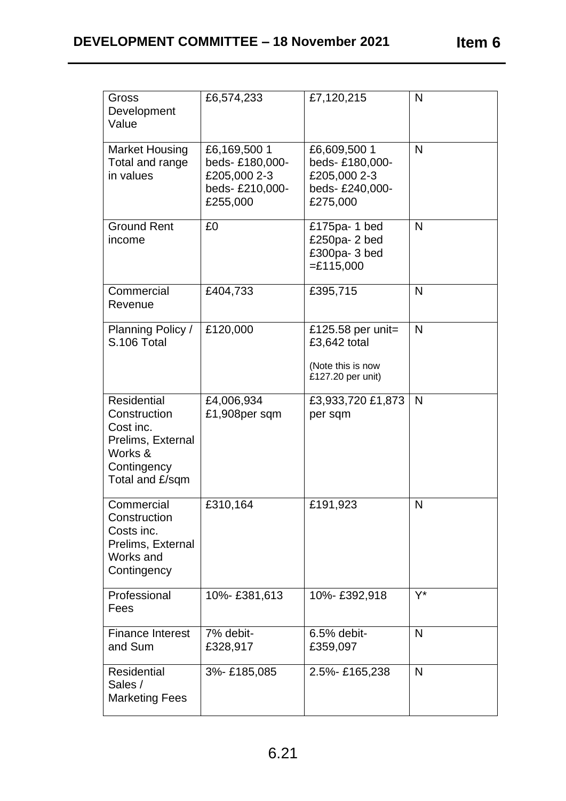| ltem |  |
|------|--|
|------|--|

| Gross<br>Development<br>Value                                                                                     | £6,574,233                                                                   | £7,120,215                                                                   | N            |
|-------------------------------------------------------------------------------------------------------------------|------------------------------------------------------------------------------|------------------------------------------------------------------------------|--------------|
| <b>Market Housing</b><br>Total and range<br>in values                                                             | £6,169,500 1<br>beds-£180,000-<br>£205,000 2-3<br>beds-£210,000-<br>£255,000 | £6,609,500 1<br>beds-£180,000-<br>£205,000 2-3<br>beds-£240,000-<br>£275,000 | N            |
| <b>Ground Rent</b><br>income                                                                                      | £0                                                                           | £175pa-1 bed<br>£250pa-2 bed<br>£300pa-3 bed<br>$=$ £115,000                 | N            |
| Commercial<br>Revenue                                                                                             | £404,733                                                                     | £395,715                                                                     | N            |
| Planning Policy /<br>S.106 Total                                                                                  | £120,000                                                                     | £125.58 per unit=<br>£3,642 total<br>(Note this is now<br>£127.20 per unit)  | $\mathsf{N}$ |
| <b>Residential</b><br>Construction<br>Cost inc.<br>Prelims, External<br>Works &<br>Contingency<br>Total and £/sqm | £4,006,934<br>£1,908per sqm                                                  | £3,933,720 £1,873<br>per sqm                                                 | N            |
| Commercial<br>Construction<br>Costs inc.<br>Prelims, External<br>Works and<br>Contingency                         | £310,164                                                                     | £191,923                                                                     | N            |
| Professional<br>Fees                                                                                              | 10%-£381,613                                                                 | 10%-£392,918                                                                 | $Y^*$        |
| <b>Finance Interest</b><br>and Sum                                                                                | 7% debit-<br>£328,917                                                        | $6.5%$ debit-<br>£359,097                                                    | N            |
| <b>Residential</b><br>Sales /<br><b>Marketing Fees</b>                                                            | 3%-£185,085                                                                  | 2.5%-£165,238                                                                | $\mathsf{N}$ |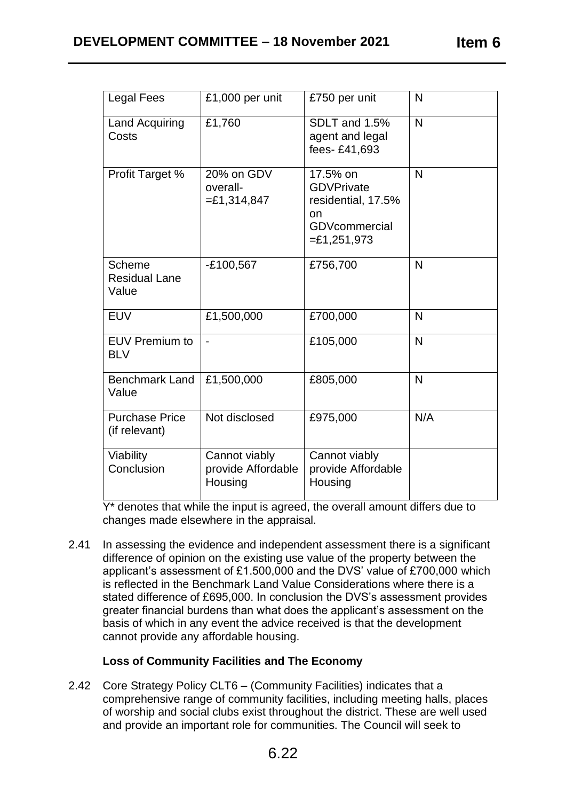| Item 6 |  |
|--------|--|
|--------|--|

| <b>Legal Fees</b>                              | £1,000 per unit                                | £750 per unit                                                                                       | $\mathsf{N}$ |
|------------------------------------------------|------------------------------------------------|-----------------------------------------------------------------------------------------------------|--------------|
| <b>Land Acquiring</b><br>Costs                 | £1,760                                         | SDLT and 1.5%<br>agent and legal<br>fees-£41,693                                                    | $\mathsf{N}$ |
| Profit Target %                                | 20% on GDV<br>overall-<br>$= £1,314,847$       | 17.5% on<br><b>GDVPrivate</b><br>residential, 17.5%<br>on<br><b>GDVcommercial</b><br>$= £1,251,973$ | $\mathsf{N}$ |
| <b>Scheme</b><br><b>Residual Lane</b><br>Value | $-E100,567$                                    | £756,700                                                                                            | $\mathsf{N}$ |
| <b>EUV</b>                                     | £1,500,000                                     | £700,000                                                                                            | $\mathsf{N}$ |
| <b>EUV Premium to</b><br><b>BLV</b>            |                                                | £105,000                                                                                            | N            |
| <b>Benchmark Land</b><br>Value                 | £1,500,000                                     | £805,000                                                                                            | $\mathsf{N}$ |
| <b>Purchase Price</b><br>(if relevant)         | Not disclosed                                  | £975,000                                                                                            | N/A          |
| Viability<br>Conclusion                        | Cannot viably<br>provide Affordable<br>Housing | Cannot viably<br>provide Affordable<br>Housing                                                      |              |

Y<sup>\*</sup> denotes that while the input is agreed, the overall amount differs due to changes made elsewhere in the appraisal.

2.41 In assessing the evidence and independent assessment there is a significant difference of opinion on the existing use value of the property between the applicant's assessment of £1.500,000 and the DVS' value of £700,000 which is reflected in the Benchmark Land Value Considerations where there is a stated difference of £695,000. In conclusion the DVS's assessment provides greater financial burdens than what does the applicant's assessment on the basis of which in any event the advice received is that the development cannot provide any affordable housing.

# **Loss of Community Facilities and The Economy**

2.42 Core Strategy Policy CLT6 – (Community Facilities) indicates that a comprehensive range of community facilities, including meeting halls, places of worship and social clubs exist throughout the district. These are well used and provide an important role for communities. The Council will seek to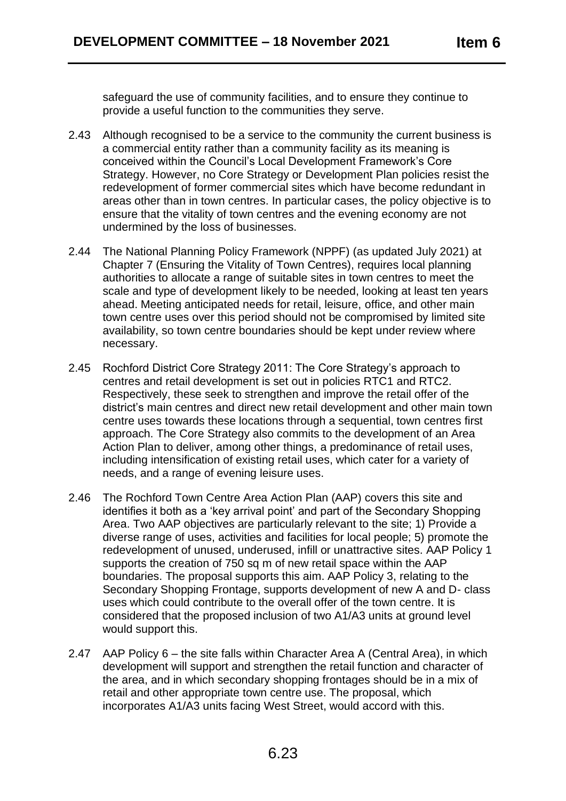safeguard the use of community facilities, and to ensure they continue to provide a useful function to the communities they serve.

- 2.43 Although recognised to be a service to the community the current business is a commercial entity rather than a community facility as its meaning is conceived within the Council's Local Development Framework's Core Strategy. However, no Core Strategy or Development Plan policies resist the redevelopment of former commercial sites which have become redundant in areas other than in town centres. In particular cases, the policy objective is to ensure that the vitality of town centres and the evening economy are not undermined by the loss of businesses.
- 2.44 The National Planning Policy Framework (NPPF) (as updated July 2021) at Chapter 7 (Ensuring the Vitality of Town Centres), requires local planning authorities to allocate a range of suitable sites in town centres to meet the scale and type of development likely to be needed, looking at least ten years ahead. Meeting anticipated needs for retail, leisure, office, and other main town centre uses over this period should not be compromised by limited site availability, so town centre boundaries should be kept under review where necessary.
- 2.45 Rochford District Core Strategy 2011: The Core Strategy's approach to centres and retail development is set out in policies RTC1 and RTC2. Respectively, these seek to strengthen and improve the retail offer of the district's main centres and direct new retail development and other main town centre uses towards these locations through a sequential, town centres first approach. The Core Strategy also commits to the development of an Area Action Plan to deliver, among other things, a predominance of retail uses, including intensification of existing retail uses, which cater for a variety of needs, and a range of evening leisure uses.
- 2.46 The Rochford Town Centre Area Action Plan (AAP) covers this site and identifies it both as a 'key arrival point' and part of the Secondary Shopping Area. Two AAP objectives are particularly relevant to the site; 1) Provide a diverse range of uses, activities and facilities for local people; 5) promote the redevelopment of unused, underused, infill or unattractive sites. AAP Policy 1 supports the creation of 750 sq m of new retail space within the AAP boundaries. The proposal supports this aim. AAP Policy 3, relating to the Secondary Shopping Frontage, supports development of new A and D- class uses which could contribute to the overall offer of the town centre. It is considered that the proposed inclusion of two A1/A3 units at ground level would support this.
- 2.47 AAP Policy 6 the site falls within Character Area A (Central Area), in which development will support and strengthen the retail function and character of the area, and in which secondary shopping frontages should be in a mix of retail and other appropriate town centre use. The proposal, which incorporates A1/A3 units facing West Street, would accord with this.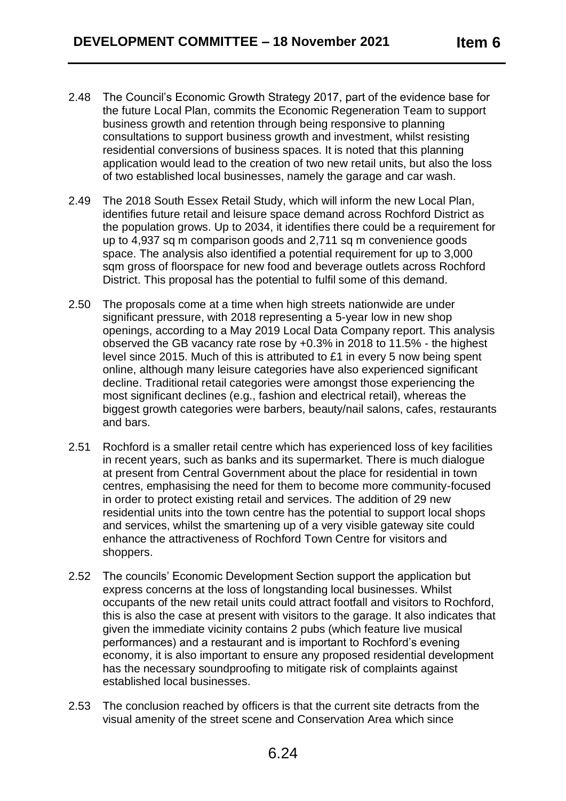- 2.48 The Council's Economic Growth Strategy 2017, part of the evidence base for the future Local Plan, commits the Economic Regeneration Team to support business growth and retention through being responsive to planning consultations to support business growth and investment, whilst resisting residential conversions of business spaces. It is noted that this planning application would lead to the creation of two new retail units, but also the loss of two established local businesses, namely the garage and car wash.
- 2.49 The 2018 South Essex Retail Study, which will inform the new Local Plan, identifies future retail and leisure space demand across Rochford District as the population grows. Up to 2034, it identifies there could be a requirement for up to 4,937 sq m comparison goods and 2,711 sq m convenience goods space. The analysis also identified a potential requirement for up to 3,000 sqm gross of floorspace for new food and beverage outlets across Rochford District. This proposal has the potential to fulfil some of this demand.
- 2.50 The proposals come at a time when high streets nationwide are under significant pressure, with 2018 representing a 5-year low in new shop openings, according to a May 2019 Local Data Company report. This analysis observed the GB vacancy rate rose by +0.3% in 2018 to 11.5% - the highest level since 2015. Much of this is attributed to £1 in every 5 now being spent online, although many leisure categories have also experienced significant decline. Traditional retail categories were amongst those experiencing the most significant declines (e.g., fashion and electrical retail), whereas the biggest growth categories were barbers, beauty/nail salons, cafes, restaurants and bars.
- 2.51 Rochford is a smaller retail centre which has experienced loss of key facilities in recent years, such as banks and its supermarket. There is much dialogue at present from Central Government about the place for residential in town centres, emphasising the need for them to become more community-focused in order to protect existing retail and services. The addition of 29 new residential units into the town centre has the potential to support local shops and services, whilst the smartening up of a very visible gateway site could enhance the attractiveness of Rochford Town Centre for visitors and shoppers.
- 2.52 The councils' Economic Development Section support the application but express concerns at the loss of longstanding local businesses. Whilst occupants of the new retail units could attract footfall and visitors to Rochford, this is also the case at present with visitors to the garage. It also indicates that given the immediate vicinity contains 2 pubs (which feature live musical performances) and a restaurant and is important to Rochford's evening economy, it is also important to ensure any proposed residential development has the necessary soundproofing to mitigate risk of complaints against established local businesses.
- 2.53 The conclusion reached by officers is that the current site detracts from the visual amenity of the street scene and Conservation Area which since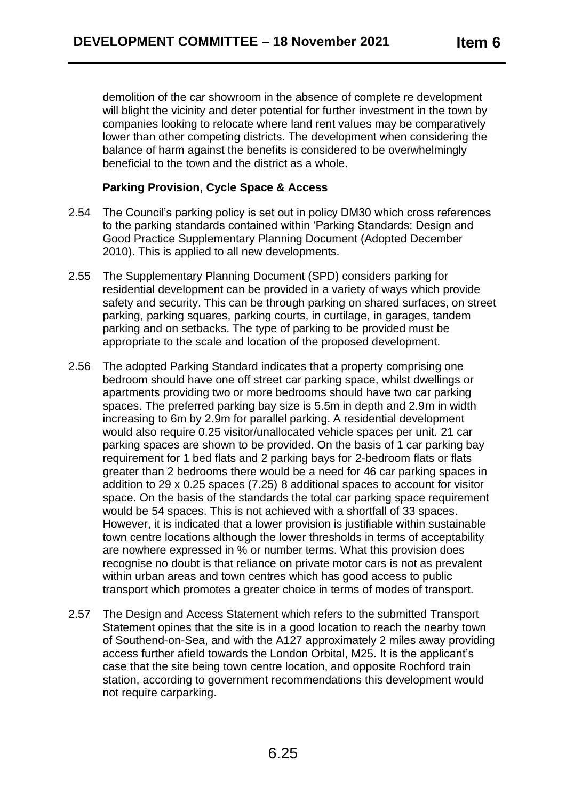demolition of the car showroom in the absence of complete re development will blight the vicinity and deter potential for further investment in the town by companies looking to relocate where land rent values may be comparatively lower than other competing districts. The development when considering the balance of harm against the benefits is considered to be overwhelmingly beneficial to the town and the district as a whole.

## **Parking Provision, Cycle Space & Access**

- 2.54 The Council's parking policy is set out in policy DM30 which cross references to the parking standards contained within 'Parking Standards: Design and Good Practice Supplementary Planning Document (Adopted December 2010). This is applied to all new developments.
- 2.55 The Supplementary Planning Document (SPD) considers parking for residential development can be provided in a variety of ways which provide safety and security. This can be through parking on shared surfaces, on street parking, parking squares, parking courts, in curtilage, in garages, tandem parking and on setbacks. The type of parking to be provided must be appropriate to the scale and location of the proposed development.
- 2.56 The adopted Parking Standard indicates that a property comprising one bedroom should have one off street car parking space, whilst dwellings or apartments providing two or more bedrooms should have two car parking spaces. The preferred parking bay size is 5.5m in depth and 2.9m in width increasing to 6m by 2.9m for parallel parking. A residential development would also require 0.25 visitor/unallocated vehicle spaces per unit. 21 car parking spaces are shown to be provided. On the basis of 1 car parking bay requirement for 1 bed flats and 2 parking bays for 2-bedroom flats or flats greater than 2 bedrooms there would be a need for 46 car parking spaces in addition to 29 x 0.25 spaces (7.25) 8 additional spaces to account for visitor space. On the basis of the standards the total car parking space requirement would be 54 spaces. This is not achieved with a shortfall of 33 spaces. However, it is indicated that a lower provision is justifiable within sustainable town centre locations although the lower thresholds in terms of acceptability are nowhere expressed in % or number terms. What this provision does recognise no doubt is that reliance on private motor cars is not as prevalent within urban areas and town centres which has good access to public transport which promotes a greater choice in terms of modes of transport.
- 2.57 The Design and Access Statement which refers to the submitted Transport Statement opines that the site is in a good location to reach the nearby town of Southend-on-Sea, and with the A127 approximately 2 miles away providing access further afield towards the London Orbital, M25. It is the applicant's case that the site being town centre location, and opposite Rochford train station, according to government recommendations this development would not require carparking.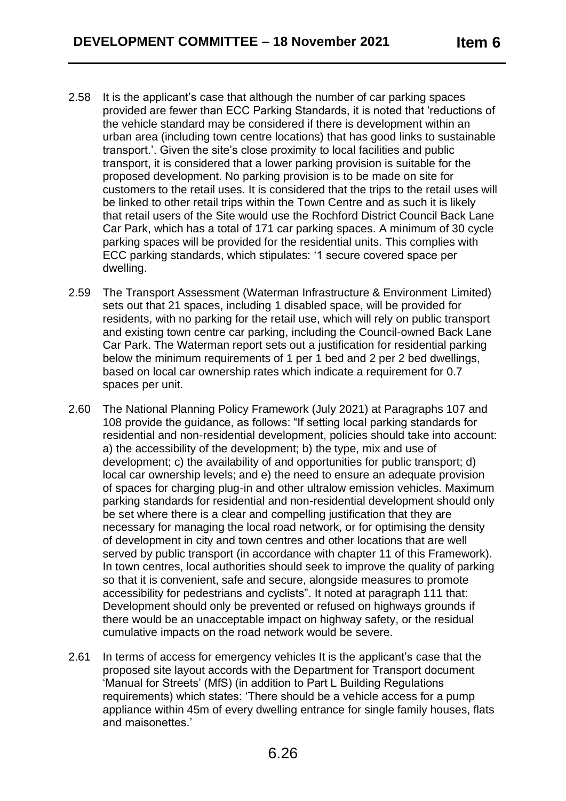- 2.58 It is the applicant's case that although the number of car parking spaces provided are fewer than ECC Parking Standards, it is noted that 'reductions of the vehicle standard may be considered if there is development within an urban area (including town centre locations) that has good links to sustainable transport.'. Given the site's close proximity to local facilities and public transport, it is considered that a lower parking provision is suitable for the proposed development. No parking provision is to be made on site for customers to the retail uses. It is considered that the trips to the retail uses will be linked to other retail trips within the Town Centre and as such it is likely that retail users of the Site would use the Rochford District Council Back Lane Car Park, which has a total of 171 car parking spaces. A minimum of 30 cycle parking spaces will be provided for the residential units. This complies with ECC parking standards, which stipulates: '1 secure covered space per dwelling.
- 2.59 The Transport Assessment (Waterman Infrastructure & Environment Limited) sets out that 21 spaces, including 1 disabled space, will be provided for residents, with no parking for the retail use, which will rely on public transport and existing town centre car parking, including the Council-owned Back Lane Car Park. The Waterman report sets out a justification for residential parking below the minimum requirements of 1 per 1 bed and 2 per 2 bed dwellings, based on local car ownership rates which indicate a requirement for 0.7 spaces per unit.
- 2.60 The National Planning Policy Framework (July 2021) at Paragraphs 107 and 108 provide the guidance, as follows: "If setting local parking standards for residential and non-residential development, policies should take into account: a) the accessibility of the development; b) the type, mix and use of development; c) the availability of and opportunities for public transport; d) local car ownership levels; and e) the need to ensure an adequate provision of spaces for charging plug-in and other ultralow emission vehicles. Maximum parking standards for residential and non-residential development should only be set where there is a clear and compelling justification that they are necessary for managing the local road network, or for optimising the density of development in city and town centres and other locations that are well served by public transport (in accordance with chapter 11 of this Framework). In town centres, local authorities should seek to improve the quality of parking so that it is convenient, safe and secure, alongside measures to promote accessibility for pedestrians and cyclists". It noted at paragraph 111 that: Development should only be prevented or refused on highways grounds if there would be an unacceptable impact on highway safety, or the residual cumulative impacts on the road network would be severe.
- 2.61 In terms of access for emergency vehicles It is the applicant's case that the proposed site layout accords with the Department for Transport document 'Manual for Streets' (MfS) (in addition to Part L Building Regulations requirements) which states: 'There should be a vehicle access for a pump appliance within 45m of every dwelling entrance for single family houses, flats and maisonettes.'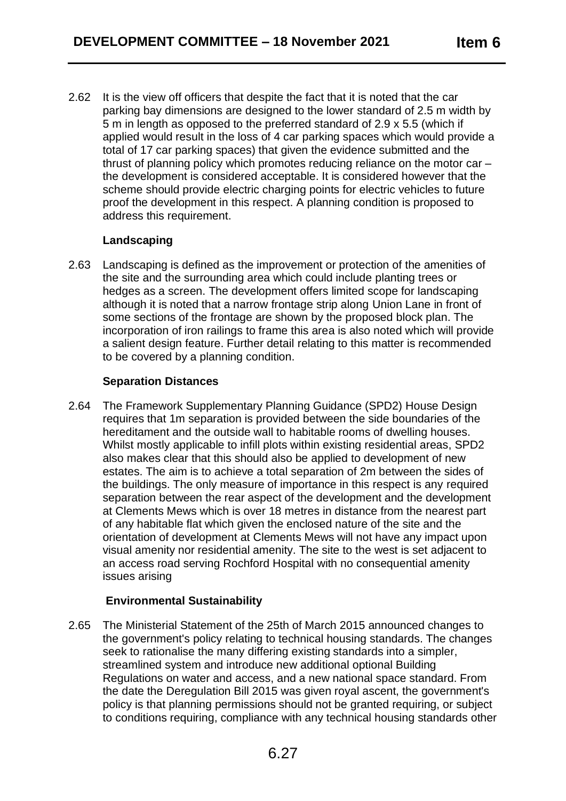2.62 It is the view off officers that despite the fact that it is noted that the car parking bay dimensions are designed to the lower standard of 2.5 m width by 5 m in length as opposed to the preferred standard of 2.9 x 5.5 (which if applied would result in the loss of 4 car parking spaces which would provide a total of 17 car parking spaces) that given the evidence submitted and the thrust of planning policy which promotes reducing reliance on the motor car – the development is considered acceptable. It is considered however that the scheme should provide electric charging points for electric vehicles to future proof the development in this respect. A planning condition is proposed to address this requirement.

## **Landscaping**

2.63 Landscaping is defined as the improvement or protection of the amenities of the site and the surrounding area which could include planting trees or hedges as a screen. The development offers limited scope for landscaping although it is noted that a narrow frontage strip along Union Lane in front of some sections of the frontage are shown by the proposed block plan. The incorporation of iron railings to frame this area is also noted which will provide a salient design feature. Further detail relating to this matter is recommended to be covered by a planning condition.

# **Separation Distances**

2.64 The Framework Supplementary Planning Guidance (SPD2) House Design requires that 1m separation is provided between the side boundaries of the hereditament and the outside wall to habitable rooms of dwelling houses. Whilst mostly applicable to infill plots within existing residential areas, SPD2 also makes clear that this should also be applied to development of new estates. The aim is to achieve a total separation of 2m between the sides of the buildings. The only measure of importance in this respect is any required separation between the rear aspect of the development and the development at Clements Mews which is over 18 metres in distance from the nearest part of any habitable flat which given the enclosed nature of the site and the orientation of development at Clements Mews will not have any impact upon visual amenity nor residential amenity. The site to the west is set adjacent to an access road serving Rochford Hospital with no consequential amenity issues arising

# **Environmental Sustainability**

2.65 The Ministerial Statement of the 25th of March 2015 announced changes to the government's policy relating to technical housing standards. The changes seek to rationalise the many differing existing standards into a simpler, streamlined system and introduce new additional optional Building Regulations on water and access, and a new national space standard. From the date the Deregulation Bill 2015 was given royal ascent, the government's policy is that planning permissions should not be granted requiring, or subject to conditions requiring, compliance with any technical housing standards other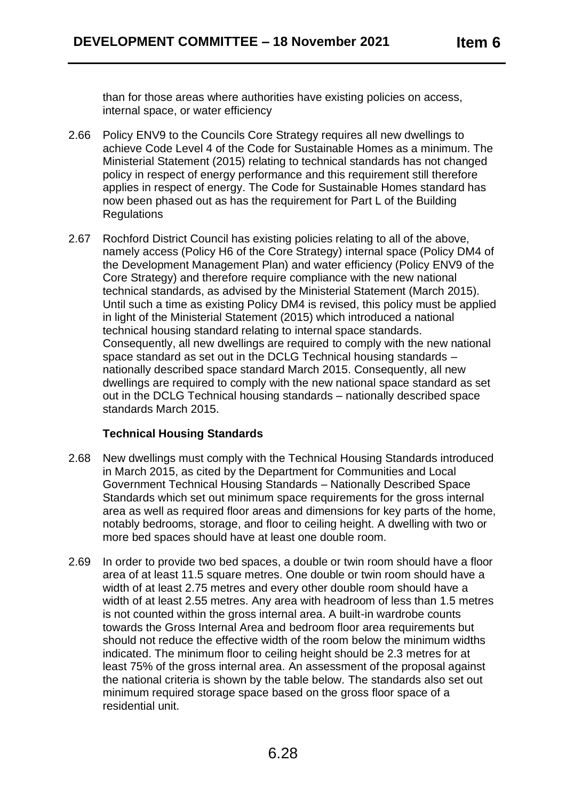than for those areas where authorities have existing policies on access, internal space, or water efficiency

- 2.66 Policy ENV9 to the Councils Core Strategy requires all new dwellings to achieve Code Level 4 of the Code for Sustainable Homes as a minimum. The Ministerial Statement (2015) relating to technical standards has not changed policy in respect of energy performance and this requirement still therefore applies in respect of energy. The Code for Sustainable Homes standard has now been phased out as has the requirement for Part L of the Building **Regulations**
- 2.67 Rochford District Council has existing policies relating to all of the above, namely access (Policy H6 of the Core Strategy) internal space (Policy DM4 of the Development Management Plan) and water efficiency (Policy ENV9 of the Core Strategy) and therefore require compliance with the new national technical standards, as advised by the Ministerial Statement (March 2015). Until such a time as existing Policy DM4 is revised, this policy must be applied in light of the Ministerial Statement (2015) which introduced a national technical housing standard relating to internal space standards. Consequently, all new dwellings are required to comply with the new national space standard as set out in the DCLG Technical housing standards – nationally described space standard March 2015. Consequently, all new dwellings are required to comply with the new national space standard as set out in the DCLG Technical housing standards – nationally described space standards March 2015.

# **Technical Housing Standards**

- 2.68 New dwellings must comply with the Technical Housing Standards introduced in March 2015, as cited by the Department for Communities and Local Government Technical Housing Standards – Nationally Described Space Standards which set out minimum space requirements for the gross internal area as well as required floor areas and dimensions for key parts of the home, notably bedrooms, storage, and floor to ceiling height. A dwelling with two or more bed spaces should have at least one double room.
- 2.69 In order to provide two bed spaces, a double or twin room should have a floor area of at least 11.5 square metres. One double or twin room should have a width of at least 2.75 metres and every other double room should have a width of at least 2.55 metres. Any area with headroom of less than 1.5 metres is not counted within the gross internal area. A built-in wardrobe counts towards the Gross Internal Area and bedroom floor area requirements but should not reduce the effective width of the room below the minimum widths indicated. The minimum floor to ceiling height should be 2.3 metres for at least 75% of the gross internal area. An assessment of the proposal against the national criteria is shown by the table below. The standards also set out minimum required storage space based on the gross floor space of a residential unit.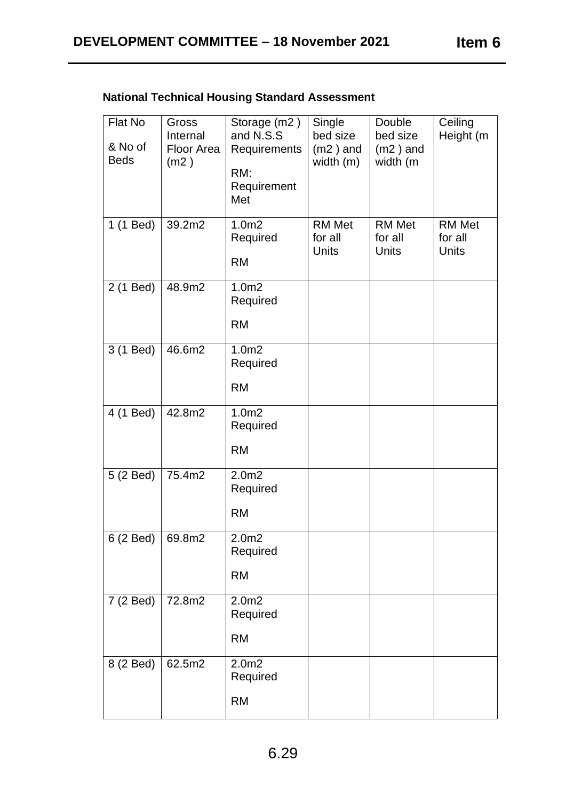| Flat No<br>& No of<br><b>Beds</b> | Gross<br>Internal<br>Floor Area<br>(m2) | Storage (m2)<br>and N.S.S<br>Requirements<br>RM:<br>Requirement<br>Met | Single<br>bed size<br>$(m2)$ and<br>width $(m)$ | Double<br>bed size<br>$(m2)$ and<br>width (m | Ceiling<br>Height (m       |
|-----------------------------------|-----------------------------------------|------------------------------------------------------------------------|-------------------------------------------------|----------------------------------------------|----------------------------|
| 1 (1 Bed)                         | 39.2m2                                  | 1.0 <sub>m2</sub><br>Required<br><b>RM</b>                             | <b>RM Met</b><br>for all<br>Units               | <b>RM Met</b><br>for all<br><b>Units</b>     | RM Met<br>for all<br>Units |
| 2 (1 Bed)                         | 48.9m2                                  | 1.0 <sub>m2</sub><br>Required<br><b>RM</b>                             |                                                 |                                              |                            |
| 3 (1 Bed)                         | 46.6m2                                  | 1.0 <sub>m2</sub><br>Required<br><b>RM</b>                             |                                                 |                                              |                            |
| 4 (1 Bed)                         | 42.8m2                                  | 1.0 <sub>m2</sub><br>Required<br><b>RM</b>                             |                                                 |                                              |                            |
| 5 (2 Bed)                         | 75.4m2                                  | 2.0 <sub>m2</sub><br>Required<br><b>RM</b>                             |                                                 |                                              |                            |
| 6 (2 Bed) $ 69.8m2$               |                                         | 2.0 <sub>m2</sub><br>Required<br><b>RM</b>                             |                                                 |                                              |                            |
| 7 (2 Bed)                         | 72.8m2                                  | 2.0 <sub>m2</sub><br>Required<br><b>RM</b>                             |                                                 |                                              |                            |
| 8 (2 Bed)                         | 62.5m2                                  | 2.0 <sub>m2</sub><br>Required<br><b>RM</b>                             |                                                 |                                              |                            |

# **National Technical Housing Standard Assessment**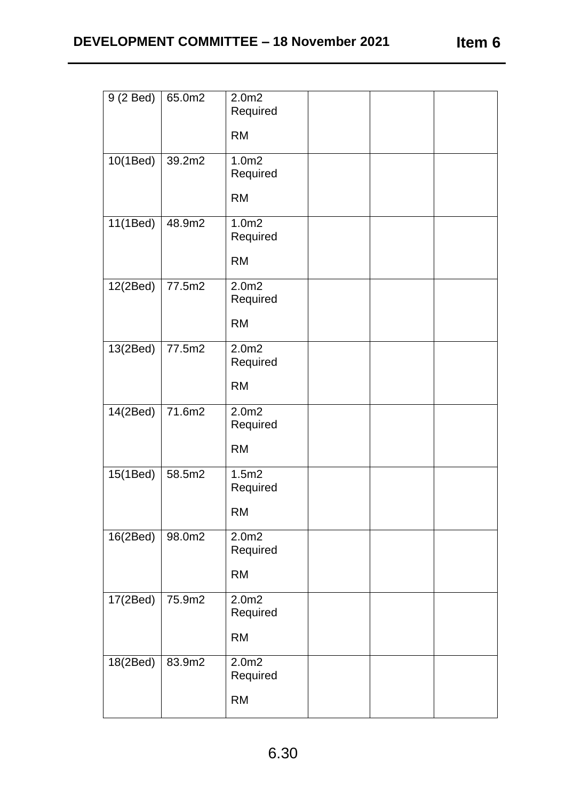| Item 6 |  |
|--------|--|
|        |  |

| 9 (2 Bed) | 65.0m2 | 2.0m2<br>Required<br><b>RM</b>             |  |  |
|-----------|--------|--------------------------------------------|--|--|
| 10(1Bed)  | 39.2m2 | 1.0 <sub>m2</sub><br>Required<br><b>RM</b> |  |  |
| 11(1Bed)  | 48.9m2 | 1.0 <sub>m2</sub><br>Required<br><b>RM</b> |  |  |
| 12(2Bed)  | 77.5m2 | 2.0 <sub>m2</sub><br>Required<br><b>RM</b> |  |  |
| 13(2Bed)  | 77.5m2 | 2.0 <sub>m2</sub><br>Required<br><b>RM</b> |  |  |
| 14(2Bed)  | 71.6m2 | 2.0 <sub>m2</sub><br>Required<br><b>RM</b> |  |  |
| 15(1Bed)  | 58.5m2 | 1.5m2<br>Required<br><b>RM</b>             |  |  |
| 16(2Bed)  | 98.0m2 | 2.0 <sub>m2</sub><br>Required<br><b>RM</b> |  |  |
| 17(2Bed)  | 75.9m2 | 2.0 <sub>m2</sub><br>Required<br><b>RM</b> |  |  |
| 18(2Bed)  | 83.9m2 | 2.0m2<br>Required<br><b>RM</b>             |  |  |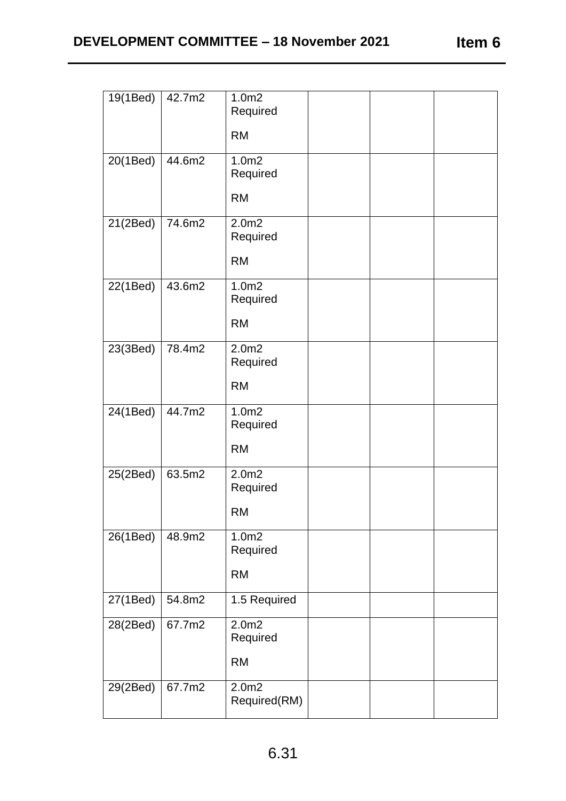| 19(1Bed) | 42.7m2 | 1.0 <sub>m2</sub><br>Required<br><b>RM</b> |  |  |
|----------|--------|--------------------------------------------|--|--|
| 20(1Bed) | 44.6m2 | 1.0 <sub>m2</sub><br>Required<br><b>RM</b> |  |  |
| 21(2Bed) | 74.6m2 | 2.0 <sub>m2</sub><br>Required<br><b>RM</b> |  |  |
| 22(1Bed) | 43.6m2 | 1.0 <sub>m2</sub><br>Required<br><b>RM</b> |  |  |
| 23(3Bed) | 78.4m2 | 2.0 <sub>m2</sub><br>Required<br><b>RM</b> |  |  |
| 24(1Bed) | 44.7m2 | 1.0 <sub>m2</sub><br>Required<br><b>RM</b> |  |  |
| 25(2Bed) | 63.5m2 | 2.0 <sub>m2</sub><br>Required<br><b>RM</b> |  |  |
| 26(1Bed) | 48.9m2 | 1.0 <sub>m2</sub><br>Required<br><b>RM</b> |  |  |
| 27(1Bed) | 54.8m2 | 1.5 Required                               |  |  |
| 28(2Bed) | 67.7m2 | 2.0 <sub>m2</sub><br>Required<br><b>RM</b> |  |  |
| 29(2Bed) | 67.7m2 | 2.0 <sub>m2</sub><br>Required(RM)          |  |  |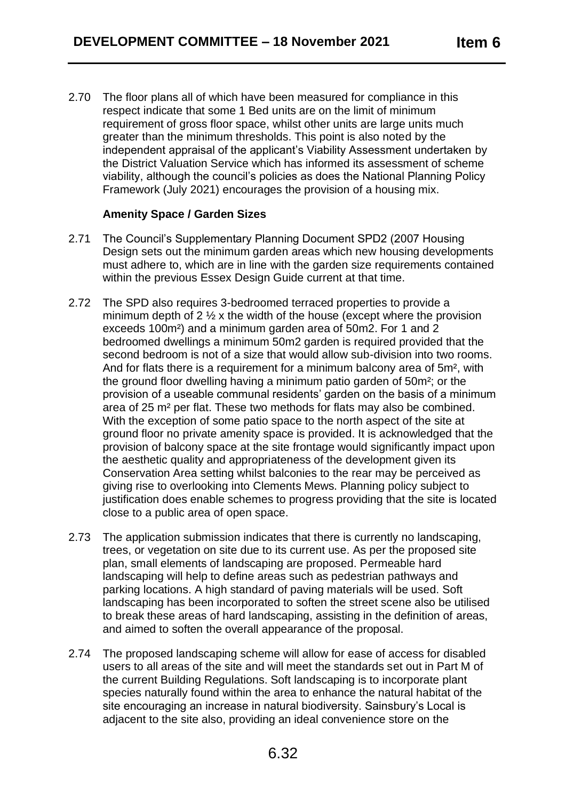2.70 The floor plans all of which have been measured for compliance in this respect indicate that some 1 Bed units are on the limit of minimum requirement of gross floor space, whilst other units are large units much greater than the minimum thresholds. This point is also noted by the independent appraisal of the applicant's Viability Assessment undertaken by the District Valuation Service which has informed its assessment of scheme viability, although the council's policies as does the National Planning Policy Framework (July 2021) encourages the provision of a housing mix.

## **Amenity Space / Garden Sizes**

- 2.71 The Council's Supplementary Planning Document SPD2 (2007 Housing Design sets out the minimum garden areas which new housing developments must adhere to, which are in line with the garden size requirements contained within the previous Essex Design Guide current at that time.
- 2.72 The SPD also requires 3-bedroomed terraced properties to provide a minimum depth of  $2 \frac{1}{2}$  x the width of the house (except where the provision exceeds 100m²) and a minimum garden area of 50m2. For 1 and 2 bedroomed dwellings a minimum 50m2 garden is required provided that the second bedroom is not of a size that would allow sub-division into two rooms. And for flats there is a requirement for a minimum balcony area of 5m<sup>2</sup>, with the ground floor dwelling having a minimum patio garden of 50m²; or the provision of a useable communal residents' garden on the basis of a minimum area of 25 m² per flat. These two methods for flats may also be combined. With the exception of some patio space to the north aspect of the site at ground floor no private amenity space is provided. It is acknowledged that the provision of balcony space at the site frontage would significantly impact upon the aesthetic quality and appropriateness of the development given its Conservation Area setting whilst balconies to the rear may be perceived as giving rise to overlooking into Clements Mews. Planning policy subject to justification does enable schemes to progress providing that the site is located close to a public area of open space.
- 2.73 The application submission indicates that there is currently no landscaping, trees, or vegetation on site due to its current use. As per the proposed site plan, small elements of landscaping are proposed. Permeable hard landscaping will help to define areas such as pedestrian pathways and parking locations. A high standard of paving materials will be used. Soft landscaping has been incorporated to soften the street scene also be utilised to break these areas of hard landscaping, assisting in the definition of areas, and aimed to soften the overall appearance of the proposal.
- 2.74 The proposed landscaping scheme will allow for ease of access for disabled users to all areas of the site and will meet the standards set out in Part M of the current Building Regulations. Soft landscaping is to incorporate plant species naturally found within the area to enhance the natural habitat of the site encouraging an increase in natural biodiversity. Sainsbury's Local is adjacent to the site also, providing an ideal convenience store on the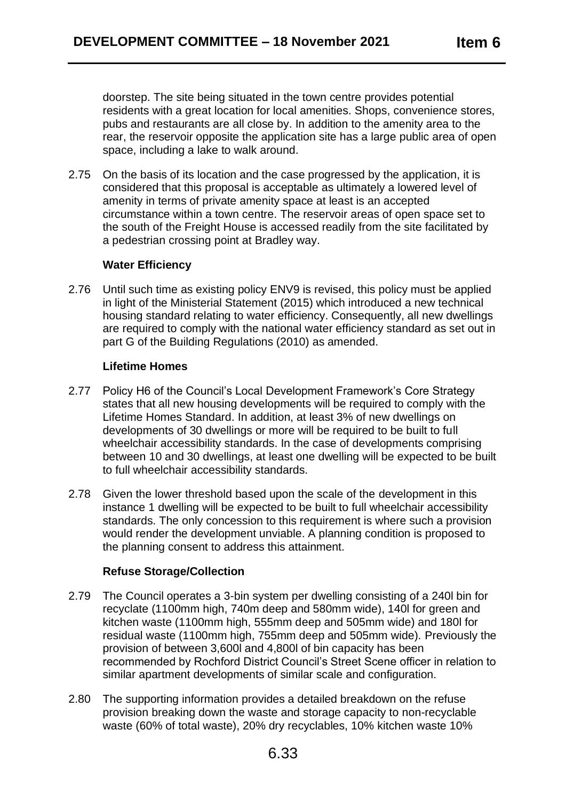doorstep. The site being situated in the town centre provides potential residents with a great location for local amenities. Shops, convenience stores, pubs and restaurants are all close by. In addition to the amenity area to the rear, the reservoir opposite the application site has a large public area of open space, including a lake to walk around.

2.75 On the basis of its location and the case progressed by the application, it is considered that this proposal is acceptable as ultimately a lowered level of amenity in terms of private amenity space at least is an accepted circumstance within a town centre. The reservoir areas of open space set to the south of the Freight House is accessed readily from the site facilitated by a pedestrian crossing point at Bradley way.

### **Water Efficiency**

2.76 Until such time as existing policy ENV9 is revised, this policy must be applied in light of the Ministerial Statement (2015) which introduced a new technical housing standard relating to water efficiency. Consequently, all new dwellings are required to comply with the national water efficiency standard as set out in part G of the Building Regulations (2010) as amended.

## **Lifetime Homes**

- 2.77 Policy H6 of the Council's Local Development Framework's Core Strategy states that all new housing developments will be required to comply with the Lifetime Homes Standard. In addition, at least 3% of new dwellings on developments of 30 dwellings or more will be required to be built to full wheelchair accessibility standards. In the case of developments comprising between 10 and 30 dwellings, at least one dwelling will be expected to be built to full wheelchair accessibility standards.
- 2.78 Given the lower threshold based upon the scale of the development in this instance 1 dwelling will be expected to be built to full wheelchair accessibility standards. The only concession to this requirement is where such a provision would render the development unviable. A planning condition is proposed to the planning consent to address this attainment.

### **Refuse Storage/Collection**

- 2.79 The Council operates a 3-bin system per dwelling consisting of a 240l bin for recyclate (1100mm high, 740m deep and 580mm wide), 140l for green and kitchen waste (1100mm high, 555mm deep and 505mm wide) and 180l for residual waste (1100mm high, 755mm deep and 505mm wide). Previously the provision of between 3,600l and 4,800l of bin capacity has been recommended by Rochford District Council's Street Scene officer in relation to similar apartment developments of similar scale and configuration.
- 2.80 The supporting information provides a detailed breakdown on the refuse provision breaking down the waste and storage capacity to non-recyclable waste (60% of total waste), 20% dry recyclables, 10% kitchen waste 10%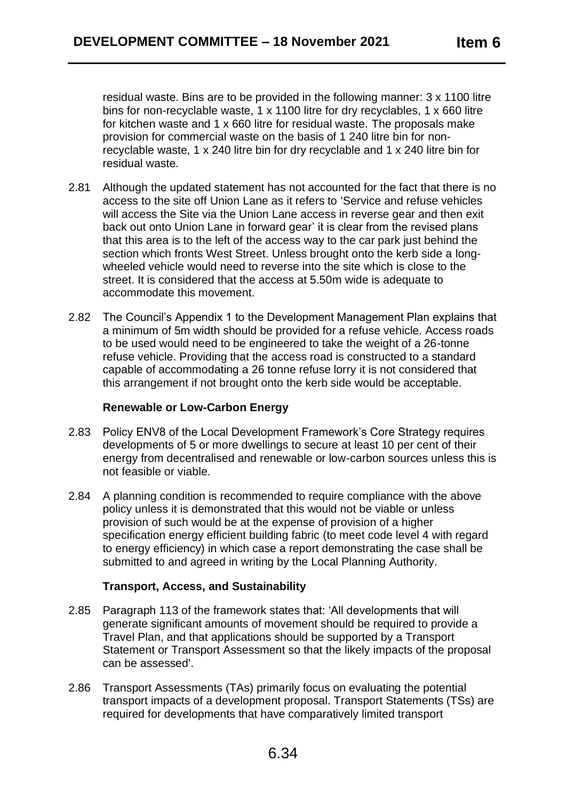residual waste. Bins are to be provided in the following manner: 3 x 1100 litre bins for non-recyclable waste, 1 x 1100 litre for dry recyclables, 1 x 660 litre for kitchen waste and 1 x 660 litre for residual waste. The proposals make provision for commercial waste on the basis of 1 240 litre bin for nonrecyclable waste, 1 x 240 litre bin for dry recyclable and 1 x 240 litre bin for residual waste.

- 2.81 Although the updated statement has not accounted for the fact that there is no access to the site off Union Lane as it refers to 'Service and refuse vehicles will access the Site via the Union Lane access in reverse gear and then exit back out onto Union Lane in forward gear' it is clear from the revised plans that this area is to the left of the access way to the car park just behind the section which fronts West Street. Unless brought onto the kerb side a longwheeled vehicle would need to reverse into the site which is close to the street. It is considered that the access at 5.50m wide is adequate to accommodate this movement.
- 2.82 The Council's Appendix 1 to the Development Management Plan explains that a minimum of 5m width should be provided for a refuse vehicle. Access roads to be used would need to be engineered to take the weight of a 26-tonne refuse vehicle. Providing that the access road is constructed to a standard capable of accommodating a 26 tonne refuse lorry it is not considered that this arrangement if not brought onto the kerb side would be acceptable.

### **Renewable or Low-Carbon Energy**

- 2.83 Policy ENV8 of the Local Development Framework's Core Strategy requires developments of 5 or more dwellings to secure at least 10 per cent of their energy from decentralised and renewable or low-carbon sources unless this is not feasible or viable.
- 2.84 A planning condition is recommended to require compliance with the above policy unless it is demonstrated that this would not be viable or unless provision of such would be at the expense of provision of a higher specification energy efficient building fabric (to meet code level 4 with regard to energy efficiency) in which case a report demonstrating the case shall be submitted to and agreed in writing by the Local Planning Authority.

### **Transport, Access, and Sustainability**

- 2.85 Paragraph 113 of the framework states that: 'All developments that will generate significant amounts of movement should be required to provide a Travel Plan, and that applications should be supported by a Transport Statement or Transport Assessment so that the likely impacts of the proposal can be assessed'.
- 2.86 Transport Assessments (TAs) primarily focus on evaluating the potential transport impacts of a development proposal. Transport Statements (TSs) are required for developments that have comparatively limited transport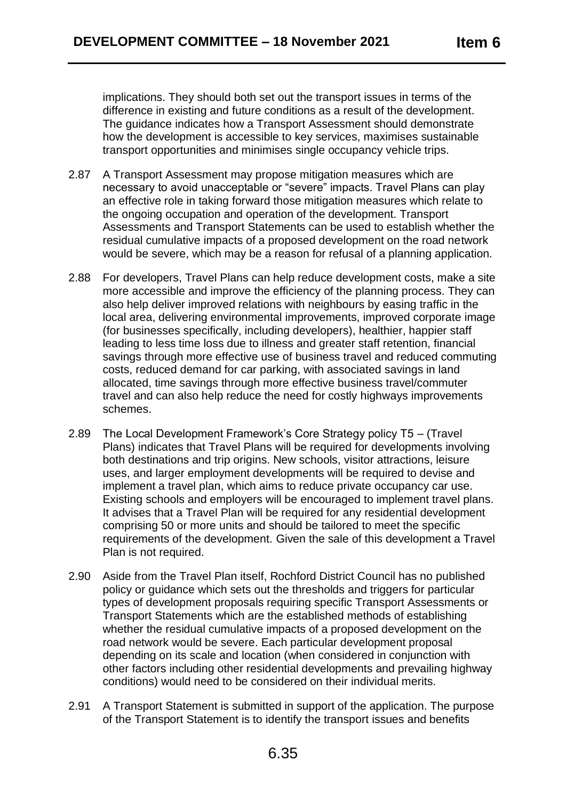implications. They should both set out the transport issues in terms of the difference in existing and future conditions as a result of the development. The guidance indicates how a Transport Assessment should demonstrate how the development is accessible to key services, maximises sustainable transport opportunities and minimises single occupancy vehicle trips.

- 2.87 A Transport Assessment may propose mitigation measures which are necessary to avoid unacceptable or "severe" impacts. Travel Plans can play an effective role in taking forward those mitigation measures which relate to the ongoing occupation and operation of the development. Transport Assessments and Transport Statements can be used to establish whether the residual cumulative impacts of a proposed development on the road network would be severe, which may be a reason for refusal of a planning application.
- 2.88 For developers, Travel Plans can help reduce development costs, make a site more accessible and improve the efficiency of the planning process. They can also help deliver improved relations with neighbours by easing traffic in the local area, delivering environmental improvements, improved corporate image (for businesses specifically, including developers), healthier, happier staff leading to less time loss due to illness and greater staff retention, financial savings through more effective use of business travel and reduced commuting costs, reduced demand for car parking, with associated savings in land allocated, time savings through more effective business travel/commuter travel and can also help reduce the need for costly highways improvements schemes.
- 2.89 The Local Development Framework's Core Strategy policy T5 (Travel Plans) indicates that Travel Plans will be required for developments involving both destinations and trip origins. New schools, visitor attractions, leisure uses, and larger employment developments will be required to devise and implement a travel plan, which aims to reduce private occupancy car use. Existing schools and employers will be encouraged to implement travel plans. It advises that a Travel Plan will be required for any residential development comprising 50 or more units and should be tailored to meet the specific requirements of the development. Given the sale of this development a Travel Plan is not required.
- 2.90 Aside from the Travel Plan itself, Rochford District Council has no published policy or guidance which sets out the thresholds and triggers for particular types of development proposals requiring specific Transport Assessments or Transport Statements which are the established methods of establishing whether the residual cumulative impacts of a proposed development on the road network would be severe. Each particular development proposal depending on its scale and location (when considered in conjunction with other factors including other residential developments and prevailing highway conditions) would need to be considered on their individual merits.
- 2.91 A Transport Statement is submitted in support of the application. The purpose of the Transport Statement is to identify the transport issues and benefits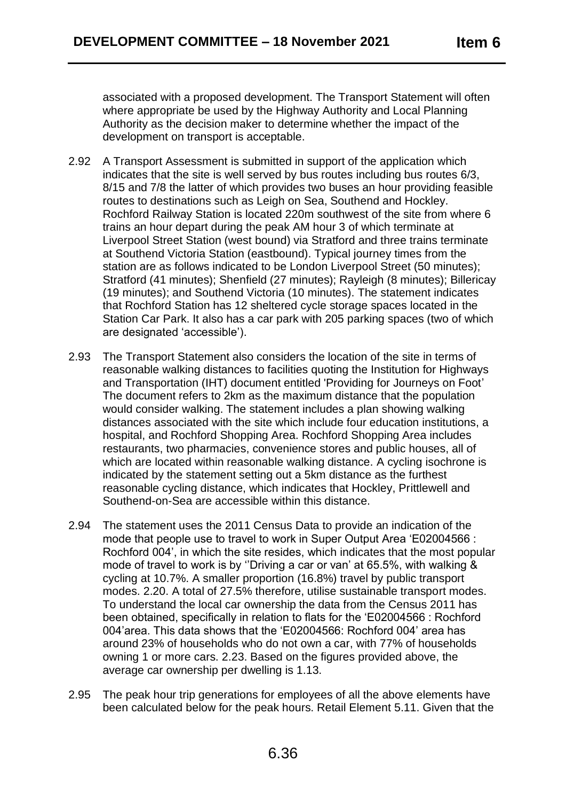associated with a proposed development. The Transport Statement will often where appropriate be used by the Highway Authority and Local Planning Authority as the decision maker to determine whether the impact of the development on transport is acceptable.

- 2.92 A Transport Assessment is submitted in support of the application which indicates that the site is well served by bus routes including bus routes 6/3, 8/15 and 7/8 the latter of which provides two buses an hour providing feasible routes to destinations such as Leigh on Sea, Southend and Hockley. Rochford Railway Station is located 220m southwest of the site from where 6 trains an hour depart during the peak AM hour 3 of which terminate at Liverpool Street Station (west bound) via Stratford and three trains terminate at Southend Victoria Station (eastbound). Typical journey times from the station are as follows indicated to be London Liverpool Street (50 minutes); Stratford (41 minutes); Shenfield (27 minutes); Rayleigh (8 minutes); Billericay (19 minutes); and Southend Victoria (10 minutes). The statement indicates that Rochford Station has 12 sheltered cycle storage spaces located in the Station Car Park. It also has a car park with 205 parking spaces (two of which are designated 'accessible').
- 2.93 The Transport Statement also considers the location of the site in terms of reasonable walking distances to facilities quoting the Institution for Highways and Transportation (IHT) document entitled 'Providing for Journeys on Foot' The document refers to 2km as the maximum distance that the population would consider walking. The statement includes a plan showing walking distances associated with the site which include four education institutions, a hospital, and Rochford Shopping Area. Rochford Shopping Area includes restaurants, two pharmacies, convenience stores and public houses, all of which are located within reasonable walking distance. A cycling isochrone is indicated by the statement setting out a 5km distance as the furthest reasonable cycling distance, which indicates that Hockley, Prittlewell and Southend-on-Sea are accessible within this distance.
- 2.94 The statement uses the 2011 Census Data to provide an indication of the mode that people use to travel to work in Super Output Area 'E02004566 : Rochford 004', in which the site resides, which indicates that the most popular mode of travel to work is by ''Driving a car or van' at 65.5%, with walking & cycling at 10.7%. A smaller proportion (16.8%) travel by public transport modes. 2.20. A total of 27.5% therefore, utilise sustainable transport modes. To understand the local car ownership the data from the Census 2011 has been obtained, specifically in relation to flats for the 'E02004566 : Rochford 004'area. This data shows that the 'E02004566: Rochford 004' area has around 23% of households who do not own a car, with 77% of households owning 1 or more cars. 2.23. Based on the figures provided above, the average car ownership per dwelling is 1.13.
- 2.95 The peak hour trip generations for employees of all the above elements have been calculated below for the peak hours. Retail Element 5.11. Given that the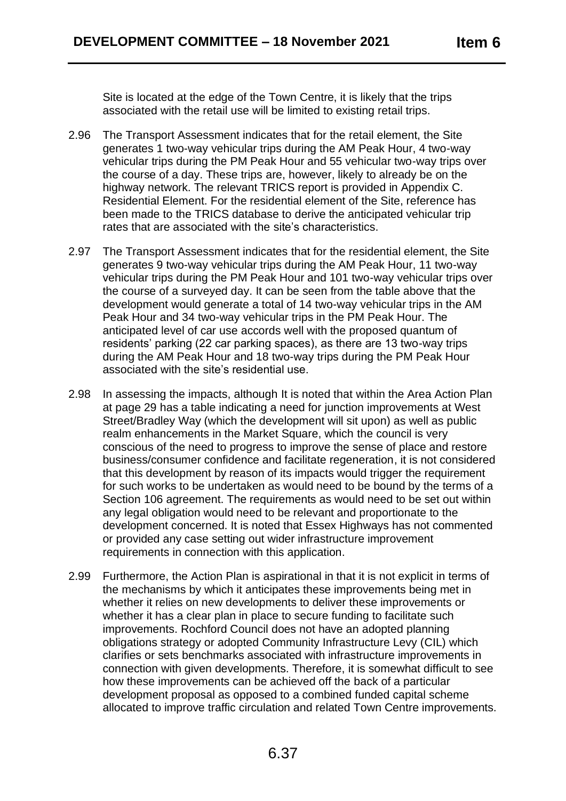Site is located at the edge of the Town Centre, it is likely that the trips associated with the retail use will be limited to existing retail trips.

- 2.96 The Transport Assessment indicates that for the retail element, the Site generates 1 two-way vehicular trips during the AM Peak Hour, 4 two-way vehicular trips during the PM Peak Hour and 55 vehicular two-way trips over the course of a day. These trips are, however, likely to already be on the highway network. The relevant TRICS report is provided in Appendix C. Residential Element. For the residential element of the Site, reference has been made to the TRICS database to derive the anticipated vehicular trip rates that are associated with the site's characteristics.
- 2.97 The Transport Assessment indicates that for the residential element, the Site generates 9 two-way vehicular trips during the AM Peak Hour, 11 two-way vehicular trips during the PM Peak Hour and 101 two-way vehicular trips over the course of a surveyed day. It can be seen from the table above that the development would generate a total of 14 two-way vehicular trips in the AM Peak Hour and 34 two-way vehicular trips in the PM Peak Hour. The anticipated level of car use accords well with the proposed quantum of residents' parking (22 car parking spaces), as there are 13 two-way trips during the AM Peak Hour and 18 two-way trips during the PM Peak Hour associated with the site's residential use.
- 2.98 In assessing the impacts, although It is noted that within the Area Action Plan at page 29 has a table indicating a need for junction improvements at West Street/Bradley Way (which the development will sit upon) as well as public realm enhancements in the Market Square, which the council is very conscious of the need to progress to improve the sense of place and restore business/consumer confidence and facilitate regeneration, it is not considered that this development by reason of its impacts would trigger the requirement for such works to be undertaken as would need to be bound by the terms of a Section 106 agreement. The requirements as would need to be set out within any legal obligation would need to be relevant and proportionate to the development concerned. It is noted that Essex Highways has not commented or provided any case setting out wider infrastructure improvement requirements in connection with this application.
- 2.99 Furthermore, the Action Plan is aspirational in that it is not explicit in terms of the mechanisms by which it anticipates these improvements being met in whether it relies on new developments to deliver these improvements or whether it has a clear plan in place to secure funding to facilitate such improvements. Rochford Council does not have an adopted planning obligations strategy or adopted Community Infrastructure Levy (CIL) which clarifies or sets benchmarks associated with infrastructure improvements in connection with given developments. Therefore, it is somewhat difficult to see how these improvements can be achieved off the back of a particular development proposal as opposed to a combined funded capital scheme allocated to improve traffic circulation and related Town Centre improvements.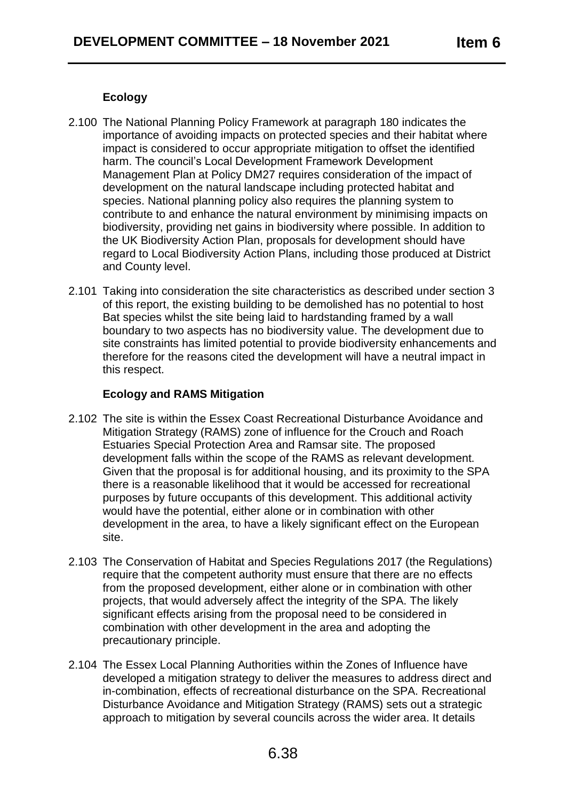# **Ecology**

- 2.100 The National Planning Policy Framework at paragraph 180 indicates the importance of avoiding impacts on protected species and their habitat where impact is considered to occur appropriate mitigation to offset the identified harm. The council's Local Development Framework Development Management Plan at Policy DM27 requires consideration of the impact of development on the natural landscape including protected habitat and species. National planning policy also requires the planning system to contribute to and enhance the natural environment by minimising impacts on biodiversity, providing net gains in biodiversity where possible. In addition to the UK Biodiversity Action Plan, proposals for development should have regard to Local Biodiversity Action Plans, including those produced at District and County level.
- 2.101 Taking into consideration the site characteristics as described under section 3 of this report, the existing building to be demolished has no potential to host Bat species whilst the site being laid to hardstanding framed by a wall boundary to two aspects has no biodiversity value. The development due to site constraints has limited potential to provide biodiversity enhancements and therefore for the reasons cited the development will have a neutral impact in this respect.

## **Ecology and RAMS Mitigation**

- 2.102 The site is within the Essex Coast Recreational Disturbance Avoidance and Mitigation Strategy (RAMS) zone of influence for the Crouch and Roach Estuaries Special Protection Area and Ramsar site. The proposed development falls within the scope of the RAMS as relevant development. Given that the proposal is for additional housing, and its proximity to the SPA there is a reasonable likelihood that it would be accessed for recreational purposes by future occupants of this development. This additional activity would have the potential, either alone or in combination with other development in the area, to have a likely significant effect on the European site.
- 2.103 The Conservation of Habitat and Species Regulations 2017 (the Regulations) require that the competent authority must ensure that there are no effects from the proposed development, either alone or in combination with other projects, that would adversely affect the integrity of the SPA. The likely significant effects arising from the proposal need to be considered in combination with other development in the area and adopting the precautionary principle.
- 2.104 The Essex Local Planning Authorities within the Zones of Influence have developed a mitigation strategy to deliver the measures to address direct and in-combination, effects of recreational disturbance on the SPA. Recreational Disturbance Avoidance and Mitigation Strategy (RAMS) sets out a strategic approach to mitigation by several councils across the wider area. It details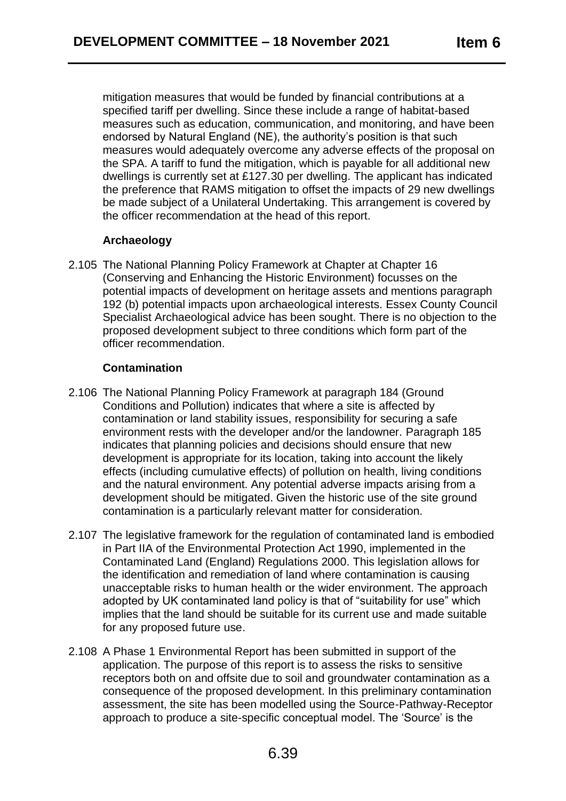mitigation measures that would be funded by financial contributions at a specified tariff per dwelling. Since these include a range of habitat-based measures such as education, communication, and monitoring, and have been endorsed by Natural England (NE), the authority's position is that such measures would adequately overcome any adverse effects of the proposal on the SPA. A tariff to fund the mitigation, which is payable for all additional new dwellings is currently set at £127.30 per dwelling. The applicant has indicated the preference that RAMS mitigation to offset the impacts of 29 new dwellings be made subject of a Unilateral Undertaking. This arrangement is covered by the officer recommendation at the head of this report.

# **Archaeology**

2.105 The National Planning Policy Framework at Chapter at Chapter 16 (Conserving and Enhancing the Historic Environment) focusses on the potential impacts of development on heritage assets and mentions paragraph 192 (b) potential impacts upon archaeological interests. Essex County Council Specialist Archaeological advice has been sought. There is no objection to the proposed development subject to three conditions which form part of the officer recommendation.

# **Contamination**

- 2.106 The National Planning Policy Framework at paragraph 184 (Ground Conditions and Pollution) indicates that where a site is affected by contamination or land stability issues, responsibility for securing a safe environment rests with the developer and/or the landowner. Paragraph 185 indicates that planning policies and decisions should ensure that new development is appropriate for its location, taking into account the likely effects (including cumulative effects) of pollution on health, living conditions and the natural environment. Any potential adverse impacts arising from a development should be mitigated. Given the historic use of the site ground contamination is a particularly relevant matter for consideration.
- 2.107 The legislative framework for the regulation of contaminated land is embodied in Part IIA of the Environmental Protection Act 1990, implemented in the Contaminated Land (England) Regulations 2000. This legislation allows for the identification and remediation of land where contamination is causing unacceptable risks to human health or the wider environment. The approach adopted by UK contaminated land policy is that of "suitability for use" which implies that the land should be suitable for its current use and made suitable for any proposed future use.
- 2.108 A Phase 1 Environmental Report has been submitted in support of the application. The purpose of this report is to assess the risks to sensitive receptors both on and offsite due to soil and groundwater contamination as a consequence of the proposed development. In this preliminary contamination assessment, the site has been modelled using the Source-Pathway-Receptor approach to produce a site-specific conceptual model. The 'Source' is the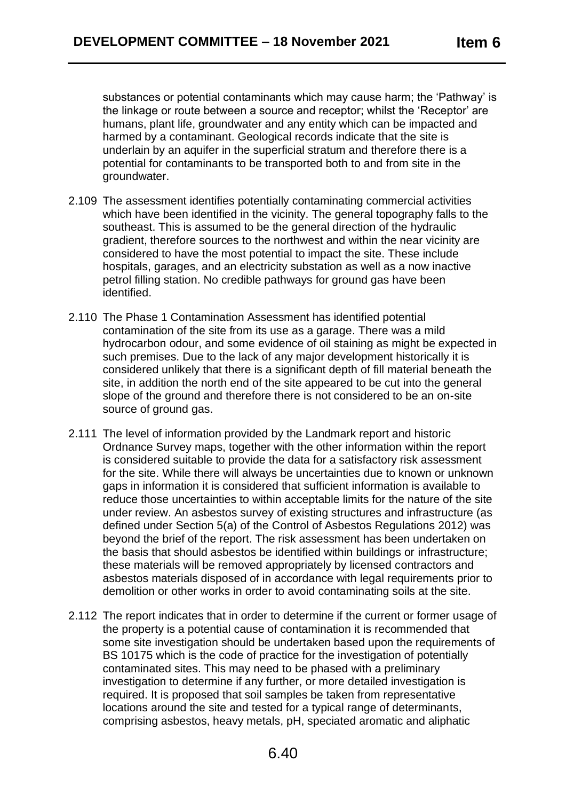substances or potential contaminants which may cause harm; the 'Pathway' is the linkage or route between a source and receptor; whilst the 'Receptor' are humans, plant life, groundwater and any entity which can be impacted and harmed by a contaminant. Geological records indicate that the site is underlain by an aquifer in the superficial stratum and therefore there is a potential for contaminants to be transported both to and from site in the groundwater.

- 2.109 The assessment identifies potentially contaminating commercial activities which have been identified in the vicinity. The general topography falls to the southeast. This is assumed to be the general direction of the hydraulic gradient, therefore sources to the northwest and within the near vicinity are considered to have the most potential to impact the site. These include hospitals, garages, and an electricity substation as well as a now inactive petrol filling station. No credible pathways for ground gas have been identified.
- 2.110 The Phase 1 Contamination Assessment has identified potential contamination of the site from its use as a garage. There was a mild hydrocarbon odour, and some evidence of oil staining as might be expected in such premises. Due to the lack of any major development historically it is considered unlikely that there is a significant depth of fill material beneath the site, in addition the north end of the site appeared to be cut into the general slope of the ground and therefore there is not considered to be an on-site source of ground gas.
- 2.111 The level of information provided by the Landmark report and historic Ordnance Survey maps, together with the other information within the report is considered suitable to provide the data for a satisfactory risk assessment for the site. While there will always be uncertainties due to known or unknown gaps in information it is considered that sufficient information is available to reduce those uncertainties to within acceptable limits for the nature of the site under review. An asbestos survey of existing structures and infrastructure (as defined under Section 5(a) of the Control of Asbestos Regulations 2012) was beyond the brief of the report. The risk assessment has been undertaken on the basis that should asbestos be identified within buildings or infrastructure; these materials will be removed appropriately by licensed contractors and asbestos materials disposed of in accordance with legal requirements prior to demolition or other works in order to avoid contaminating soils at the site.
- 2.112 The report indicates that in order to determine if the current or former usage of the property is a potential cause of contamination it is recommended that some site investigation should be undertaken based upon the requirements of BS 10175 which is the code of practice for the investigation of potentially contaminated sites. This may need to be phased with a preliminary investigation to determine if any further, or more detailed investigation is required. It is proposed that soil samples be taken from representative locations around the site and tested for a typical range of determinants, comprising asbestos, heavy metals, pH, speciated aromatic and aliphatic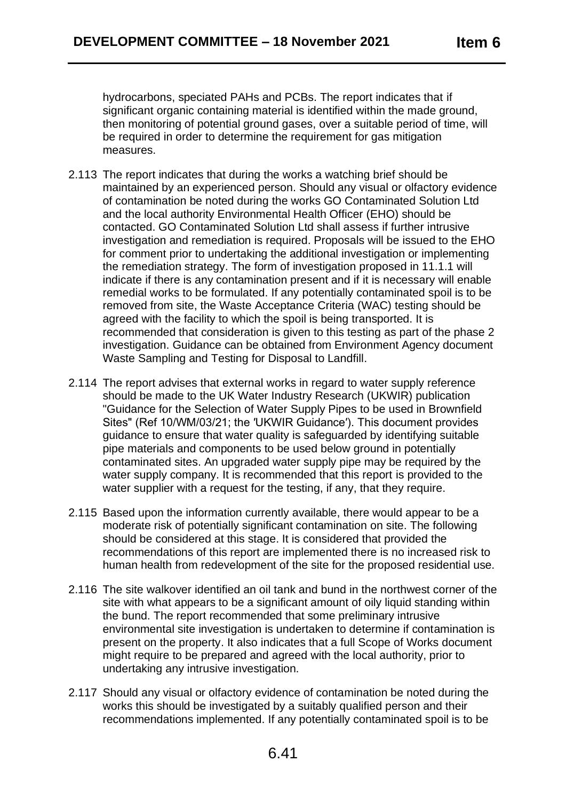hydrocarbons, speciated PAHs and PCBs. The report indicates that if significant organic containing material is identified within the made ground, then monitoring of potential ground gases, over a suitable period of time, will be required in order to determine the requirement for gas mitigation measures.

- 2.113 The report indicates that during the works a watching brief should be maintained by an experienced person. Should any visual or olfactory evidence of contamination be noted during the works GO Contaminated Solution Ltd and the local authority Environmental Health Officer (EHO) should be contacted. GO Contaminated Solution Ltd shall assess if further intrusive investigation and remediation is required. Proposals will be issued to the EHO for comment prior to undertaking the additional investigation or implementing the remediation strategy. The form of investigation proposed in 11.1.1 will indicate if there is any contamination present and if it is necessary will enable remedial works to be formulated. If any potentially contaminated spoil is to be removed from site, the Waste Acceptance Criteria (WAC) testing should be agreed with the facility to which the spoil is being transported. It is recommended that consideration is given to this testing as part of the phase 2 investigation. Guidance can be obtained from Environment Agency document Waste Sampling and Testing for Disposal to Landfill.
- 2.114 The report advises that external works in regard to water supply reference should be made to the UK Water Industry Research (UKWIR) publication "Guidance for the Selection of Water Supply Pipes to be used in Brownfield Sites" (Ref 10/WM/03/21; the ′UKWIR Guidance′). This document provides guidance to ensure that water quality is safeguarded by identifying suitable pipe materials and components to be used below ground in potentially contaminated sites. An upgraded water supply pipe may be required by the water supply company. It is recommended that this report is provided to the water supplier with a request for the testing, if any, that they require.
- 2.115 Based upon the information currently available, there would appear to be a moderate risk of potentially significant contamination on site. The following should be considered at this stage. It is considered that provided the recommendations of this report are implemented there is no increased risk to human health from redevelopment of the site for the proposed residential use.
- 2.116 The site walkover identified an oil tank and bund in the northwest corner of the site with what appears to be a significant amount of oily liquid standing within the bund. The report recommended that some preliminary intrusive environmental site investigation is undertaken to determine if contamination is present on the property. It also indicates that a full Scope of Works document might require to be prepared and agreed with the local authority, prior to undertaking any intrusive investigation.
- 2.117 Should any visual or olfactory evidence of contamination be noted during the works this should be investigated by a suitably qualified person and their recommendations implemented. If any potentially contaminated spoil is to be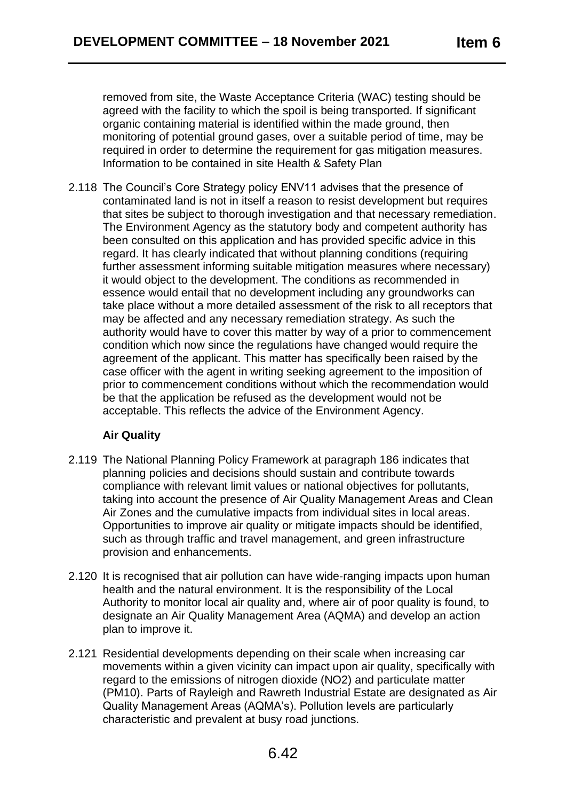removed from site, the Waste Acceptance Criteria (WAC) testing should be agreed with the facility to which the spoil is being transported. If significant organic containing material is identified within the made ground, then monitoring of potential ground gases, over a suitable period of time, may be required in order to determine the requirement for gas mitigation measures. Information to be contained in site Health & Safety Plan

2.118 The Council's Core Strategy policy ENV11 advises that the presence of contaminated land is not in itself a reason to resist development but requires that sites be subject to thorough investigation and that necessary remediation. The Environment Agency as the statutory body and competent authority has been consulted on this application and has provided specific advice in this regard. It has clearly indicated that without planning conditions (requiring further assessment informing suitable mitigation measures where necessary) it would object to the development. The conditions as recommended in essence would entail that no development including any groundworks can take place without a more detailed assessment of the risk to all receptors that may be affected and any necessary remediation strategy. As such the authority would have to cover this matter by way of a prior to commencement condition which now since the regulations have changed would require the agreement of the applicant. This matter has specifically been raised by the case officer with the agent in writing seeking agreement to the imposition of prior to commencement conditions without which the recommendation would be that the application be refused as the development would not be acceptable. This reflects the advice of the Environment Agency.

# **Air Quality**

- 2.119 The National Planning Policy Framework at paragraph 186 indicates that planning policies and decisions should sustain and contribute towards compliance with relevant limit values or national objectives for pollutants, taking into account the presence of Air Quality Management Areas and Clean Air Zones and the cumulative impacts from individual sites in local areas. Opportunities to improve air quality or mitigate impacts should be identified, such as through traffic and travel management, and green infrastructure provision and enhancements.
- 2.120 It is recognised that air pollution can have wide-ranging impacts upon human health and the natural environment. It is the responsibility of the Local Authority to monitor local air quality and, where air of poor quality is found, to designate an Air Quality Management Area (AQMA) and develop an action plan to improve it.
- 2.121 Residential developments depending on their scale when increasing car movements within a given vicinity can impact upon air quality, specifically with regard to the emissions of nitrogen dioxide (NO2) and particulate matter (PM10). Parts of Rayleigh and Rawreth Industrial Estate are designated as Air Quality Management Areas (AQMA's). Pollution levels are particularly characteristic and prevalent at busy road junctions.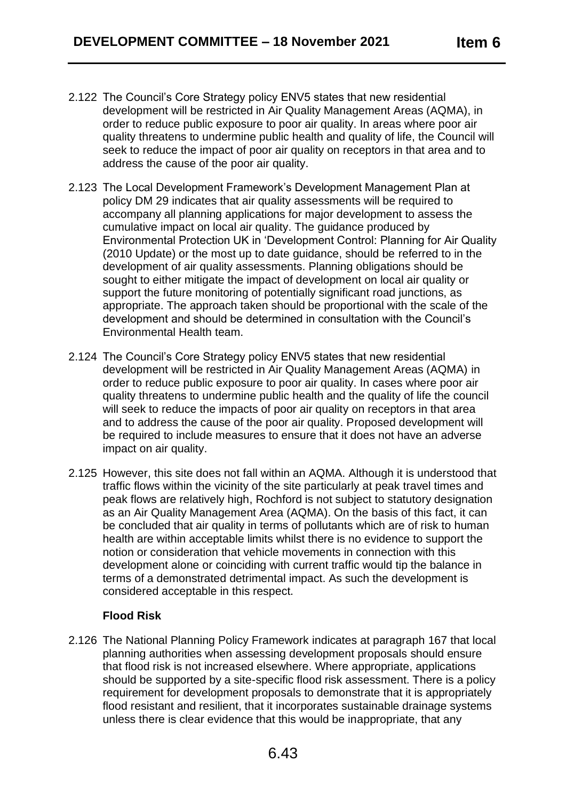- 2.122 The Council's Core Strategy policy ENV5 states that new residential development will be restricted in Air Quality Management Areas (AQMA), in order to reduce public exposure to poor air quality. In areas where poor air quality threatens to undermine public health and quality of life, the Council will seek to reduce the impact of poor air quality on receptors in that area and to address the cause of the poor air quality.
- 2.123 The Local Development Framework's Development Management Plan at policy DM 29 indicates that air quality assessments will be required to accompany all planning applications for major development to assess the cumulative impact on local air quality. The guidance produced by Environmental Protection UK in 'Development Control: Planning for Air Quality (2010 Update) or the most up to date guidance, should be referred to in the development of air quality assessments. Planning obligations should be sought to either mitigate the impact of development on local air quality or support the future monitoring of potentially significant road junctions, as appropriate. The approach taken should be proportional with the scale of the development and should be determined in consultation with the Council's Environmental Health team.
- 2.124 The Council's Core Strategy policy ENV5 states that new residential development will be restricted in Air Quality Management Areas (AQMA) in order to reduce public exposure to poor air quality. In cases where poor air quality threatens to undermine public health and the quality of life the council will seek to reduce the impacts of poor air quality on receptors in that area and to address the cause of the poor air quality. Proposed development will be required to include measures to ensure that it does not have an adverse impact on air quality.
- 2.125 However, this site does not fall within an AQMA. Although it is understood that traffic flows within the vicinity of the site particularly at peak travel times and peak flows are relatively high, Rochford is not subject to statutory designation as an Air Quality Management Area (AQMA). On the basis of this fact, it can be concluded that air quality in terms of pollutants which are of risk to human health are within acceptable limits whilst there is no evidence to support the notion or consideration that vehicle movements in connection with this development alone or coinciding with current traffic would tip the balance in terms of a demonstrated detrimental impact. As such the development is considered acceptable in this respect.

# **Flood Risk**

2.126 The National Planning Policy Framework indicates at paragraph 167 that local planning authorities when assessing development proposals should ensure that flood risk is not increased elsewhere. Where appropriate, applications should be supported by a site-specific flood risk assessment. There is a policy requirement for development proposals to demonstrate that it is appropriately flood resistant and resilient, that it incorporates sustainable drainage systems unless there is clear evidence that this would be inappropriate, that any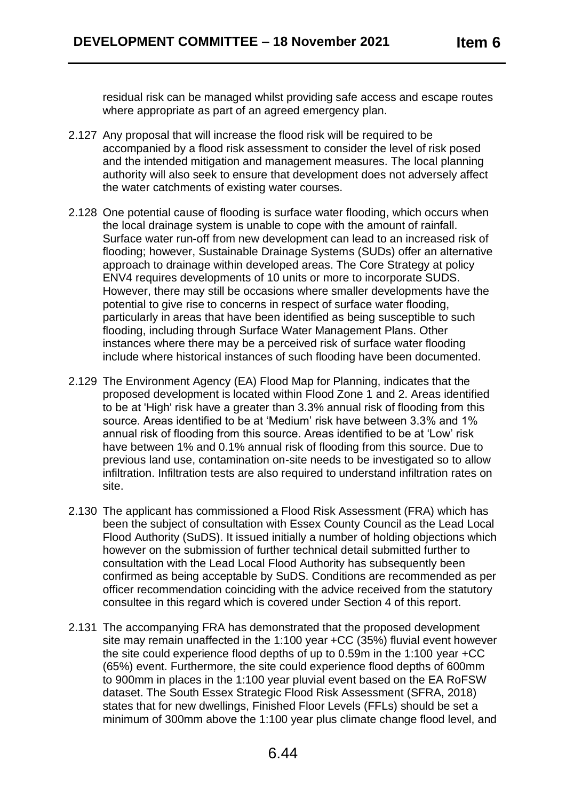residual risk can be managed whilst providing safe access and escape routes where appropriate as part of an agreed emergency plan.

- 2.127 Any proposal that will increase the flood risk will be required to be accompanied by a flood risk assessment to consider the level of risk posed and the intended mitigation and management measures. The local planning authority will also seek to ensure that development does not adversely affect the water catchments of existing water courses.
- 2.128 One potential cause of flooding is surface water flooding, which occurs when the local drainage system is unable to cope with the amount of rainfall. Surface water run-off from new development can lead to an increased risk of flooding; however, Sustainable Drainage Systems (SUDs) offer an alternative approach to drainage within developed areas. The Core Strategy at policy ENV4 requires developments of 10 units or more to incorporate SUDS. However, there may still be occasions where smaller developments have the potential to give rise to concerns in respect of surface water flooding, particularly in areas that have been identified as being susceptible to such flooding, including through Surface Water Management Plans. Other instances where there may be a perceived risk of surface water flooding include where historical instances of such flooding have been documented.
- 2.129 The Environment Agency (EA) Flood Map for Planning, indicates that the proposed development is located within Flood Zone 1 and 2. Areas identified to be at 'High' risk have a greater than 3.3% annual risk of flooding from this source. Areas identified to be at 'Medium' risk have between 3.3% and 1% annual risk of flooding from this source. Areas identified to be at 'Low' risk have between 1% and 0.1% annual risk of flooding from this source. Due to previous land use, contamination on-site needs to be investigated so to allow infiltration. Infiltration tests are also required to understand infiltration rates on site.
- 2.130 The applicant has commissioned a Flood Risk Assessment (FRA) which has been the subject of consultation with Essex County Council as the Lead Local Flood Authority (SuDS). It issued initially a number of holding objections which however on the submission of further technical detail submitted further to consultation with the Lead Local Flood Authority has subsequently been confirmed as being acceptable by SuDS. Conditions are recommended as per officer recommendation coinciding with the advice received from the statutory consultee in this regard which is covered under Section 4 of this report.
- 2.131 The accompanying FRA has demonstrated that the proposed development site may remain unaffected in the 1:100 year +CC (35%) fluvial event however the site could experience flood depths of up to 0.59m in the 1:100 year +CC (65%) event. Furthermore, the site could experience flood depths of 600mm to 900mm in places in the 1:100 year pluvial event based on the EA RoFSW dataset. The South Essex Strategic Flood Risk Assessment (SFRA, 2018) states that for new dwellings, Finished Floor Levels (FFLs) should be set a minimum of 300mm above the 1:100 year plus climate change flood level, and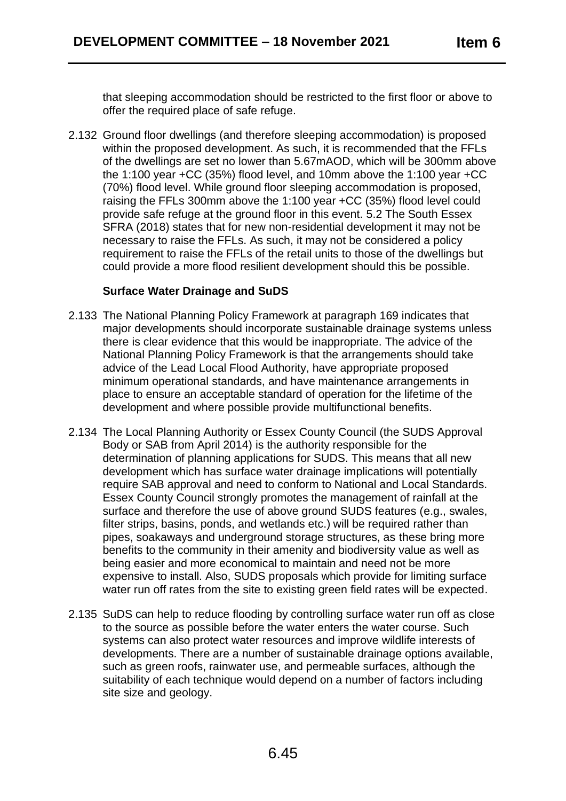that sleeping accommodation should be restricted to the first floor or above to offer the required place of safe refuge.

2.132 Ground floor dwellings (and therefore sleeping accommodation) is proposed within the proposed development. As such, it is recommended that the FFLs of the dwellings are set no lower than 5.67mAOD, which will be 300mm above the 1:100 year +CC (35%) flood level, and 10mm above the 1:100 year +CC (70%) flood level. While ground floor sleeping accommodation is proposed, raising the FFLs 300mm above the 1:100 year +CC (35%) flood level could provide safe refuge at the ground floor in this event. 5.2 The South Essex SFRA (2018) states that for new non-residential development it may not be necessary to raise the FFLs. As such, it may not be considered a policy requirement to raise the FFLs of the retail units to those of the dwellings but could provide a more flood resilient development should this be possible.

## **Surface Water Drainage and SuDS**

- 2.133 The National Planning Policy Framework at paragraph 169 indicates that major developments should incorporate sustainable drainage systems unless there is clear evidence that this would be inappropriate. The advice of the National Planning Policy Framework is that the arrangements should take advice of the Lead Local Flood Authority, have appropriate proposed minimum operational standards, and have maintenance arrangements in place to ensure an acceptable standard of operation for the lifetime of the development and where possible provide multifunctional benefits.
- 2.134 The Local Planning Authority or Essex County Council (the SUDS Approval Body or SAB from April 2014) is the authority responsible for the determination of planning applications for SUDS. This means that all new development which has surface water drainage implications will potentially require SAB approval and need to conform to National and Local Standards. Essex County Council strongly promotes the management of rainfall at the surface and therefore the use of above ground SUDS features (e.g., swales, filter strips, basins, ponds, and wetlands etc.) will be required rather than pipes, soakaways and underground storage structures, as these bring more benefits to the community in their amenity and biodiversity value as well as being easier and more economical to maintain and need not be more expensive to install. Also, SUDS proposals which provide for limiting surface water run off rates from the site to existing green field rates will be expected.
- 2.135 SuDS can help to reduce flooding by controlling surface water run off as close to the source as possible before the water enters the water course. Such systems can also protect water resources and improve wildlife interests of developments. There are a number of sustainable drainage options available, such as green roofs, rainwater use, and permeable surfaces, although the suitability of each technique would depend on a number of factors including site size and geology.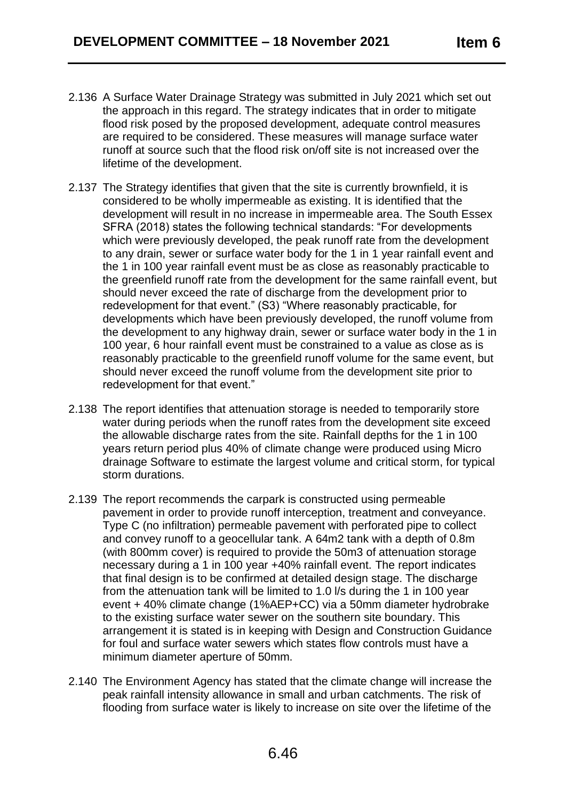- 2.136 A Surface Water Drainage Strategy was submitted in July 2021 which set out the approach in this regard. The strategy indicates that in order to mitigate flood risk posed by the proposed development, adequate control measures are required to be considered. These measures will manage surface water runoff at source such that the flood risk on/off site is not increased over the lifetime of the development.
- 2.137 The Strategy identifies that given that the site is currently brownfield, it is considered to be wholly impermeable as existing. It is identified that the development will result in no increase in impermeable area. The South Essex SFRA (2018) states the following technical standards: "For developments which were previously developed, the peak runoff rate from the development to any drain, sewer or surface water body for the 1 in 1 year rainfall event and the 1 in 100 year rainfall event must be as close as reasonably practicable to the greenfield runoff rate from the development for the same rainfall event, but should never exceed the rate of discharge from the development prior to redevelopment for that event." (S3) "Where reasonably practicable, for developments which have been previously developed, the runoff volume from the development to any highway drain, sewer or surface water body in the 1 in 100 year, 6 hour rainfall event must be constrained to a value as close as is reasonably practicable to the greenfield runoff volume for the same event, but should never exceed the runoff volume from the development site prior to redevelopment for that event."
- 2.138 The report identifies that attenuation storage is needed to temporarily store water during periods when the runoff rates from the development site exceed the allowable discharge rates from the site. Rainfall depths for the 1 in 100 years return period plus 40% of climate change were produced using Micro drainage Software to estimate the largest volume and critical storm, for typical storm durations.
- 2.139 The report recommends the carpark is constructed using permeable pavement in order to provide runoff interception, treatment and conveyance. Type C (no infiltration) permeable pavement with perforated pipe to collect and convey runoff to a geocellular tank. A 64m2 tank with a depth of 0.8m (with 800mm cover) is required to provide the 50m3 of attenuation storage necessary during a 1 in 100 year +40% rainfall event. The report indicates that final design is to be confirmed at detailed design stage. The discharge from the attenuation tank will be limited to 1.0 l/s during the 1 in 100 year event + 40% climate change (1%AEP+CC) via a 50mm diameter hydrobrake to the existing surface water sewer on the southern site boundary. This arrangement it is stated is in keeping with Design and Construction Guidance for foul and surface water sewers which states flow controls must have a minimum diameter aperture of 50mm.
- 2.140 The Environment Agency has stated that the climate change will increase the peak rainfall intensity allowance in small and urban catchments. The risk of flooding from surface water is likely to increase on site over the lifetime of the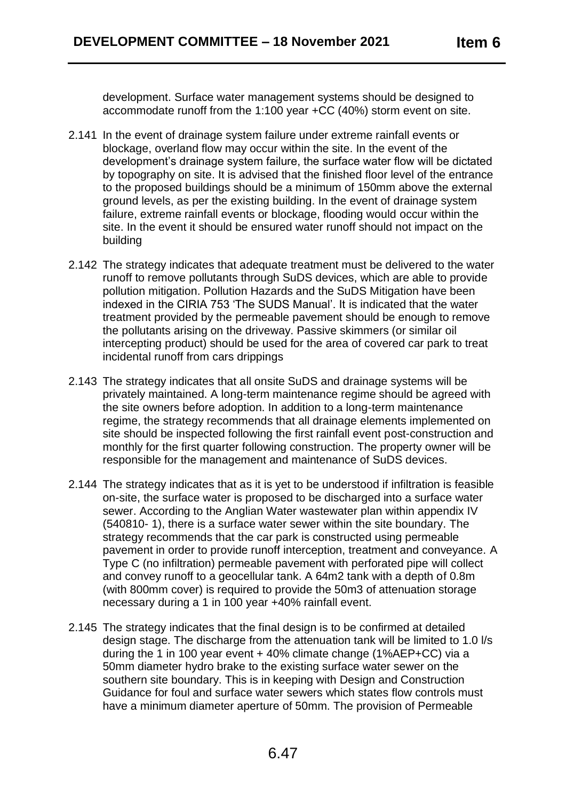development. Surface water management systems should be designed to accommodate runoff from the 1:100 year +CC (40%) storm event on site.

- 2.141 In the event of drainage system failure under extreme rainfall events or blockage, overland flow may occur within the site. In the event of the development's drainage system failure, the surface water flow will be dictated by topography on site. It is advised that the finished floor level of the entrance to the proposed buildings should be a minimum of 150mm above the external ground levels, as per the existing building. In the event of drainage system failure, extreme rainfall events or blockage, flooding would occur within the site. In the event it should be ensured water runoff should not impact on the building
- 2.142 The strategy indicates that adequate treatment must be delivered to the water runoff to remove pollutants through SuDS devices, which are able to provide pollution mitigation. Pollution Hazards and the SuDS Mitigation have been indexed in the CIRIA 753 'The SUDS Manual'. It is indicated that the water treatment provided by the permeable pavement should be enough to remove the pollutants arising on the driveway. Passive skimmers (or similar oil intercepting product) should be used for the area of covered car park to treat incidental runoff from cars drippings
- 2.143 The strategy indicates that all onsite SuDS and drainage systems will be privately maintained. A long-term maintenance regime should be agreed with the site owners before adoption. In addition to a long-term maintenance regime, the strategy recommends that all drainage elements implemented on site should be inspected following the first rainfall event post-construction and monthly for the first quarter following construction. The property owner will be responsible for the management and maintenance of SuDS devices.
- 2.144 The strategy indicates that as it is yet to be understood if infiltration is feasible on-site, the surface water is proposed to be discharged into a surface water sewer. According to the Anglian Water wastewater plan within appendix IV (540810- 1), there is a surface water sewer within the site boundary. The strategy recommends that the car park is constructed using permeable pavement in order to provide runoff interception, treatment and conveyance. A Type C (no infiltration) permeable pavement with perforated pipe will collect and convey runoff to a geocellular tank. A 64m2 tank with a depth of 0.8m (with 800mm cover) is required to provide the 50m3 of attenuation storage necessary during a 1 in 100 year +40% rainfall event.
- 2.145 The strategy indicates that the final design is to be confirmed at detailed design stage. The discharge from the attenuation tank will be limited to 1.0 l/s during the 1 in 100 year event + 40% climate change (1%AEP+CC) via a 50mm diameter hydro brake to the existing surface water sewer on the southern site boundary. This is in keeping with Design and Construction Guidance for foul and surface water sewers which states flow controls must have a minimum diameter aperture of 50mm. The provision of Permeable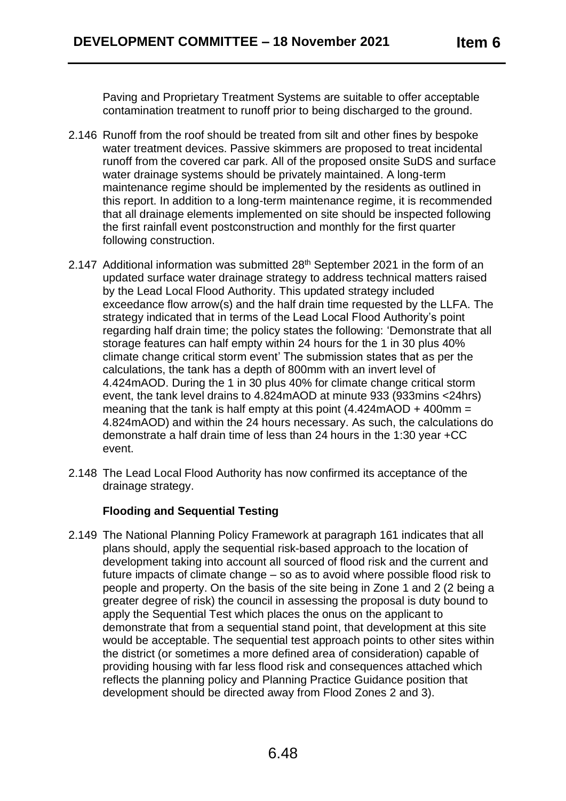Paving and Proprietary Treatment Systems are suitable to offer acceptable contamination treatment to runoff prior to being discharged to the ground.

- 2.146 Runoff from the roof should be treated from silt and other fines by bespoke water treatment devices. Passive skimmers are proposed to treat incidental runoff from the covered car park. All of the proposed onsite SuDS and surface water drainage systems should be privately maintained. A long-term maintenance regime should be implemented by the residents as outlined in this report. In addition to a long-term maintenance regime, it is recommended that all drainage elements implemented on site should be inspected following the first rainfall event postconstruction and monthly for the first quarter following construction.
- 2.147 Additional information was submitted 28<sup>th</sup> September 2021 in the form of an updated surface water drainage strategy to address technical matters raised by the Lead Local Flood Authority. This updated strategy included exceedance flow arrow(s) and the half drain time requested by the LLFA. The strategy indicated that in terms of the Lead Local Flood Authority's point regarding half drain time; the policy states the following: 'Demonstrate that all storage features can half empty within 24 hours for the 1 in 30 plus 40% climate change critical storm event' The submission states that as per the calculations, the tank has a depth of 800mm with an invert level of 4.424mAOD. During the 1 in 30 plus 40% for climate change critical storm event, the tank level drains to 4.824mAOD at minute 933 (933mins <24hrs) meaning that the tank is half empty at this point  $(4.424 \text{mAOD} + 400 \text{mm} =$ 4.824mAOD) and within the 24 hours necessary. As such, the calculations do demonstrate a half drain time of less than 24 hours in the 1:30 year +CC event.
- 2.148 The Lead Local Flood Authority has now confirmed its acceptance of the drainage strategy.

# **Flooding and Sequential Testing**

2.149 The National Planning Policy Framework at paragraph 161 indicates that all plans should, apply the sequential risk-based approach to the location of development taking into account all sourced of flood risk and the current and future impacts of climate change – so as to avoid where possible flood risk to people and property. On the basis of the site being in Zone 1 and 2 (2 being a greater degree of risk) the council in assessing the proposal is duty bound to apply the Sequential Test which places the onus on the applicant to demonstrate that from a sequential stand point, that development at this site would be acceptable. The sequential test approach points to other sites within the district (or sometimes a more defined area of consideration) capable of providing housing with far less flood risk and consequences attached which reflects the planning policy and Planning Practice Guidance position that development should be directed away from Flood Zones 2 and 3).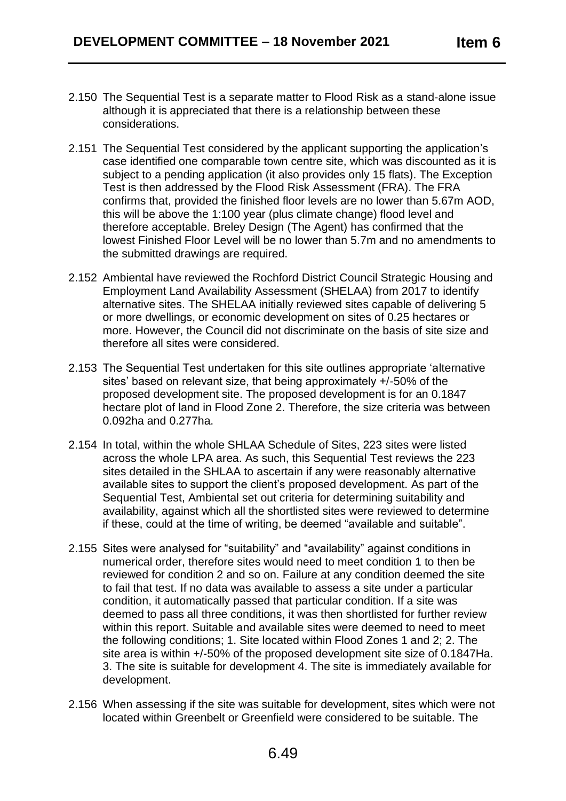- 2.150 The Sequential Test is a separate matter to Flood Risk as a stand-alone issue although it is appreciated that there is a relationship between these considerations.
- 2.151 The Sequential Test considered by the applicant supporting the application's case identified one comparable town centre site, which was discounted as it is subject to a pending application (it also provides only 15 flats). The Exception Test is then addressed by the Flood Risk Assessment (FRA). The FRA confirms that, provided the finished floor levels are no lower than 5.67m AOD, this will be above the 1:100 year (plus climate change) flood level and therefore acceptable. Breley Design (The Agent) has confirmed that the lowest Finished Floor Level will be no lower than 5.7m and no amendments to the submitted drawings are required.
- 2.152 Ambiental have reviewed the Rochford District Council Strategic Housing and Employment Land Availability Assessment (SHELAA) from 2017 to identify alternative sites. The SHELAA initially reviewed sites capable of delivering 5 or more dwellings, or economic development on sites of 0.25 hectares or more. However, the Council did not discriminate on the basis of site size and therefore all sites were considered.
- 2.153 The Sequential Test undertaken for this site outlines appropriate 'alternative sites' based on relevant size, that being approximately +/-50% of the proposed development site. The proposed development is for an 0.1847 hectare plot of land in Flood Zone 2. Therefore, the size criteria was between 0.092ha and 0.277ha.
- 2.154 In total, within the whole SHLAA Schedule of Sites, 223 sites were listed across the whole LPA area. As such, this Sequential Test reviews the 223 sites detailed in the SHLAA to ascertain if any were reasonably alternative available sites to support the client's proposed development. As part of the Sequential Test, Ambiental set out criteria for determining suitability and availability, against which all the shortlisted sites were reviewed to determine if these, could at the time of writing, be deemed "available and suitable".
- 2.155 Sites were analysed for "suitability" and "availability" against conditions in numerical order, therefore sites would need to meet condition 1 to then be reviewed for condition 2 and so on. Failure at any condition deemed the site to fail that test. If no data was available to assess a site under a particular condition, it automatically passed that particular condition. If a site was deemed to pass all three conditions, it was then shortlisted for further review within this report. Suitable and available sites were deemed to need to meet the following conditions; 1. Site located within Flood Zones 1 and 2; 2. The site area is within +/-50% of the proposed development site size of 0.1847Ha. 3. The site is suitable for development 4. The site is immediately available for development.
- 2.156 When assessing if the site was suitable for development, sites which were not located within Greenbelt or Greenfield were considered to be suitable. The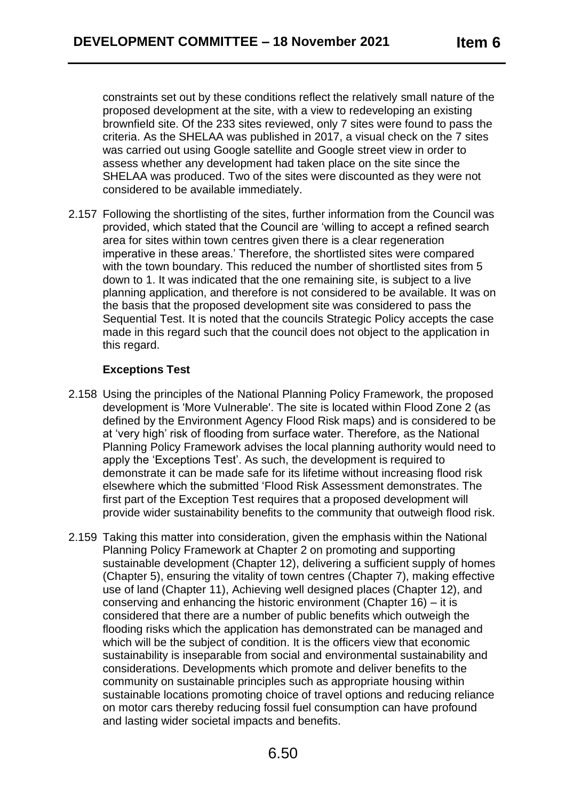constraints set out by these conditions reflect the relatively small nature of the proposed development at the site, with a view to redeveloping an existing brownfield site. Of the 233 sites reviewed, only 7 sites were found to pass the criteria. As the SHELAA was published in 2017, a visual check on the 7 sites was carried out using Google satellite and Google street view in order to assess whether any development had taken place on the site since the SHELAA was produced. Two of the sites were discounted as they were not considered to be available immediately.

2.157 Following the shortlisting of the sites, further information from the Council was provided, which stated that the Council are 'willing to accept a refined search area for sites within town centres given there is a clear regeneration imperative in these areas.' Therefore, the shortlisted sites were compared with the town boundary. This reduced the number of shortlisted sites from 5 down to 1. It was indicated that the one remaining site, is subject to a live planning application, and therefore is not considered to be available. It was on the basis that the proposed development site was considered to pass the Sequential Test. It is noted that the councils Strategic Policy accepts the case made in this regard such that the council does not object to the application in this regard.

## **Exceptions Test**

- 2.158 Using the principles of the National Planning Policy Framework, the proposed development is 'More Vulnerable'. The site is located within Flood Zone 2 (as defined by the Environment Agency Flood Risk maps) and is considered to be at 'very high' risk of flooding from surface water. Therefore, as the National Planning Policy Framework advises the local planning authority would need to apply the 'Exceptions Test'. As such, the development is required to demonstrate it can be made safe for its lifetime without increasing flood risk elsewhere which the submitted 'Flood Risk Assessment demonstrates. The first part of the Exception Test requires that a proposed development will provide wider sustainability benefits to the community that outweigh flood risk.
- 2.159 Taking this matter into consideration, given the emphasis within the National Planning Policy Framework at Chapter 2 on promoting and supporting sustainable development (Chapter 12), delivering a sufficient supply of homes (Chapter 5), ensuring the vitality of town centres (Chapter 7), making effective use of land (Chapter 11), Achieving well designed places (Chapter 12), and conserving and enhancing the historic environment (Chapter 16) – it is considered that there are a number of public benefits which outweigh the flooding risks which the application has demonstrated can be managed and which will be the subject of condition. It is the officers view that economic sustainability is inseparable from social and environmental sustainability and considerations. Developments which promote and deliver benefits to the community on sustainable principles such as appropriate housing within sustainable locations promoting choice of travel options and reducing reliance on motor cars thereby reducing fossil fuel consumption can have profound and lasting wider societal impacts and benefits.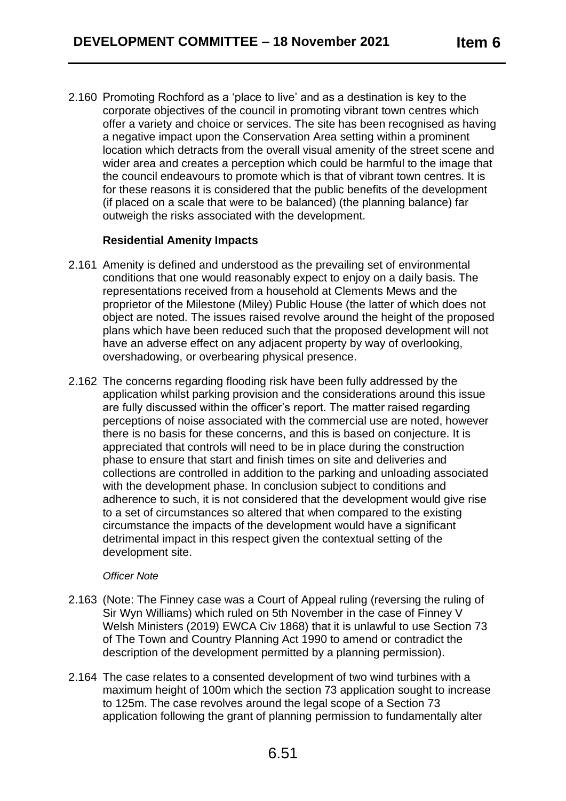2.160 Promoting Rochford as a 'place to live' and as a destination is key to the corporate objectives of the council in promoting vibrant town centres which offer a variety and choice or services. The site has been recognised as having a negative impact upon the Conservation Area setting within a prominent location which detracts from the overall visual amenity of the street scene and wider area and creates a perception which could be harmful to the image that the council endeavours to promote which is that of vibrant town centres. It is for these reasons it is considered that the public benefits of the development (if placed on a scale that were to be balanced) (the planning balance) far outweigh the risks associated with the development.

## **Residential Amenity Impacts**

- 2.161 Amenity is defined and understood as the prevailing set of environmental conditions that one would reasonably expect to enjoy on a daily basis. The representations received from a household at Clements Mews and the proprietor of the Milestone (Miley) Public House (the latter of which does not object are noted. The issues raised revolve around the height of the proposed plans which have been reduced such that the proposed development will not have an adverse effect on any adjacent property by way of overlooking, overshadowing, or overbearing physical presence.
- 2.162 The concerns regarding flooding risk have been fully addressed by the application whilst parking provision and the considerations around this issue are fully discussed within the officer's report. The matter raised regarding perceptions of noise associated with the commercial use are noted, however there is no basis for these concerns, and this is based on conjecture. It is appreciated that controls will need to be in place during the construction phase to ensure that start and finish times on site and deliveries and collections are controlled in addition to the parking and unloading associated with the development phase. In conclusion subject to conditions and adherence to such, it is not considered that the development would give rise to a set of circumstances so altered that when compared to the existing circumstance the impacts of the development would have a significant detrimental impact in this respect given the contextual setting of the development site.

#### *Officer Note*

- 2.163 (Note: The Finney case was a Court of Appeal ruling (reversing the ruling of Sir Wyn Williams) which ruled on 5th November in the case of Finney V Welsh Ministers (2019) EWCA Civ 1868) that it is unlawful to use Section 73 of The Town and Country Planning Act 1990 to amend or contradict the description of the development permitted by a planning permission).
- 2.164 The case relates to a consented development of two wind turbines with a maximum height of 100m which the section 73 application sought to increase to 125m. The case revolves around the legal scope of a Section 73 application following the grant of planning permission to fundamentally alter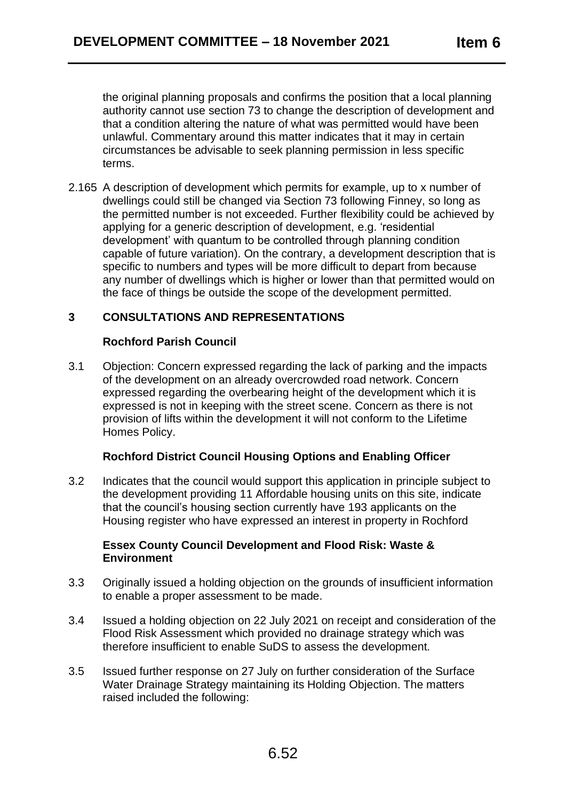the original planning proposals and confirms the position that a local planning authority cannot use section 73 to change the description of development and that a condition altering the nature of what was permitted would have been unlawful. Commentary around this matter indicates that it may in certain circumstances be advisable to seek planning permission in less specific terms.

2.165 A description of development which permits for example, up to x number of dwellings could still be changed via Section 73 following Finney, so long as the permitted number is not exceeded. Further flexibility could be achieved by applying for a generic description of development, e.g. 'residential development' with quantum to be controlled through planning condition capable of future variation). On the contrary, a development description that is specific to numbers and types will be more difficult to depart from because any number of dwellings which is higher or lower than that permitted would on the face of things be outside the scope of the development permitted.

# **3 CONSULTATIONS AND REPRESENTATIONS**

## **Rochford Parish Council**

3.1 Objection: Concern expressed regarding the lack of parking and the impacts of the development on an already overcrowded road network. Concern expressed regarding the overbearing height of the development which it is expressed is not in keeping with the street scene. Concern as there is not provision of lifts within the development it will not conform to the Lifetime Homes Policy.

# **Rochford District Council Housing Options and Enabling Officer**

3.2 Indicates that the council would support this application in principle subject to the development providing 11 Affordable housing units on this site, indicate that the council's housing section currently have 193 applicants on the Housing register who have expressed an interest in property in Rochford

### **Essex County Council Development and Flood Risk: Waste & Environment**

- 3.3 Originally issued a holding objection on the grounds of insufficient information to enable a proper assessment to be made.
- 3.4 Issued a holding objection on 22 July 2021 on receipt and consideration of the Flood Risk Assessment which provided no drainage strategy which was therefore insufficient to enable SuDS to assess the development.
- 3.5 Issued further response on 27 July on further consideration of the Surface Water Drainage Strategy maintaining its Holding Objection. The matters raised included the following: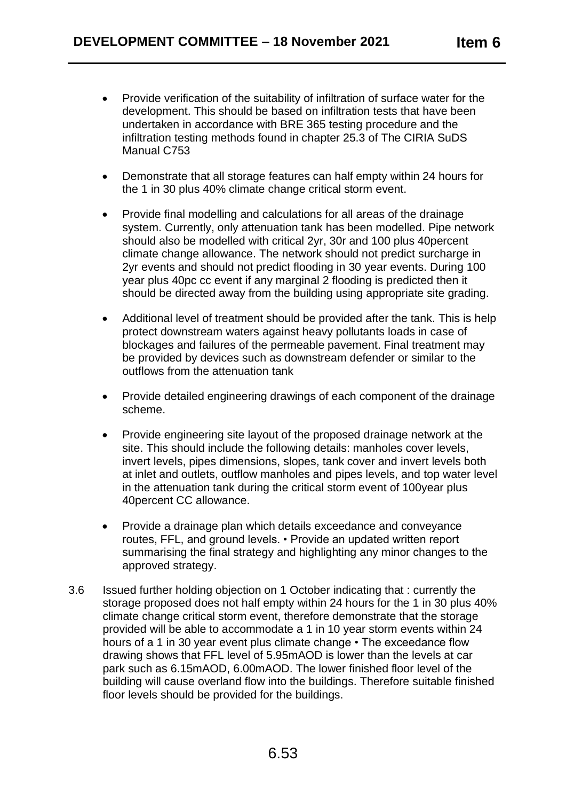- Provide verification of the suitability of infiltration of surface water for the development. This should be based on infiltration tests that have been undertaken in accordance with BRE 365 testing procedure and the infiltration testing methods found in chapter 25.3 of The CIRIA SuDS Manual C753
- Demonstrate that all storage features can half empty within 24 hours for the 1 in 30 plus 40% climate change critical storm event.
- Provide final modelling and calculations for all areas of the drainage system. Currently, only attenuation tank has been modelled. Pipe network should also be modelled with critical 2yr, 30r and 100 plus 40percent climate change allowance. The network should not predict surcharge in 2yr events and should not predict flooding in 30 year events. During 100 year plus 40pc cc event if any marginal 2 flooding is predicted then it should be directed away from the building using appropriate site grading.
- Additional level of treatment should be provided after the tank. This is help protect downstream waters against heavy pollutants loads in case of blockages and failures of the permeable pavement. Final treatment may be provided by devices such as downstream defender or similar to the outflows from the attenuation tank
- Provide detailed engineering drawings of each component of the drainage scheme.
- Provide engineering site layout of the proposed drainage network at the site. This should include the following details: manholes cover levels, invert levels, pipes dimensions, slopes, tank cover and invert levels both at inlet and outlets, outflow manholes and pipes levels, and top water level in the attenuation tank during the critical storm event of 100year plus 40percent CC allowance.
- Provide a drainage plan which details exceedance and conveyance routes, FFL, and ground levels. • Provide an updated written report summarising the final strategy and highlighting any minor changes to the approved strategy.
- 3.6 Issued further holding objection on 1 October indicating that : currently the storage proposed does not half empty within 24 hours for the 1 in 30 plus 40% climate change critical storm event, therefore demonstrate that the storage provided will be able to accommodate a 1 in 10 year storm events within 24 hours of a 1 in 30 year event plus climate change • The exceedance flow drawing shows that FFL level of 5.95mAOD is lower than the levels at car park such as 6.15mAOD, 6.00mAOD. The lower finished floor level of the building will cause overland flow into the buildings. Therefore suitable finished floor levels should be provided for the buildings.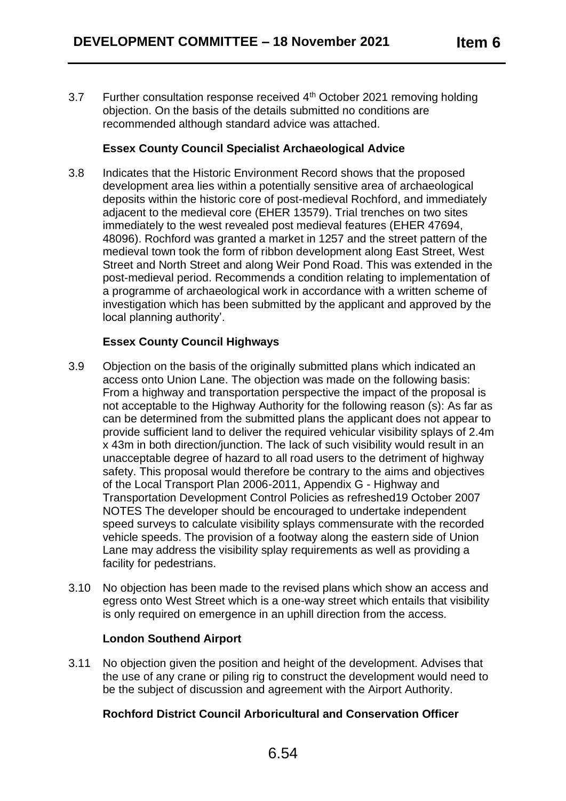3.7 Further consultation response received  $4<sup>th</sup>$  October 2021 removing holding objection. On the basis of the details submitted no conditions are recommended although standard advice was attached.

## **Essex County Council Specialist Archaeological Advice**

3.8 Indicates that the Historic Environment Record shows that the proposed development area lies within a potentially sensitive area of archaeological deposits within the historic core of post-medieval Rochford, and immediately adjacent to the medieval core (EHER 13579). Trial trenches on two sites immediately to the west revealed post medieval features (EHER 47694, 48096). Rochford was granted a market in 1257 and the street pattern of the medieval town took the form of ribbon development along East Street, West Street and North Street and along Weir Pond Road. This was extended in the post-medieval period. Recommends a condition relating to implementation of a programme of archaeological work in accordance with a written scheme of investigation which has been submitted by the applicant and approved by the local planning authority'.

# **Essex County Council Highways**

- 3.9 Objection on the basis of the originally submitted plans which indicated an access onto Union Lane. The objection was made on the following basis: From a highway and transportation perspective the impact of the proposal is not acceptable to the Highway Authority for the following reason (s): As far as can be determined from the submitted plans the applicant does not appear to provide sufficient land to deliver the required vehicular visibility splays of 2.4m x 43m in both direction/junction. The lack of such visibility would result in an unacceptable degree of hazard to all road users to the detriment of highway safety. This proposal would therefore be contrary to the aims and objectives of the Local Transport Plan 2006-2011, Appendix G - Highway and Transportation Development Control Policies as refreshed19 October 2007 NOTES The developer should be encouraged to undertake independent speed surveys to calculate visibility splays commensurate with the recorded vehicle speeds. The provision of a footway along the eastern side of Union Lane may address the visibility splay requirements as well as providing a facility for pedestrians.
- 3.10 No objection has been made to the revised plans which show an access and egress onto West Street which is a one-way street which entails that visibility is only required on emergence in an uphill direction from the access.

### **London Southend Airport**

3.11 No objection given the position and height of the development. Advises that the use of any crane or piling rig to construct the development would need to be the subject of discussion and agreement with the Airport Authority.

# **Rochford District Council Arboricultural and Conservation Officer**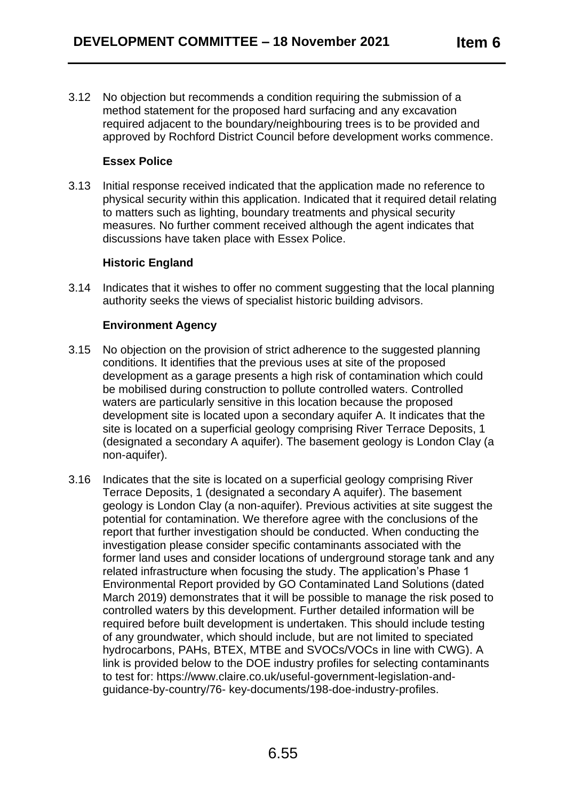3.12 No objection but recommends a condition requiring the submission of a method statement for the proposed hard surfacing and any excavation required adjacent to the boundary/neighbouring trees is to be provided and approved by Rochford District Council before development works commence.

## **Essex Police**

3.13 Initial response received indicated that the application made no reference to physical security within this application. Indicated that it required detail relating to matters such as lighting, boundary treatments and physical security measures. No further comment received although the agent indicates that discussions have taken place with Essex Police.

## **Historic England**

3.14 Indicates that it wishes to offer no comment suggesting that the local planning authority seeks the views of specialist historic building advisors.

## **Environment Agency**

- 3.15 No objection on the provision of strict adherence to the suggested planning conditions. It identifies that the previous uses at site of the proposed development as a garage presents a high risk of contamination which could be mobilised during construction to pollute controlled waters. Controlled waters are particularly sensitive in this location because the proposed development site is located upon a secondary aquifer A. It indicates that the site is located on a superficial geology comprising River Terrace Deposits, 1 (designated a secondary A aquifer). The basement geology is London Clay (a non-aquifer).
- 3.16 Indicates that the site is located on a superficial geology comprising River Terrace Deposits, 1 (designated a secondary A aquifer). The basement geology is London Clay (a non-aquifer). Previous activities at site suggest the potential for contamination. We therefore agree with the conclusions of the report that further investigation should be conducted. When conducting the investigation please consider specific contaminants associated with the former land uses and consider locations of underground storage tank and any related infrastructure when focusing the study. The application's Phase 1 Environmental Report provided by GO Contaminated Land Solutions (dated March 2019) demonstrates that it will be possible to manage the risk posed to controlled waters by this development. Further detailed information will be required before built development is undertaken. This should include testing of any groundwater, which should include, but are not limited to speciated hydrocarbons, PAHs, BTEX, MTBE and SVOCs/VOCs in line with CWG). A link is provided below to the DOE industry profiles for selecting contaminants to test for: https://www.claire.co.uk/useful-government-legislation-andguidance-by-country/76- key-documents/198-doe-industry-profiles.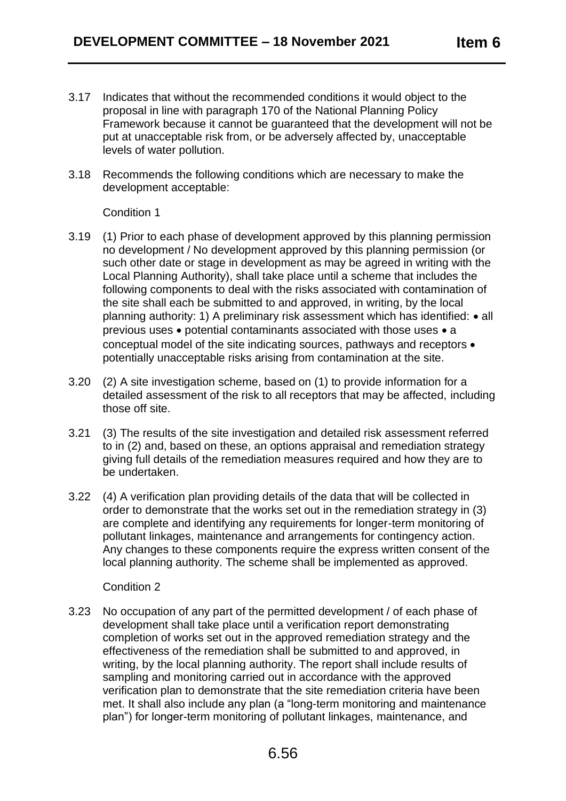- 3.17 Indicates that without the recommended conditions it would object to the proposal in line with paragraph 170 of the National Planning Policy Framework because it cannot be guaranteed that the development will not be put at unacceptable risk from, or be adversely affected by, unacceptable levels of water pollution.
- 3.18 Recommends the following conditions which are necessary to make the development acceptable:

### Condition 1

- 3.19 (1) Prior to each phase of development approved by this planning permission no development / No development approved by this planning permission (or such other date or stage in development as may be agreed in writing with the Local Planning Authority), shall take place until a scheme that includes the following components to deal with the risks associated with contamination of the site shall each be submitted to and approved, in writing, by the local planning authority: 1) A preliminary risk assessment which has identified: • all previous uses • potential contaminants associated with those uses • a conceptual model of the site indicating sources, pathways and receptors • potentially unacceptable risks arising from contamination at the site.
- 3.20 (2) A site investigation scheme, based on (1) to provide information for a detailed assessment of the risk to all receptors that may be affected, including those off site.
- 3.21 (3) The results of the site investigation and detailed risk assessment referred to in (2) and, based on these, an options appraisal and remediation strategy giving full details of the remediation measures required and how they are to be undertaken.
- 3.22 (4) A verification plan providing details of the data that will be collected in order to demonstrate that the works set out in the remediation strategy in (3) are complete and identifying any requirements for longer-term monitoring of pollutant linkages, maintenance and arrangements for contingency action. Any changes to these components require the express written consent of the local planning authority. The scheme shall be implemented as approved.

### Condition 2

3.23 No occupation of any part of the permitted development / of each phase of development shall take place until a verification report demonstrating completion of works set out in the approved remediation strategy and the effectiveness of the remediation shall be submitted to and approved, in writing, by the local planning authority. The report shall include results of sampling and monitoring carried out in accordance with the approved verification plan to demonstrate that the site remediation criteria have been met. It shall also include any plan (a "long-term monitoring and maintenance plan") for longer-term monitoring of pollutant linkages, maintenance, and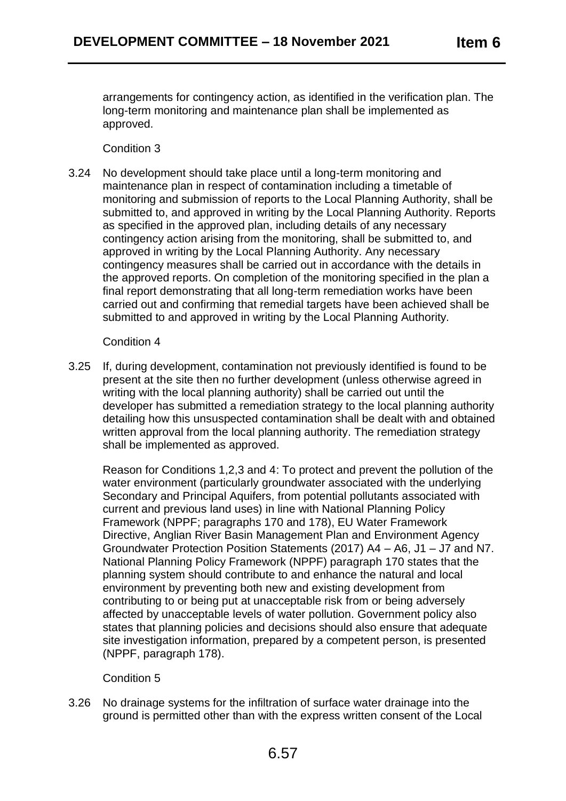arrangements for contingency action, as identified in the verification plan. The long-term monitoring and maintenance plan shall be implemented as approved.

## Condition 3

3.24 No development should take place until a long-term monitoring and maintenance plan in respect of contamination including a timetable of monitoring and submission of reports to the Local Planning Authority, shall be submitted to, and approved in writing by the Local Planning Authority. Reports as specified in the approved plan, including details of any necessary contingency action arising from the monitoring, shall be submitted to, and approved in writing by the Local Planning Authority. Any necessary contingency measures shall be carried out in accordance with the details in the approved reports. On completion of the monitoring specified in the plan a final report demonstrating that all long-term remediation works have been carried out and confirming that remedial targets have been achieved shall be submitted to and approved in writing by the Local Planning Authority.

### Condition 4

3.25 If, during development, contamination not previously identified is found to be present at the site then no further development (unless otherwise agreed in writing with the local planning authority) shall be carried out until the developer has submitted a remediation strategy to the local planning authority detailing how this unsuspected contamination shall be dealt with and obtained written approval from the local planning authority. The remediation strategy shall be implemented as approved.

Reason for Conditions 1,2,3 and 4: To protect and prevent the pollution of the water environment (particularly groundwater associated with the underlying Secondary and Principal Aquifers, from potential pollutants associated with current and previous land uses) in line with National Planning Policy Framework (NPPF; paragraphs 170 and 178), EU Water Framework Directive, Anglian River Basin Management Plan and Environment Agency Groundwater Protection Position Statements (2017) A4 – A6, J1 – J7 and N7. National Planning Policy Framework (NPPF) paragraph 170 states that the planning system should contribute to and enhance the natural and local environment by preventing both new and existing development from contributing to or being put at unacceptable risk from or being adversely affected by unacceptable levels of water pollution. Government policy also states that planning policies and decisions should also ensure that adequate site investigation information, prepared by a competent person, is presented (NPPF, paragraph 178).

# Condition 5

3.26 No drainage systems for the infiltration of surface water drainage into the ground is permitted other than with the express written consent of the Local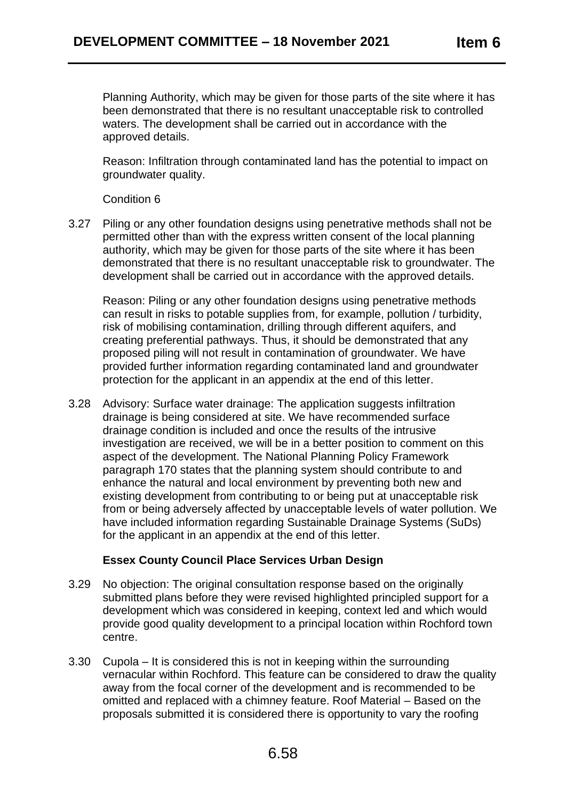Planning Authority, which may be given for those parts of the site where it has been demonstrated that there is no resultant unacceptable risk to controlled waters. The development shall be carried out in accordance with the approved details.

Reason: Infiltration through contaminated land has the potential to impact on groundwater quality.

Condition 6

3.27 Piling or any other foundation designs using penetrative methods shall not be permitted other than with the express written consent of the local planning authority, which may be given for those parts of the site where it has been demonstrated that there is no resultant unacceptable risk to groundwater. The development shall be carried out in accordance with the approved details.

Reason: Piling or any other foundation designs using penetrative methods can result in risks to potable supplies from, for example, pollution / turbidity, risk of mobilising contamination, drilling through different aquifers, and creating preferential pathways. Thus, it should be demonstrated that any proposed piling will not result in contamination of groundwater. We have provided further information regarding contaminated land and groundwater protection for the applicant in an appendix at the end of this letter.

3.28 Advisory: Surface water drainage: The application suggests infiltration drainage is being considered at site. We have recommended surface drainage condition is included and once the results of the intrusive investigation are received, we will be in a better position to comment on this aspect of the development. The National Planning Policy Framework paragraph 170 states that the planning system should contribute to and enhance the natural and local environment by preventing both new and existing development from contributing to or being put at unacceptable risk from or being adversely affected by unacceptable levels of water pollution. We have included information regarding Sustainable Drainage Systems (SuDs) for the applicant in an appendix at the end of this letter.

### **Essex County Council Place Services Urban Design**

- 3.29 No objection: The original consultation response based on the originally submitted plans before they were revised highlighted principled support for a development which was considered in keeping, context led and which would provide good quality development to a principal location within Rochford town centre.
- 3.30 Cupola It is considered this is not in keeping within the surrounding vernacular within Rochford. This feature can be considered to draw the quality away from the focal corner of the development and is recommended to be omitted and replaced with a chimney feature. Roof Material – Based on the proposals submitted it is considered there is opportunity to vary the roofing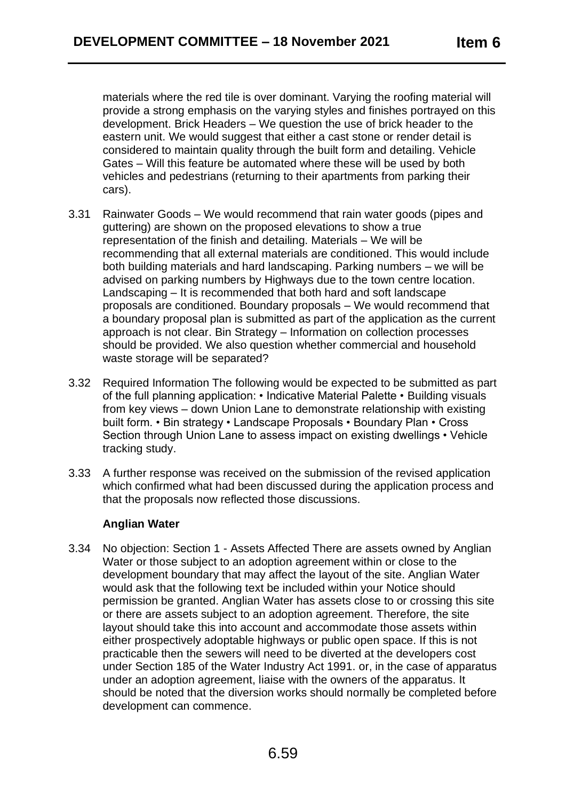materials where the red tile is over dominant. Varying the roofing material will provide a strong emphasis on the varying styles and finishes portrayed on this development. Brick Headers – We question the use of brick header to the eastern unit. We would suggest that either a cast stone or render detail is considered to maintain quality through the built form and detailing. Vehicle Gates – Will this feature be automated where these will be used by both vehicles and pedestrians (returning to their apartments from parking their cars).

- 3.31 Rainwater Goods We would recommend that rain water goods (pipes and guttering) are shown on the proposed elevations to show a true representation of the finish and detailing. Materials – We will be recommending that all external materials are conditioned. This would include both building materials and hard landscaping. Parking numbers – we will be advised on parking numbers by Highways due to the town centre location. Landscaping – It is recommended that both hard and soft landscape proposals are conditioned. Boundary proposals – We would recommend that a boundary proposal plan is submitted as part of the application as the current approach is not clear. Bin Strategy – Information on collection processes should be provided. We also question whether commercial and household waste storage will be separated?
- 3.32 Required Information The following would be expected to be submitted as part of the full planning application: • Indicative Material Palette • Building visuals from key views – down Union Lane to demonstrate relationship with existing built form. • Bin strategy • Landscape Proposals • Boundary Plan • Cross Section through Union Lane to assess impact on existing dwellings • Vehicle tracking study.
- 3.33 A further response was received on the submission of the revised application which confirmed what had been discussed during the application process and that the proposals now reflected those discussions.

### **Anglian Water**

3.34 No objection: Section 1 - Assets Affected There are assets owned by Anglian Water or those subject to an adoption agreement within or close to the development boundary that may affect the layout of the site. Anglian Water would ask that the following text be included within your Notice should permission be granted. Anglian Water has assets close to or crossing this site or there are assets subject to an adoption agreement. Therefore, the site layout should take this into account and accommodate those assets within either prospectively adoptable highways or public open space. If this is not practicable then the sewers will need to be diverted at the developers cost under Section 185 of the Water Industry Act 1991. or, in the case of apparatus under an adoption agreement, liaise with the owners of the apparatus. It should be noted that the diversion works should normally be completed before development can commence.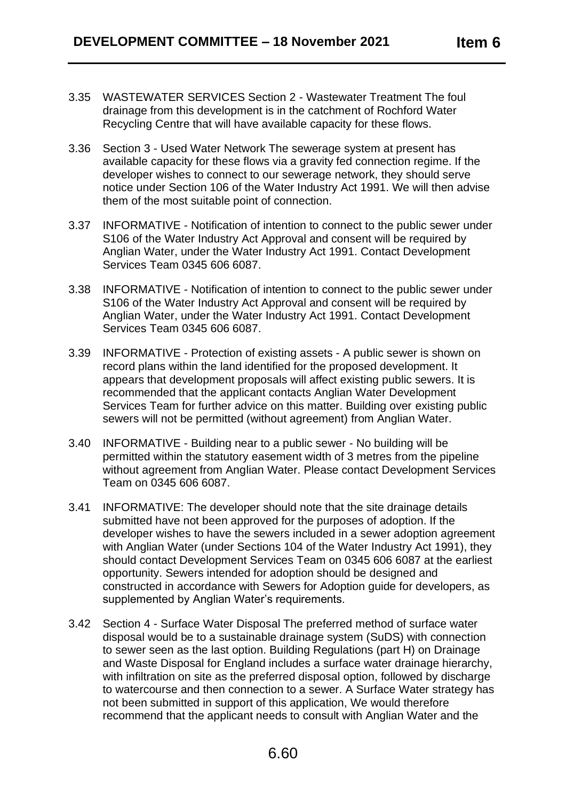- 3.35 WASTEWATER SERVICES Section 2 Wastewater Treatment The foul drainage from this development is in the catchment of Rochford Water Recycling Centre that will have available capacity for these flows.
- 3.36 Section 3 Used Water Network The sewerage system at present has available capacity for these flows via a gravity fed connection regime. If the developer wishes to connect to our sewerage network, they should serve notice under Section 106 of the Water Industry Act 1991. We will then advise them of the most suitable point of connection.
- 3.37 INFORMATIVE Notification of intention to connect to the public sewer under S106 of the Water Industry Act Approval and consent will be required by Anglian Water, under the Water Industry Act 1991. Contact Development Services Team 0345 606 6087.
- 3.38 INFORMATIVE Notification of intention to connect to the public sewer under S106 of the Water Industry Act Approval and consent will be required by Anglian Water, under the Water Industry Act 1991. Contact Development Services Team 0345 606 6087.
- 3.39 INFORMATIVE Protection of existing assets A public sewer is shown on record plans within the land identified for the proposed development. It appears that development proposals will affect existing public sewers. It is recommended that the applicant contacts Anglian Water Development Services Team for further advice on this matter. Building over existing public sewers will not be permitted (without agreement) from Anglian Water.
- 3.40 INFORMATIVE Building near to a public sewer No building will be permitted within the statutory easement width of 3 metres from the pipeline without agreement from Anglian Water. Please contact Development Services Team on 0345 606 6087.
- 3.41 INFORMATIVE: The developer should note that the site drainage details submitted have not been approved for the purposes of adoption. If the developer wishes to have the sewers included in a sewer adoption agreement with Anglian Water (under Sections 104 of the Water Industry Act 1991), they should contact Development Services Team on 0345 606 6087 at the earliest opportunity. Sewers intended for adoption should be designed and constructed in accordance with Sewers for Adoption guide for developers, as supplemented by Anglian Water's requirements.
- 3.42 Section 4 Surface Water Disposal The preferred method of surface water disposal would be to a sustainable drainage system (SuDS) with connection to sewer seen as the last option. Building Regulations (part H) on Drainage and Waste Disposal for England includes a surface water drainage hierarchy, with infiltration on site as the preferred disposal option, followed by discharge to watercourse and then connection to a sewer. A Surface Water strategy has not been submitted in support of this application, We would therefore recommend that the applicant needs to consult with Anglian Water and the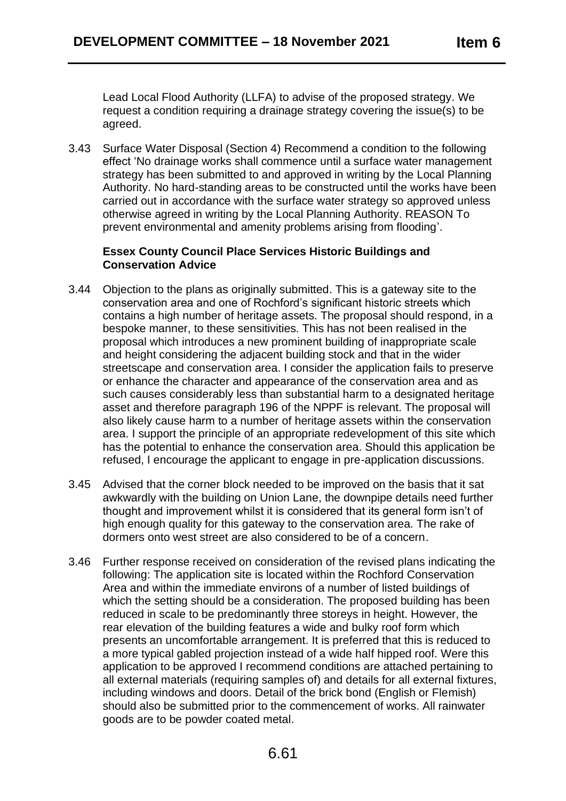Lead Local Flood Authority (LLFA) to advise of the proposed strategy. We request a condition requiring a drainage strategy covering the issue(s) to be agreed.

3.43 Surface Water Disposal (Section 4) Recommend a condition to the following effect 'No drainage works shall commence until a surface water management strategy has been submitted to and approved in writing by the Local Planning Authority. No hard-standing areas to be constructed until the works have been carried out in accordance with the surface water strategy so approved unless otherwise agreed in writing by the Local Planning Authority. REASON To prevent environmental and amenity problems arising from flooding'.

### **Essex County Council Place Services Historic Buildings and Conservation Advice**

- 3.44 Objection to the plans as originally submitted. This is a gateway site to the conservation area and one of Rochford's significant historic streets which contains a high number of heritage assets. The proposal should respond, in a bespoke manner, to these sensitivities. This has not been realised in the proposal which introduces a new prominent building of inappropriate scale and height considering the adjacent building stock and that in the wider streetscape and conservation area. I consider the application fails to preserve or enhance the character and appearance of the conservation area and as such causes considerably less than substantial harm to a designated heritage asset and therefore paragraph 196 of the NPPF is relevant. The proposal will also likely cause harm to a number of heritage assets within the conservation area. I support the principle of an appropriate redevelopment of this site which has the potential to enhance the conservation area. Should this application be refused, I encourage the applicant to engage in pre-application discussions.
- 3.45 Advised that the corner block needed to be improved on the basis that it sat awkwardly with the building on Union Lane, the downpipe details need further thought and improvement whilst it is considered that its general form isn't of high enough quality for this gateway to the conservation area. The rake of dormers onto west street are also considered to be of a concern.
- 3.46 Further response received on consideration of the revised plans indicating the following: The application site is located within the Rochford Conservation Area and within the immediate environs of a number of listed buildings of which the setting should be a consideration. The proposed building has been reduced in scale to be predominantly three storeys in height. However, the rear elevation of the building features a wide and bulky roof form which presents an uncomfortable arrangement. It is preferred that this is reduced to a more typical gabled projection instead of a wide half hipped roof. Were this application to be approved I recommend conditions are attached pertaining to all external materials (requiring samples of) and details for all external fixtures, including windows and doors. Detail of the brick bond (English or Flemish) should also be submitted prior to the commencement of works. All rainwater goods are to be powder coated metal.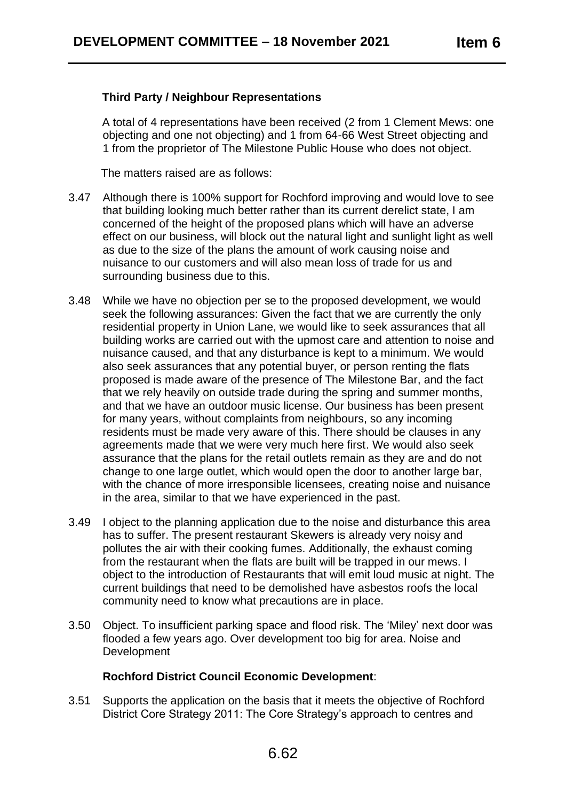## **Third Party / Neighbour Representations**

A total of 4 representations have been received (2 from 1 Clement Mews: one objecting and one not objecting) and 1 from 64-66 West Street objecting and 1 from the proprietor of The Milestone Public House who does not object.

The matters raised are as follows:

- 3.47 Although there is 100% support for Rochford improving and would love to see that building looking much better rather than its current derelict state, I am concerned of the height of the proposed plans which will have an adverse effect on our business, will block out the natural light and sunlight light as well as due to the size of the plans the amount of work causing noise and nuisance to our customers and will also mean loss of trade for us and surrounding business due to this.
- 3.48 While we have no objection per se to the proposed development, we would seek the following assurances: Given the fact that we are currently the only residential property in Union Lane, we would like to seek assurances that all building works are carried out with the upmost care and attention to noise and nuisance caused, and that any disturbance is kept to a minimum. We would also seek assurances that any potential buyer, or person renting the flats proposed is made aware of the presence of The Milestone Bar, and the fact that we rely heavily on outside trade during the spring and summer months, and that we have an outdoor music license. Our business has been present for many years, without complaints from neighbours, so any incoming residents must be made very aware of this. There should be clauses in any agreements made that we were very much here first. We would also seek assurance that the plans for the retail outlets remain as they are and do not change to one large outlet, which would open the door to another large bar, with the chance of more irresponsible licensees, creating noise and nuisance in the area, similar to that we have experienced in the past.
- 3.49 I object to the planning application due to the noise and disturbance this area has to suffer. The present restaurant Skewers is already very noisy and pollutes the air with their cooking fumes. Additionally, the exhaust coming from the restaurant when the flats are built will be trapped in our mews. I object to the introduction of Restaurants that will emit loud music at night. The current buildings that need to be demolished have asbestos roofs the local community need to know what precautions are in place.
- 3.50 Object. To insufficient parking space and flood risk. The 'Miley' next door was flooded a few years ago. Over development too big for area. Noise and **Development**

### **Rochford District Council Economic Development**:

3.51 Supports the application on the basis that it meets the objective of Rochford District Core Strategy 2011: The Core Strategy's approach to centres and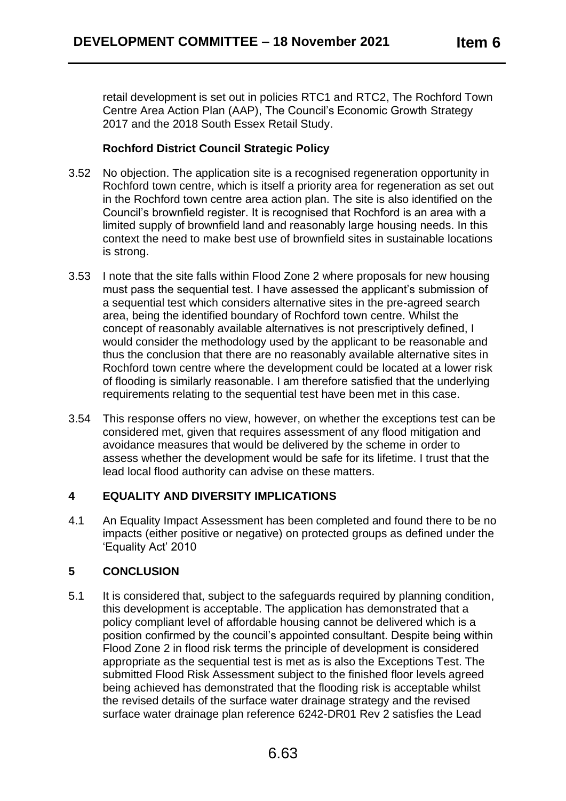retail development is set out in policies RTC1 and RTC2, The Rochford Town Centre Area Action Plan (AAP), The Council's Economic Growth Strategy 2017 and the 2018 South Essex Retail Study.

# **Rochford District Council Strategic Policy**

- 3.52 No objection. The application site is a recognised regeneration opportunity in Rochford town centre, which is itself a priority area for regeneration as set out in the Rochford town centre area action plan. The site is also identified on the Council's brownfield register. It is recognised that Rochford is an area with a limited supply of brownfield land and reasonably large housing needs. In this context the need to make best use of brownfield sites in sustainable locations is strong.
- 3.53 I note that the site falls within Flood Zone 2 where proposals for new housing must pass the sequential test. I have assessed the applicant's submission of a sequential test which considers alternative sites in the pre-agreed search area, being the identified boundary of Rochford town centre. Whilst the concept of reasonably available alternatives is not prescriptively defined, I would consider the methodology used by the applicant to be reasonable and thus the conclusion that there are no reasonably available alternative sites in Rochford town centre where the development could be located at a lower risk of flooding is similarly reasonable. I am therefore satisfied that the underlying requirements relating to the sequential test have been met in this case.
- 3.54 This response offers no view, however, on whether the exceptions test can be considered met, given that requires assessment of any flood mitigation and avoidance measures that would be delivered by the scheme in order to assess whether the development would be safe for its lifetime. I trust that the lead local flood authority can advise on these matters.

# **4 EQUALITY AND DIVERSITY IMPLICATIONS**

4.1 An Equality Impact Assessment has been completed and found there to be no impacts (either positive or negative) on protected groups as defined under the 'Equality Act' 2010

# **5 CONCLUSION**

5.1 It is considered that, subject to the safeguards required by planning condition, this development is acceptable. The application has demonstrated that a policy compliant level of affordable housing cannot be delivered which is a position confirmed by the council's appointed consultant. Despite being within Flood Zone 2 in flood risk terms the principle of development is considered appropriate as the sequential test is met as is also the Exceptions Test. The submitted Flood Risk Assessment subject to the finished floor levels agreed being achieved has demonstrated that the flooding risk is acceptable whilst the revised details of the surface water drainage strategy and the revised surface water drainage plan reference 6242-DR01 Rev 2 satisfies the Lead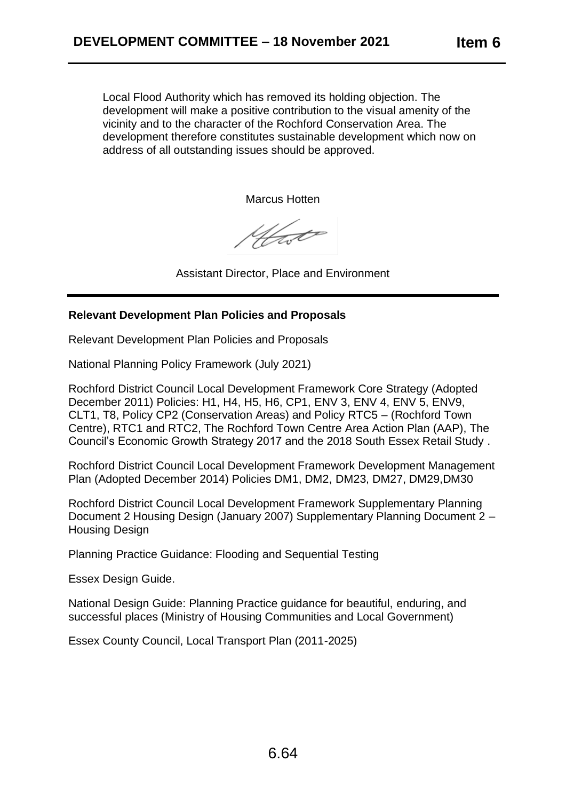Local Flood Authority which has removed its holding objection. The development will make a positive contribution to the visual amenity of the vicinity and to the character of the Rochford Conservation Area. The development therefore constitutes sustainable development which now on address of all outstanding issues should be approved.

Marcus Hotten

4fat

Assistant Director, Place and Environment

## **Relevant Development Plan Policies and Proposals**

Relevant Development Plan Policies and Proposals

National Planning Policy Framework (July 2021)

Rochford District Council Local Development Framework Core Strategy (Adopted December 2011) Policies: H1, H4, H5, H6, CP1, ENV 3, ENV 4, ENV 5, ENV9, CLT1, T8, Policy CP2 (Conservation Areas) and Policy RTC5 – (Rochford Town Centre), RTC1 and RTC2, The Rochford Town Centre Area Action Plan (AAP), The Council's Economic Growth Strategy 2017 and the 2018 South Essex Retail Study .

Rochford District Council Local Development Framework Development Management Plan (Adopted December 2014) Policies DM1, DM2, DM23, DM27, DM29,DM30

Rochford District Council Local Development Framework Supplementary Planning Document 2 Housing Design (January 2007) Supplementary Planning Document 2 – Housing Design

Planning Practice Guidance: Flooding and Sequential Testing

Essex Design Guide.

National Design Guide: Planning Practice guidance for beautiful, enduring, and successful places (Ministry of Housing Communities and Local Government)

Essex County Council, Local Transport Plan (2011-2025)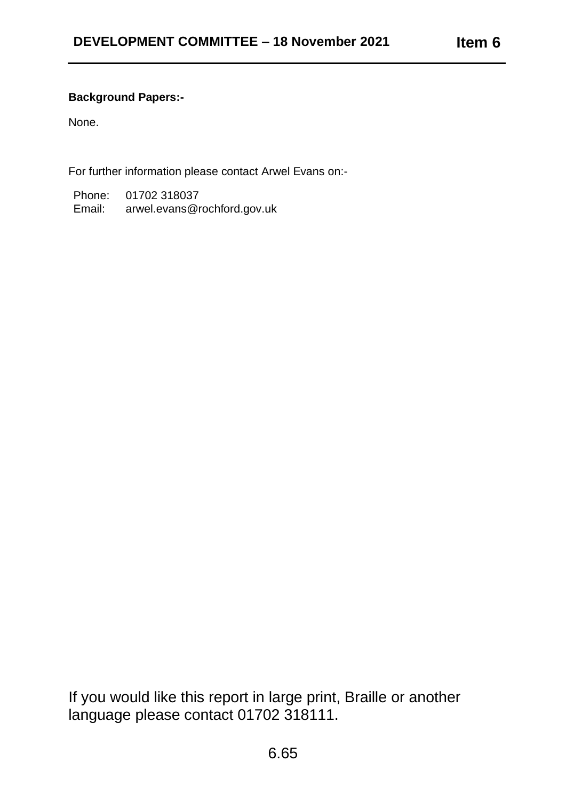# **Background Papers:-**

None.

For further information please contact Arwel Evans on:-

Phone: 01702 318037 Email: arwel.evans@rochford.gov.uk

If you would like this report in large print, Braille or another language please contact 01702 318111.